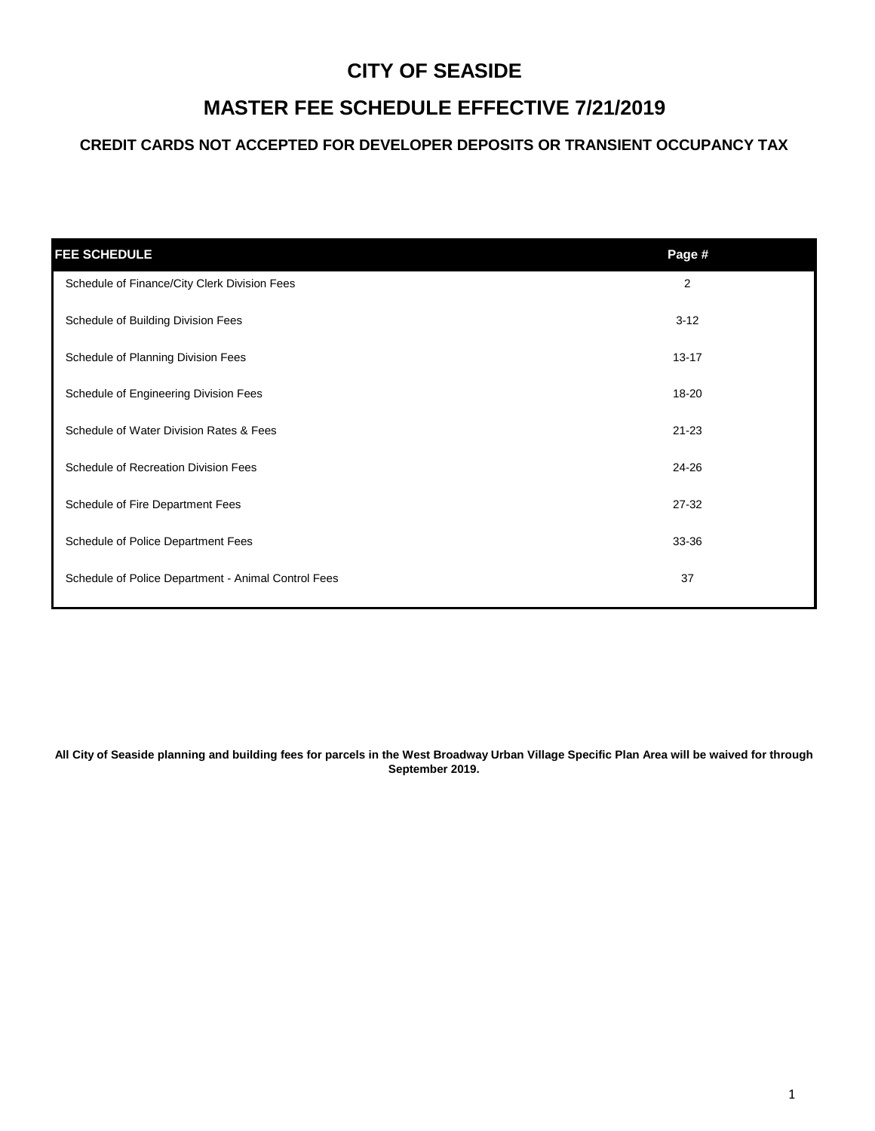# **MASTER FEE SCHEDULE EFFECTIVE 7/21/2019**

### **CREDIT CARDS NOT ACCEPTED FOR DEVELOPER DEPOSITS OR TRANSIENT OCCUPANCY TAX**

| <b>FEE SCHEDULE</b>                                 | Page #    |
|-----------------------------------------------------|-----------|
| Schedule of Finance/City Clerk Division Fees        | 2         |
| Schedule of Building Division Fees                  | $3 - 12$  |
| Schedule of Planning Division Fees                  | $13 - 17$ |
| Schedule of Engineering Division Fees               | 18-20     |
| Schedule of Water Division Rates & Fees             | $21 - 23$ |
| Schedule of Recreation Division Fees                | 24-26     |
| Schedule of Fire Department Fees                    | $27 - 32$ |
| Schedule of Police Department Fees                  | 33-36     |
| Schedule of Police Department - Animal Control Fees | 37        |

**All City of Seaside planning and building fees for parcels in the West Broadway Urban Village Specific Plan Area will be waived for through September 2019.**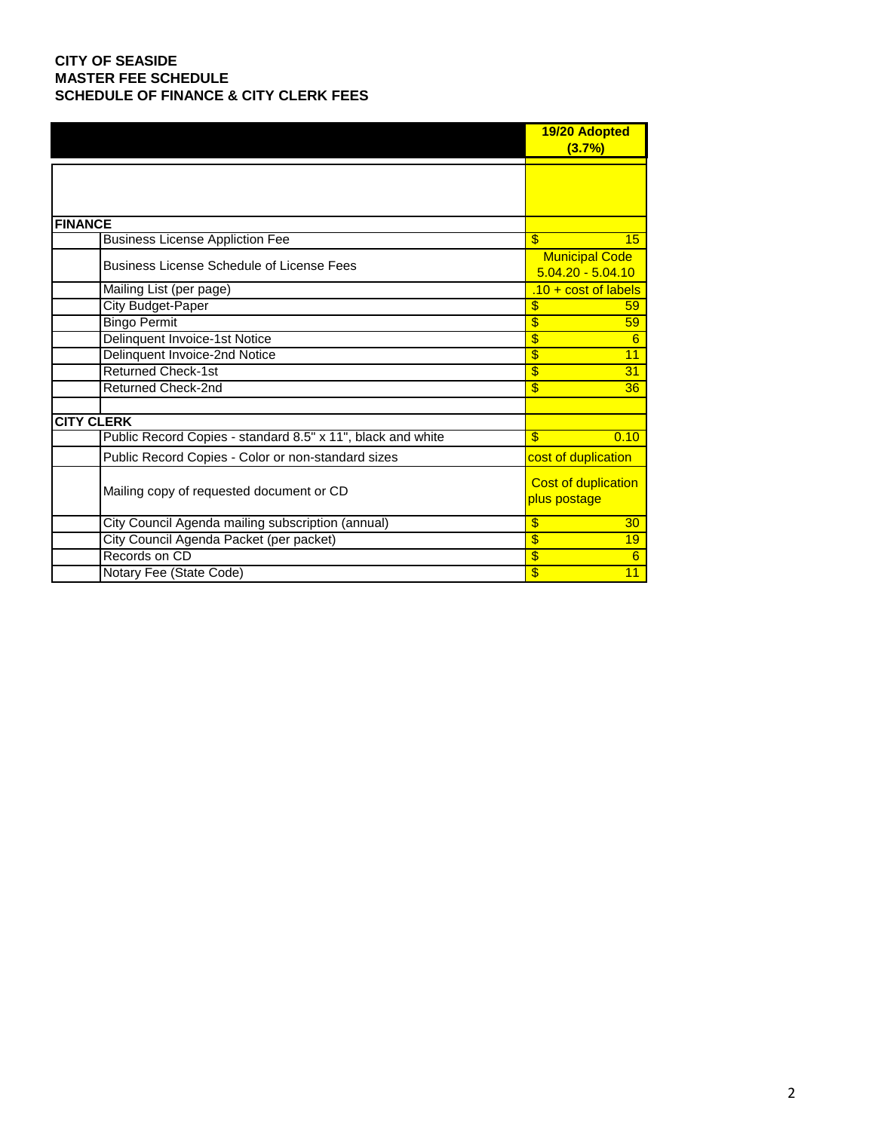### **CITY OF SEASIDE MASTER FEE SCHEDULE SCHEDULE OF FINANCE & CITY CLERK FEES**

|                                                             | 19/20 Adopted<br>(3.7%)                      |
|-------------------------------------------------------------|----------------------------------------------|
|                                                             |                                              |
| <b>FINANCE</b>                                              |                                              |
| <b>Business License Appliction Fee</b>                      | \$<br>15                                     |
| <b>Business License Schedule of License Fees</b>            | <b>Municipal Code</b><br>$5.04.20 - 5.04.10$ |
| Mailing List (per page)                                     | $.10 + cost$ of labels                       |
| <b>City Budget-Paper</b>                                    | \$<br>59                                     |
| <b>Bingo Permit</b>                                         | \$<br>59                                     |
| Delinquent Invoice-1st Notice                               | \$<br>6                                      |
| Delinquent Invoice-2nd Notice                               | \$<br>11                                     |
| <b>Returned Check-1st</b>                                   | \$<br>31                                     |
| <b>Returned Check-2nd</b>                                   | \$<br>36                                     |
| <b>CITY CLERK</b>                                           |                                              |
| Public Record Copies - standard 8.5" x 11", black and white | \$<br>0.10                                   |
| Public Record Copies - Color or non-standard sizes          | cost of duplication                          |
| Mailing copy of requested document or CD                    | <b>Cost of duplication</b><br>plus postage   |
| City Council Agenda mailing subscription (annual)           | \$<br>30                                     |
| City Council Agenda Packet (per packet)                     | \$<br>19                                     |
| Records on CD                                               | $\overline{\$}$<br>6                         |
| Notary Fee (State Code)                                     | $\overline{\$}$<br>11                        |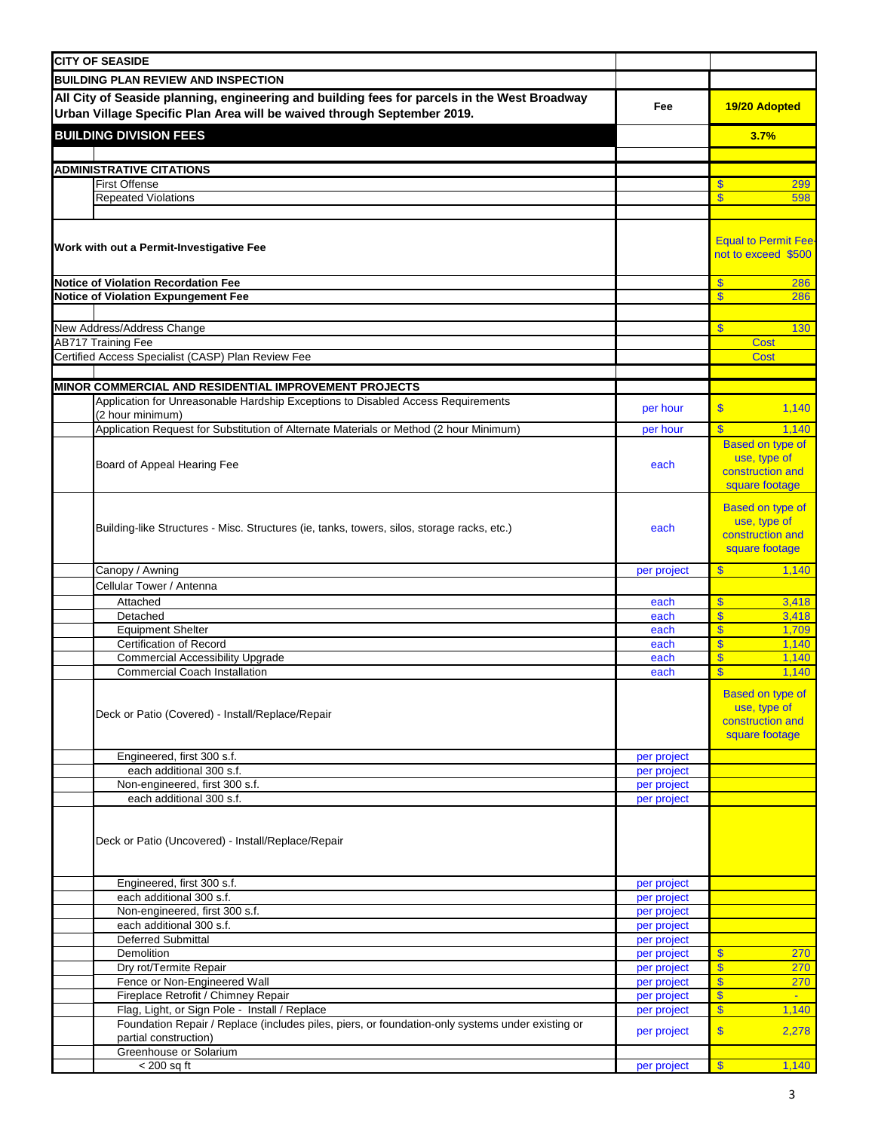| <b>CITY OF SEASIDE</b>                                                                                                                                                  |                            |                                                                               |  |  |  |  |  |  |
|-------------------------------------------------------------------------------------------------------------------------------------------------------------------------|----------------------------|-------------------------------------------------------------------------------|--|--|--|--|--|--|
| <b>BUILDING PLAN REVIEW AND INSPECTION</b>                                                                                                                              |                            |                                                                               |  |  |  |  |  |  |
| All City of Seaside planning, engineering and building fees for parcels in the West Broadway<br>Urban Village Specific Plan Area will be waived through September 2019. | Fee                        | 19/20 Adopted                                                                 |  |  |  |  |  |  |
|                                                                                                                                                                         |                            |                                                                               |  |  |  |  |  |  |
| <b>BUILDING DIVISION FEES</b>                                                                                                                                           |                            | 3.7%                                                                          |  |  |  |  |  |  |
|                                                                                                                                                                         |                            |                                                                               |  |  |  |  |  |  |
| <b>ADMINISTRATIVE CITATIONS</b><br><b>First Offense</b>                                                                                                                 |                            | 299<br>S                                                                      |  |  |  |  |  |  |
| <b>Repeated Violations</b>                                                                                                                                              |                            | $\overline{\mathbb{S}}$<br>598                                                |  |  |  |  |  |  |
|                                                                                                                                                                         |                            |                                                                               |  |  |  |  |  |  |
| Work with out a Permit-Investigative Fee                                                                                                                                |                            | <b>Equal to Permit Fee</b><br>not to exceed \$500                             |  |  |  |  |  |  |
| <b>Notice of Violation Recordation Fee</b>                                                                                                                              |                            | $\mathbf{\$}$<br>286                                                          |  |  |  |  |  |  |
| Notice of Violation Expungement Fee                                                                                                                                     |                            | $\mathbf{\$}$<br>286                                                          |  |  |  |  |  |  |
|                                                                                                                                                                         |                            |                                                                               |  |  |  |  |  |  |
| New Address/Address Change                                                                                                                                              |                            | $\mathbf{s}$<br>130                                                           |  |  |  |  |  |  |
| <b>AB717 Training Fee</b><br>Certified Access Specialist (CASP) Plan Review Fee                                                                                         |                            | <b>Cost</b><br><b>Cost</b>                                                    |  |  |  |  |  |  |
|                                                                                                                                                                         |                            |                                                                               |  |  |  |  |  |  |
| MINOR COMMERCIAL AND RESIDENTIAL IMPROVEMENT PROJECTS                                                                                                                   |                            |                                                                               |  |  |  |  |  |  |
| Application for Unreasonable Hardship Exceptions to Disabled Access Requirements                                                                                        |                            |                                                                               |  |  |  |  |  |  |
| (2 hour minimum)                                                                                                                                                        | per hour                   | $\mathbf{\$}$<br>1,140                                                        |  |  |  |  |  |  |
| Application Request for Substitution of Alternate Materials or Method (2 hour Minimum)                                                                                  | per hour                   | $\mathbf{\hat{s}}$<br>1,140                                                   |  |  |  |  |  |  |
| Board of Appeal Hearing Fee                                                                                                                                             | each                       | <b>Based on type of</b><br>use, type of<br>construction and<br>square footage |  |  |  |  |  |  |
| Building-like Structures - Misc. Structures (ie, tanks, towers, silos, storage racks, etc.)<br>each                                                                     |                            |                                                                               |  |  |  |  |  |  |
| Canopy / Awning                                                                                                                                                         | per project                | $\mathbf{\$}$<br>1,140                                                        |  |  |  |  |  |  |
| Cellular Tower / Antenna                                                                                                                                                |                            |                                                                               |  |  |  |  |  |  |
| Attached                                                                                                                                                                | each                       | $\mathbf{\$}$<br>3,418                                                        |  |  |  |  |  |  |
| Detached                                                                                                                                                                | each                       | $\mathbf{\hat{s}}$<br>3,418                                                   |  |  |  |  |  |  |
| <b>Equipment Shelter</b>                                                                                                                                                | each                       | $\mathbf{\$}$<br>1,709                                                        |  |  |  |  |  |  |
| Certification of Record                                                                                                                                                 | each                       | $\mathbf{\overline{S}}$<br>1,140                                              |  |  |  |  |  |  |
| <b>Commercial Accessibility Upgrade</b>                                                                                                                                 | each                       | $\mathbf{\$}$<br>1,140                                                        |  |  |  |  |  |  |
| <b>Commercial Coach Installation</b>                                                                                                                                    | each                       | $\overline{\mathbf{S}}$<br>1,140                                              |  |  |  |  |  |  |
| Deck or Patio (Covered) - Install/Replace/Repair                                                                                                                        |                            | <b>Based on type of</b><br>use, type of<br>construction and<br>square footage |  |  |  |  |  |  |
| Engineered, first 300 s.f.                                                                                                                                              | per project                |                                                                               |  |  |  |  |  |  |
| each additional 300 s.f.<br>Non-engineered, first 300 s.f.                                                                                                              | per project<br>per project |                                                                               |  |  |  |  |  |  |
| each additional 300 s.f.                                                                                                                                                | per project                |                                                                               |  |  |  |  |  |  |
| Deck or Patio (Uncovered) - Install/Replace/Repair                                                                                                                      |                            |                                                                               |  |  |  |  |  |  |
| Engineered, first 300 s.f.                                                                                                                                              | per project                |                                                                               |  |  |  |  |  |  |
| each additional 300 s.f.                                                                                                                                                | per project                |                                                                               |  |  |  |  |  |  |
| Non-engineered, first 300 s.f.                                                                                                                                          | per project                |                                                                               |  |  |  |  |  |  |
| each additional 300 s.f.                                                                                                                                                | per project                |                                                                               |  |  |  |  |  |  |
| <b>Deferred Submittal</b>                                                                                                                                               | per project                |                                                                               |  |  |  |  |  |  |
| Demolition<br>Dry rot/Termite Repair                                                                                                                                    | per project                | $\mathbf{s}$<br>270<br>$\mathbf{s}$<br>270                                    |  |  |  |  |  |  |
| Fence or Non-Engineered Wall                                                                                                                                            | per project<br>per project | $\mathbf{\$}$<br>270                                                          |  |  |  |  |  |  |
| Fireplace Retrofit / Chimney Repair                                                                                                                                     | per project                | $\overline{\mathbf{s}}$<br>$\mathbf{u}$                                       |  |  |  |  |  |  |
| Flag, Light, or Sign Pole - Install / Replace                                                                                                                           | per project                | $\sqrt{3}$<br>1,140                                                           |  |  |  |  |  |  |
| Foundation Repair / Replace (includes piles, piers, or foundation-only systems under existing or<br>partial construction)                                               | per project                | $\mathbf{\hat{s}}$<br>2,278                                                   |  |  |  |  |  |  |
| Greenhouse or Solarium                                                                                                                                                  |                            |                                                                               |  |  |  |  |  |  |
| $<$ 200 sq ft                                                                                                                                                           | per project                | $\sqrt{3}$<br>1,140                                                           |  |  |  |  |  |  |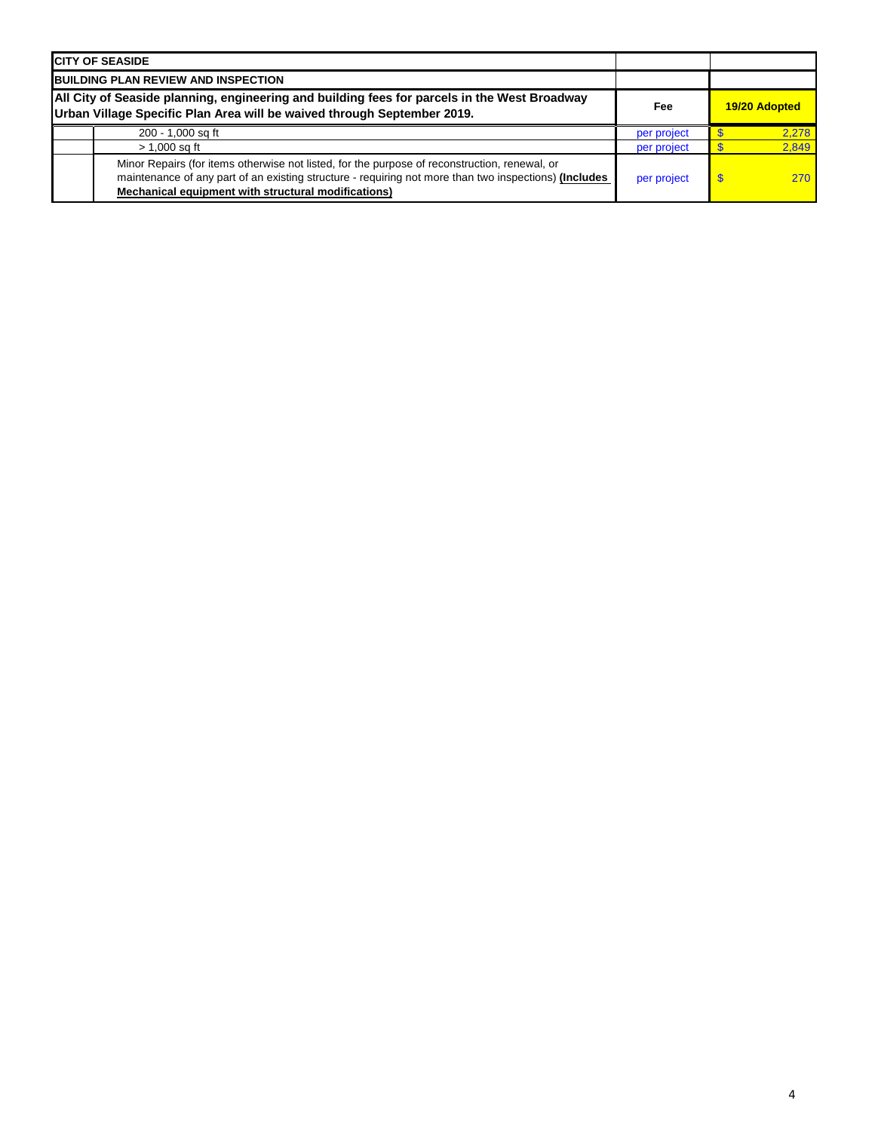| <b>ICITY OF SEASIDE</b>                                                                                                                                                                                                                                       |             |               |
|---------------------------------------------------------------------------------------------------------------------------------------------------------------------------------------------------------------------------------------------------------------|-------------|---------------|
| <b>BUILDING PLAN REVIEW AND INSPECTION</b>                                                                                                                                                                                                                    |             |               |
| All City of Seaside planning, engineering and building fees for parcels in the West Broadway<br>Urban Village Specific Plan Area will be waived through September 2019.                                                                                       | Fee         | 19/20 Adopted |
| 200 - 1,000 sq ft                                                                                                                                                                                                                                             | per project | 2.278         |
| $> 1,000$ sq ft                                                                                                                                                                                                                                               | per project | 2.849         |
| Minor Repairs (for items otherwise not listed, for the purpose of reconstruction, renewal, or<br>maintenance of any part of an existing structure - requiring not more than two inspections) (Includes<br>Mechanical equipment with structural modifications) | per project | 270           |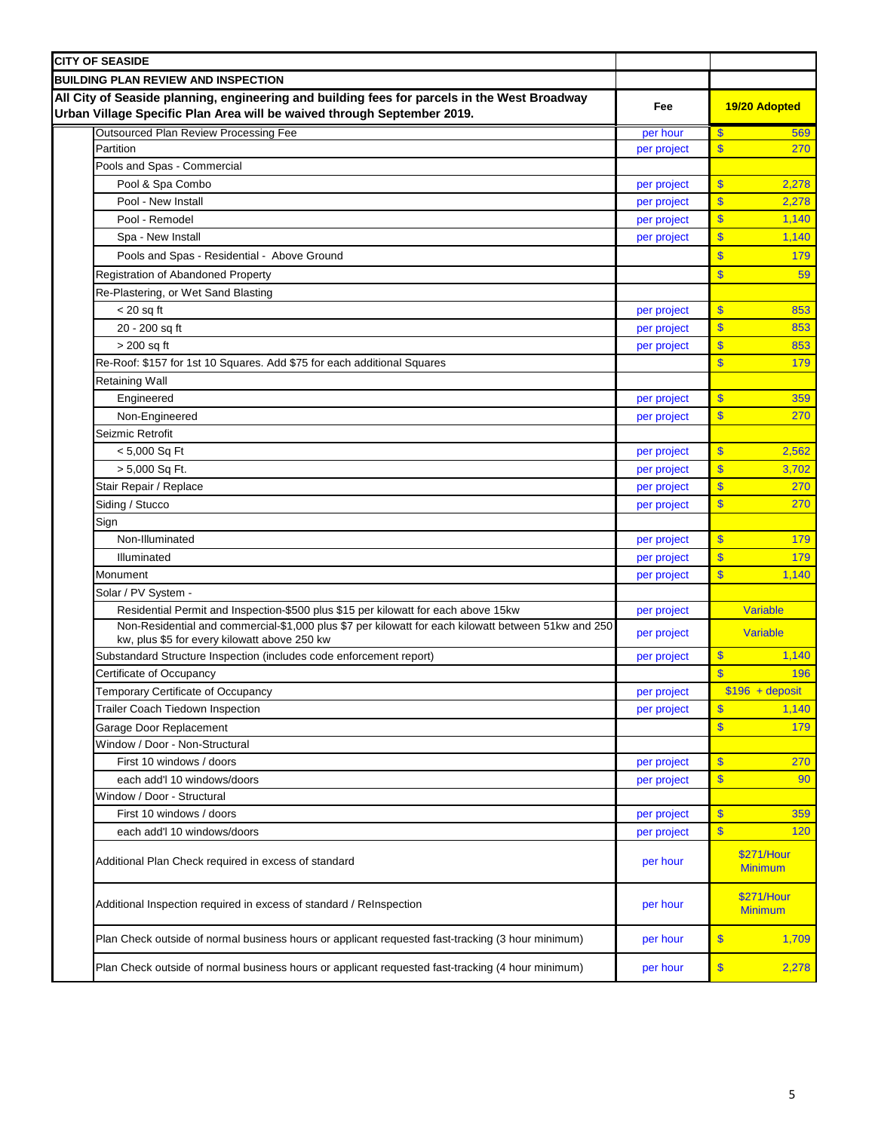| <b>CITY OF SEASIDE</b>                                                                                                                                                  |             |                                    |
|-------------------------------------------------------------------------------------------------------------------------------------------------------------------------|-------------|------------------------------------|
| <b>BUILDING PLAN REVIEW AND INSPECTION</b>                                                                                                                              |             |                                    |
| All City of Seaside planning, engineering and building fees for parcels in the West Broadway<br>Urban Village Specific Plan Area will be waived through September 2019. | Fee         | 19/20 Adopted                      |
| <b>Outsourced Plan Review Processing Fee</b>                                                                                                                            | per hour    | $\overline{\mathbb{S}}$<br>569     |
| Partition                                                                                                                                                               | per project | $\overline{\mathbf{S}}$<br>270     |
| Pools and Spas - Commercial                                                                                                                                             |             |                                    |
| Pool & Spa Combo                                                                                                                                                        | per project | $\overline{\mathbf{S}}$<br>2,278   |
| Pool - New Install                                                                                                                                                      | per project | $\overline{\mathbb{S}}$<br>2,278   |
| Pool - Remodel                                                                                                                                                          | per project | \$<br>1,140                        |
| Spa - New Install                                                                                                                                                       | per project | \$<br>1,140                        |
| Pools and Spas - Residential - Above Ground                                                                                                                             |             | $\overline{\mathbb{S}}$<br>179     |
| <b>Registration of Abandoned Property</b>                                                                                                                               |             | $\overline{\mathbb{S}}$<br>59      |
| Re-Plastering, or Wet Sand Blasting                                                                                                                                     |             |                                    |
| $<$ 20 sq ft                                                                                                                                                            | per project | $\overline{\mathbf{S}}$<br>853     |
| 20 - 200 sq ft                                                                                                                                                          | per project | $\overline{\mathbf{S}}$<br>853     |
| > 200 sq ft                                                                                                                                                             | per project | $\overline{\mathbf{S}}$<br>853     |
| Re-Roof: \$157 for 1st 10 Squares. Add \$75 for each additional Squares                                                                                                 |             | $\overline{\mathbf{S}}$<br>179     |
| <b>Retaining Wall</b>                                                                                                                                                   |             |                                    |
| Engineered                                                                                                                                                              | per project | $\overline{\mathbb{S}}$<br>359     |
| Non-Engineered                                                                                                                                                          | per project | $\overline{\mathbb{S}}$<br>270     |
| Seizmic Retrofit                                                                                                                                                        |             |                                    |
| $< 5,000$ Sq Ft                                                                                                                                                         | per project | $\overline{\mathbb{S}}$<br>2,562   |
| > 5,000 Sq Ft.                                                                                                                                                          | per project | $\overline{\mathbf{S}}$<br>3,702   |
| Stair Repair / Replace                                                                                                                                                  | per project | $\overline{\mathbf{S}}$<br>270     |
| Siding / Stucco                                                                                                                                                         | per project | $\overline{\mathbf{S}}$<br>270     |
| Sign                                                                                                                                                                    |             |                                    |
| Non-Illuminated                                                                                                                                                         | per project | $\overline{\mathbf{S}}$<br>179     |
| Illuminated                                                                                                                                                             | per project | $\overline{\mathbf{S}}$<br>179     |
| Monument                                                                                                                                                                |             | $\overline{\mathbb{S}}$<br>1,140   |
|                                                                                                                                                                         | per project |                                    |
| Solar / PV System -<br>Residential Permit and Inspection-\$500 plus \$15 per kilowatt for each above 15kw                                                               |             | Variable                           |
| Non-Residential and commercial-\$1,000 plus \$7 per kilowatt for each kilowatt between 51kw and 250                                                                     | per project |                                    |
| kw, plus \$5 for every kilowatt above 250 kw                                                                                                                            | per project | Variable                           |
| Substandard Structure Inspection (includes code enforcement report)                                                                                                     | per project | $\overline{\mathbf{S}}$<br>1,140   |
| Certificate of Occupancy                                                                                                                                                |             | $\mathbf{\$}$<br>196               |
| Temporary Certificate of Occupancy                                                                                                                                      | per project | $$196 + deposit$                   |
| Trailer Coach Tiedown Inspection                                                                                                                                        | per project | $\overline{\mathbb{S}}$<br>1,140   |
| Garage Door Replacement                                                                                                                                                 |             | $\overline{\mathbf{S}}$<br>179     |
| Window / Door - Non-Structural                                                                                                                                          |             |                                    |
| First 10 windows / doors                                                                                                                                                | per project | $\boldsymbol{\mathsf{s}}$<br>270   |
| each add'l 10 windows/doors                                                                                                                                             | per project | $\overline{\mathbf{S}}$<br>90      |
| Window / Door - Structural                                                                                                                                              |             |                                    |
| First 10 windows / doors                                                                                                                                                | per project | $\overline{\mathbf{S}}$<br>359     |
| each add'l 10 windows/doors                                                                                                                                             | per project | $\overline{\mathbf{S}}$<br>120     |
| Additional Plan Check required in excess of standard                                                                                                                    | per hour    | \$271/Hour<br><b>Minimum</b>       |
| Additional Inspection required in excess of standard / ReInspection                                                                                                     | per hour    | \$271/Hour<br><b>Minimum</b>       |
| Plan Check outside of normal business hours or applicant requested fast-tracking (3 hour minimum)                                                                       | per hour    | \$<br>1,709                        |
| Plan Check outside of normal business hours or applicant requested fast-tracking (4 hour minimum)                                                                       | per hour    | $\boldsymbol{\mathsf{S}}$<br>2,278 |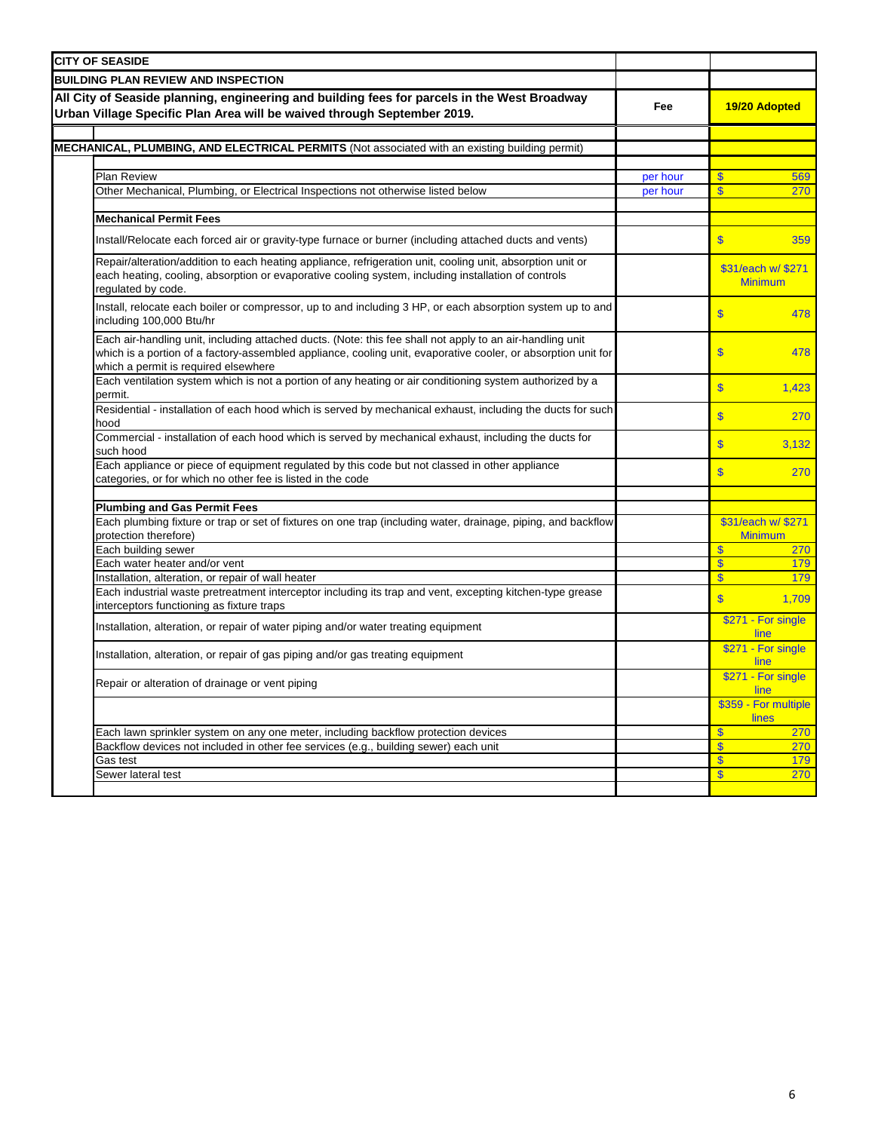| <b>CITY OF SEASIDE</b>                                                                                                                                                                                                                                             |          |                                      |
|--------------------------------------------------------------------------------------------------------------------------------------------------------------------------------------------------------------------------------------------------------------------|----------|--------------------------------------|
| <b>BUILDING PLAN REVIEW AND INSPECTION</b>                                                                                                                                                                                                                         |          |                                      |
| All City of Seaside planning, engineering and building fees for parcels in the West Broadway<br>Urban Village Specific Plan Area will be waived through September 2019.                                                                                            | Fee      | 19/20 Adopted                        |
|                                                                                                                                                                                                                                                                    |          |                                      |
| MECHANICAL, PLUMBING, AND ELECTRICAL PERMITS (Not associated with an existing building permit)                                                                                                                                                                     |          |                                      |
| Plan Review                                                                                                                                                                                                                                                        | per hour | $\mathbf{\$}$<br>569                 |
| Other Mechanical, Plumbing, or Electrical Inspections not otherwise listed below                                                                                                                                                                                   | per hour | $\mathbf{\$}$<br>270                 |
|                                                                                                                                                                                                                                                                    |          |                                      |
| <b>Mechanical Permit Fees</b>                                                                                                                                                                                                                                      |          |                                      |
| Install/Relocate each forced air or gravity-type furnace or burner (including attached ducts and vents)                                                                                                                                                            |          | $\mathbf{\$}$<br>359                 |
| Repair/alteration/addition to each heating appliance, refrigeration unit, cooling unit, absorption unit or<br>each heating, cooling, absorption or evaporative cooling system, including installation of controls<br>regulated by code.                            |          | \$31/each w/ \$271<br><b>Minimum</b> |
| Install, relocate each boiler or compressor, up to and including 3 HP, or each absorption system up to and<br>including 100,000 Btu/hr                                                                                                                             |          | \$<br>478                            |
| Each air-handling unit, including attached ducts. (Note: this fee shall not apply to an air-handling unit<br>which is a portion of a factory-assembled appliance, cooling unit, evaporative cooler, or absorption unit for<br>which a permit is required elsewhere |          | $\sqrt{3}$<br>478                    |
| Each ventilation system which is not a portion of any heating or air conditioning system authorized by a<br>permit.                                                                                                                                                |          | $\overline{\mathbb{S}}$<br>1,423     |
| Residential - installation of each hood which is served by mechanical exhaust, including the ducts for such<br>hood                                                                                                                                                |          | $\overline{\mathbb{S}}$<br>270       |
| Commercial - installation of each hood which is served by mechanical exhaust, including the ducts for<br>such hood                                                                                                                                                 |          | $\overline{\mathbb{S}}$<br>3,132     |
| Each appliance or piece of equipment regulated by this code but not classed in other appliance<br>categories, or for which no other fee is listed in the code                                                                                                      |          | $\overline{\mathbb{S}}$<br>270       |
| <b>Plumbing and Gas Permit Fees</b>                                                                                                                                                                                                                                |          |                                      |
| Each plumbing fixture or trap or set of fixtures on one trap (including water, drainage, piping, and backflow<br>protection therefore)                                                                                                                             |          | \$31/each w/ \$271<br><b>Minimum</b> |
| Each building sewer                                                                                                                                                                                                                                                |          | $\mathbf{\$}$<br>270                 |
| Each water heater and/or vent                                                                                                                                                                                                                                      |          | $\boldsymbol{\mathsf{S}}$<br>179     |
| nstallation, alteration, or repair of wall heater                                                                                                                                                                                                                  |          | $\mathbf{\$}$<br>179                 |
| Each industrial waste pretreatment interceptor including its trap and vent, excepting kitchen-type grease<br>interceptors functioning as fixture traps                                                                                                             |          | $\overline{\mathbb{S}}$<br>1,709     |
| Installation, alteration, or repair of water piping and/or water treating equipment                                                                                                                                                                                |          | \$271 - For single<br>line           |
| Installation, alteration, or repair of gas piping and/or gas treating equipment                                                                                                                                                                                    |          | \$271 - For single<br>line           |
| Repair or alteration of drainage or vent piping                                                                                                                                                                                                                    |          | \$271 - For single<br>line           |
|                                                                                                                                                                                                                                                                    |          | \$359 - For multiple<br>lines        |
| Each lawn sprinkler system on any one meter, including backflow protection devices                                                                                                                                                                                 |          | $\mathbf{s}$<br>270                  |
| Backflow devices not included in other fee services (e.g., building sewer) each unit                                                                                                                                                                               |          | $\mathbf{s}$<br>270                  |
| Gas test                                                                                                                                                                                                                                                           |          | $\overline{\mathbb{S}}$<br>179       |
| Sewer lateral test                                                                                                                                                                                                                                                 |          | $\overline{\mathbf{S}}$<br>270       |
|                                                                                                                                                                                                                                                                    |          |                                      |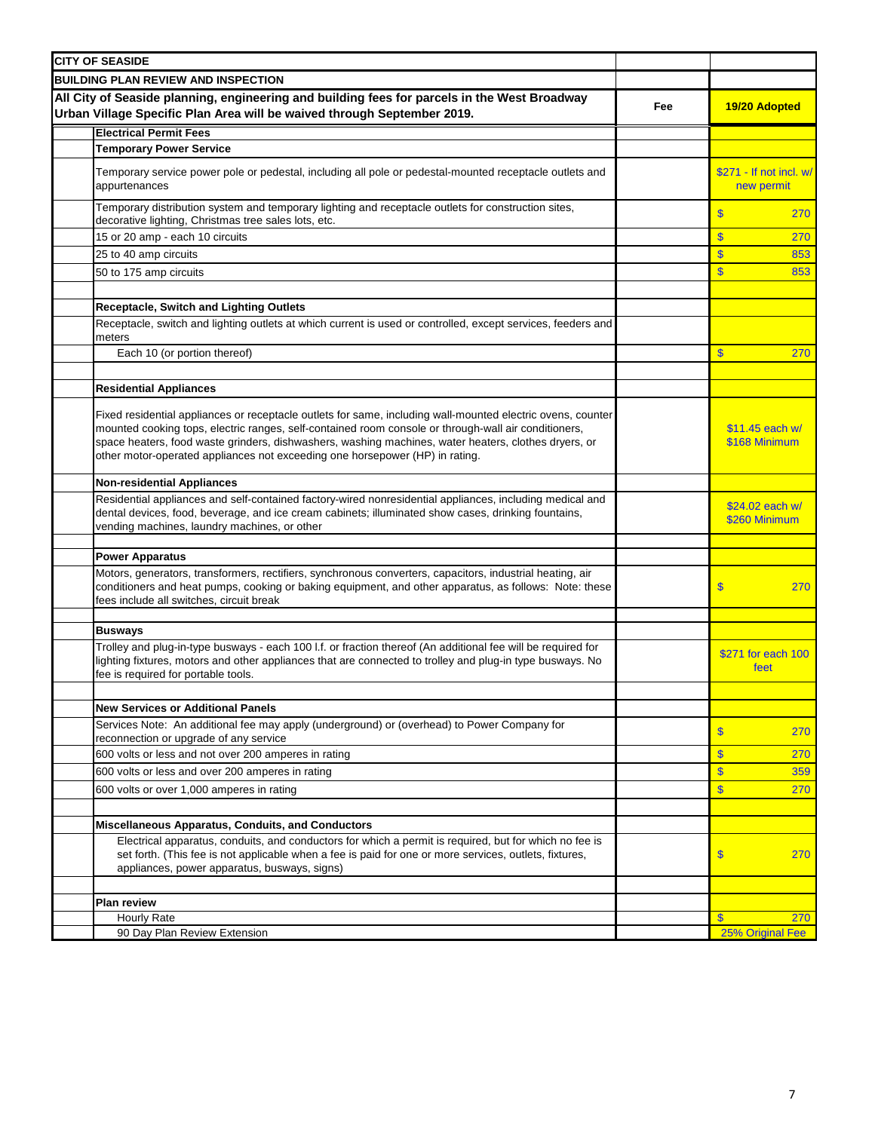| <b>CITY OF SEASIDE</b>                                                                                                                                                                                                                                                                                                                                                                                      |     |                                       |
|-------------------------------------------------------------------------------------------------------------------------------------------------------------------------------------------------------------------------------------------------------------------------------------------------------------------------------------------------------------------------------------------------------------|-----|---------------------------------------|
| <b>BUILDING PLAN REVIEW AND INSPECTION</b>                                                                                                                                                                                                                                                                                                                                                                  |     |                                       |
| All City of Seaside planning, engineering and building fees for parcels in the West Broadway<br>Urban Village Specific Plan Area will be waived through September 2019.                                                                                                                                                                                                                                     | Fee | 19/20 Adopted                         |
| <b>Electrical Permit Fees</b>                                                                                                                                                                                                                                                                                                                                                                               |     |                                       |
| <b>Temporary Power Service</b>                                                                                                                                                                                                                                                                                                                                                                              |     |                                       |
| Temporary service power pole or pedestal, including all pole or pedestal-mounted receptacle outlets and<br>appurtenances                                                                                                                                                                                                                                                                                    |     | \$271 - If not incl. w/<br>new permit |
| Temporary distribution system and temporary lighting and receptacle outlets for construction sites,<br>decorative lighting, Christmas tree sales lots, etc.                                                                                                                                                                                                                                                 |     | $\overline{\mathbf{S}}$<br>270        |
| 15 or 20 amp - each 10 circuits                                                                                                                                                                                                                                                                                                                                                                             |     | $\mathbf{s}$<br>270                   |
| 25 to 40 amp circuits                                                                                                                                                                                                                                                                                                                                                                                       |     | $\mathbf{\hat{s}}$<br>853             |
| 50 to 175 amp circuits                                                                                                                                                                                                                                                                                                                                                                                      |     | $\mathbf{\$}$<br>853                  |
|                                                                                                                                                                                                                                                                                                                                                                                                             |     |                                       |
| Receptacle, Switch and Lighting Outlets                                                                                                                                                                                                                                                                                                                                                                     |     |                                       |
| Receptacle, switch and lighting outlets at which current is used or controlled, except services, feeders and<br>meters                                                                                                                                                                                                                                                                                      |     |                                       |
| Each 10 (or portion thereof)                                                                                                                                                                                                                                                                                                                                                                                |     | $\mathbf{s}$<br>270                   |
|                                                                                                                                                                                                                                                                                                                                                                                                             |     |                                       |
| <b>Residential Appliances</b>                                                                                                                                                                                                                                                                                                                                                                               |     |                                       |
| Fixed residential appliances or receptacle outlets for same, including wall-mounted electric ovens, counter<br>mounted cooking tops, electric ranges, self-contained room console or through-wall air conditioners,<br>space heaters, food waste grinders, dishwashers, washing machines, water heaters, clothes dryers, or<br>other motor-operated appliances not exceeding one horsepower (HP) in rating. |     | \$11.45 each w/<br>\$168 Minimum      |
| <b>Non-residential Appliances</b>                                                                                                                                                                                                                                                                                                                                                                           |     |                                       |
| Residential appliances and self-contained factory-wired nonresidential appliances, including medical and<br>dental devices, food, beverage, and ice cream cabinets; illuminated show cases, drinking fountains,<br>vending machines, laundry machines, or other                                                                                                                                             |     | \$24.02 each w/<br>\$260 Minimum      |
| <b>Power Apparatus</b>                                                                                                                                                                                                                                                                                                                                                                                      |     |                                       |
| Motors, generators, transformers, rectifiers, synchronous converters, capacitors, industrial heating, air<br>conditioners and heat pumps, cooking or baking equipment, and other apparatus, as follows: Note: these<br>fees include all switches, circuit break                                                                                                                                             |     | \$<br>270                             |
|                                                                                                                                                                                                                                                                                                                                                                                                             |     |                                       |
| <b>Busways</b><br>Trolley and plug-in-type busways - each 100 l.f. or fraction thereof (An additional fee will be required for<br>lighting fixtures, motors and other appliances that are connected to trolley and plug-in type busways. No<br>fee is required for portable tools.                                                                                                                          |     | \$271 for each 100<br>feet            |
|                                                                                                                                                                                                                                                                                                                                                                                                             |     |                                       |
| <b>New Services or Additional Panels</b><br>Services Note: An additional fee may apply (underground) or (overhead) to Power Company for                                                                                                                                                                                                                                                                     |     |                                       |
| reconnection or upgrade of any service                                                                                                                                                                                                                                                                                                                                                                      |     | $\mathbf{\$}$<br>270                  |
| 600 volts or less and not over 200 amperes in rating                                                                                                                                                                                                                                                                                                                                                        |     | $\mathbf{\$}$<br>270                  |
| 600 volts or less and over 200 amperes in rating                                                                                                                                                                                                                                                                                                                                                            |     | $\mathbf{\hat{s}}$<br>359             |
| 600 volts or over 1,000 amperes in rating                                                                                                                                                                                                                                                                                                                                                                   |     | $\mathbf{s}$<br>270                   |
|                                                                                                                                                                                                                                                                                                                                                                                                             |     |                                       |
| Miscellaneous Apparatus, Conduits, and Conductors                                                                                                                                                                                                                                                                                                                                                           |     |                                       |
| Electrical apparatus, conduits, and conductors for which a permit is required, but for which no fee is<br>set forth. (This fee is not applicable when a fee is paid for one or more services, outlets, fixtures,<br>appliances, power apparatus, busways, signs)                                                                                                                                            |     | $\boldsymbol{\mathsf{s}}$<br>270      |
|                                                                                                                                                                                                                                                                                                                                                                                                             |     |                                       |
| <b>Plan review</b><br>Hourly Rate                                                                                                                                                                                                                                                                                                                                                                           |     | $\mathbf{\$}$<br>270                  |
| 90 Day Plan Review Extension                                                                                                                                                                                                                                                                                                                                                                                |     | 25% Original Fee                      |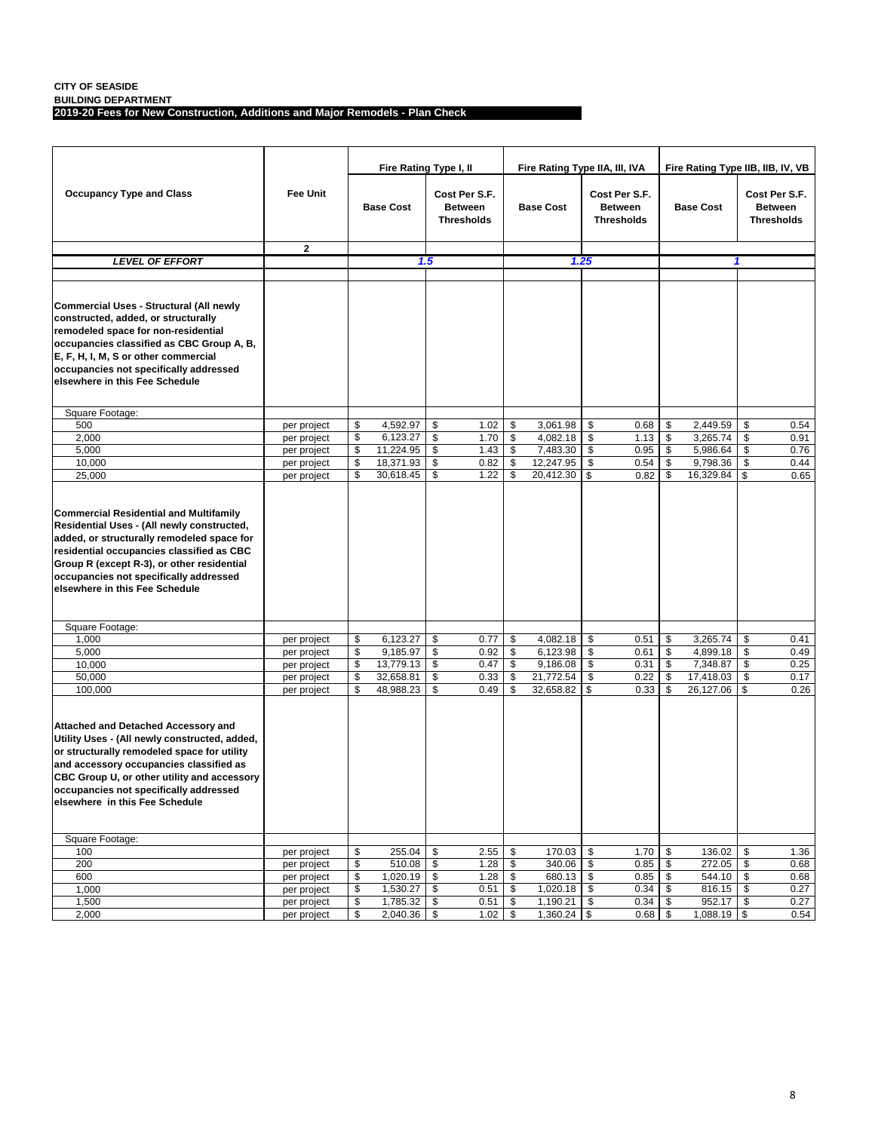**BUILDING DEPARTMENT**

**2019-20 Fees for New Construction, Additions and Major Remodels - Plan Check**

|                                                                                                                                                                                                                                                                                                                  |                            |          | Fire Rating Type I, II |          |                                                      |          | Fire Rating Type IIA, III, IVA |                                                      |              |                  | Fire Rating Type IIB, IIB, IV, VB |          |                                                      |
|------------------------------------------------------------------------------------------------------------------------------------------------------------------------------------------------------------------------------------------------------------------------------------------------------------------|----------------------------|----------|------------------------|----------|------------------------------------------------------|----------|--------------------------------|------------------------------------------------------|--------------|------------------|-----------------------------------|----------|------------------------------------------------------|
| <b>Occupancy Type and Class</b>                                                                                                                                                                                                                                                                                  | <b>Fee Unit</b>            |          | <b>Base Cost</b>       |          | Cost Per S.F.<br><b>Between</b><br><b>Thresholds</b> |          | <b>Base Cost</b>               | Cost Per S.F.<br><b>Between</b><br><b>Thresholds</b> |              | <b>Base Cost</b> |                                   |          | Cost Per S.F.<br><b>Between</b><br><b>Thresholds</b> |
|                                                                                                                                                                                                                                                                                                                  | $\mathbf{2}$               |          |                        |          |                                                      |          |                                |                                                      |              |                  |                                   |          |                                                      |
| <b>LEVEL OF EFFORT</b>                                                                                                                                                                                                                                                                                           |                            |          |                        | 1.5      |                                                      |          |                                | 1.25                                                 |              |                  |                                   | 1        |                                                      |
|                                                                                                                                                                                                                                                                                                                  |                            |          |                        |          |                                                      |          |                                |                                                      |              |                  |                                   |          |                                                      |
| Commercial Uses - Structural (All newly<br>constructed, added, or structurally<br>remodeled space for non-residential<br>occupancies classified as CBC Group A, B,<br>E, F, H, I, M, S or other commercial<br>occupancies not specifically addressed<br>elsewhere in this Fee Schedule                           |                            |          |                        |          |                                                      |          |                                |                                                      |              |                  |                                   |          |                                                      |
| Square Footage:                                                                                                                                                                                                                                                                                                  |                            |          |                        |          |                                                      |          |                                |                                                      |              |                  |                                   |          |                                                      |
| 500                                                                                                                                                                                                                                                                                                              | per project                | \$       | 4,592.97               | \$       | 1.02                                                 | \$       | 3,061.98                       | \$                                                   | 0.68         | \$               | 2.449.59                          | \$       | 0.54                                                 |
| 2,000                                                                                                                                                                                                                                                                                                            | per project                | \$       | 6,123.27               | \$       | 1.70                                                 | \$       | 4,082.18                       | \$                                                   | 1.13         | \$               | 3,265.74                          | \$       | 0.91                                                 |
| 5,000                                                                                                                                                                                                                                                                                                            | per project                | \$       | 11,224.95              | \$       | 1.43                                                 | \$       | 7,483.30                       | \$                                                   | 0.95         | \$               | 5,986.64                          | \$       | 0.76                                                 |
| 10,000                                                                                                                                                                                                                                                                                                           | per project                | \$<br>\$ | 18,371.93<br>30,618.45 | \$<br>\$ | 0.82<br>1.22                                         | \$<br>\$ | 12,247.95                      | \$<br>\$                                             | 0.54         | \$<br>\$         | 9,798.36<br>16,329.84             | \$<br>\$ | 0.44                                                 |
| 25,000                                                                                                                                                                                                                                                                                                           | per project                |          |                        |          |                                                      |          | 20,412.30                      |                                                      | 0.82         |                  |                                   |          | 0.65                                                 |
| <b>Commercial Residential and Multifamily</b><br>Residential Uses - (All newly constructed,<br>added, or structurally remodeled space for<br>residential occupancies classified as CBC<br>Group R (except R-3), or other residential<br>occupancies not specifically addressed<br>elsewhere in this Fee Schedule |                            |          |                        |          |                                                      |          |                                |                                                      |              |                  |                                   |          |                                                      |
| Square Footage:                                                                                                                                                                                                                                                                                                  |                            |          |                        |          |                                                      |          |                                |                                                      |              |                  |                                   |          |                                                      |
| 1,000                                                                                                                                                                                                                                                                                                            | per project                | \$       | 6,123.27               | \$       | 0.77                                                 | \$       | 4,082.18                       | \$                                                   | 0.51         | \$               | 3,265.74                          | \$       | 0.41                                                 |
| 5,000                                                                                                                                                                                                                                                                                                            | per project                | \$       | 9,185.97               | \$       | 0.92                                                 | \$       | 6,123.98                       | \$                                                   | 0.61         | \$               | 4,899.18                          | \$       | 0.49                                                 |
| 10,000                                                                                                                                                                                                                                                                                                           | per project                | \$       | 13,779.13              | \$       | 0.47                                                 | \$       | 9,186.08                       | \$                                                   | 0.31         | \$               | 7,348.87                          | \$       | 0.25                                                 |
| 50,000                                                                                                                                                                                                                                                                                                           | per project                | \$       | 32,658.81              | \$       | 0.33                                                 | \$       | 21,772.54                      | \$                                                   | 0.22         | \$               | 17,418.03                         | \$       | 0.17                                                 |
| 100,000                                                                                                                                                                                                                                                                                                          | per project                | \$       | 48,988.23              | \$       | 0.49                                                 | \$       | 32,658.82                      | \$                                                   | 0.33         | \$               | 26,127.06                         | \$       | 0.26                                                 |
| Attached and Detached Accessory and<br>Utility Uses - (All newly constructed, added,<br>or structurally remodeled space for utility<br>and accessory occupancies classified as<br>CBC Group U, or other utility and accessory<br>occupancies not specifically addressed<br>elsewhere in this Fee Schedule        |                            |          |                        |          |                                                      |          |                                |                                                      |              |                  |                                   |          |                                                      |
| Square Footage:                                                                                                                                                                                                                                                                                                  |                            |          |                        |          |                                                      |          |                                |                                                      |              |                  |                                   |          |                                                      |
| 100                                                                                                                                                                                                                                                                                                              | per project                | \$       | 255.04                 | \$       | 2.55                                                 | \$       | 170.03                         | \$                                                   | 1.70         | \$               | 136.02                            | \$       | 1.36                                                 |
| 200                                                                                                                                                                                                                                                                                                              | per project                | \$       | 510.08                 | \$       | 1.28                                                 | \$       | 340.06 \$                      |                                                      | 0.85         | \$               | 272.05                            | \$       | 0.68                                                 |
| 600                                                                                                                                                                                                                                                                                                              | per project                | \$       | 1,020.19               | \$       | 1.28                                                 | \$       | $680.13$ \$                    |                                                      | 0.85         | \$               | 544.10                            | \$       | 0.68                                                 |
| 1,000<br>1,500                                                                                                                                                                                                                                                                                                   | per project<br>per project | \$<br>\$ | 1,530.27<br>1,785.32   | \$<br>\$ | 0.51<br>0.51                                         | \$<br>\$ | $1,020.18$ \$<br>1,190.21      | \$                                                   | 0.34<br>0.34 | \$<br>\$         | 816.15<br>952.17                  | \$<br>\$ | 0.27<br>0.27                                         |
| 2,000                                                                                                                                                                                                                                                                                                            | per project                | \$       | 2,040.36               | \$       | 1.02                                                 | \$       | 1,360.24 \$                    |                                                      | 0.68         | \$               | $1,088.19$ \$                     |          | 0.54                                                 |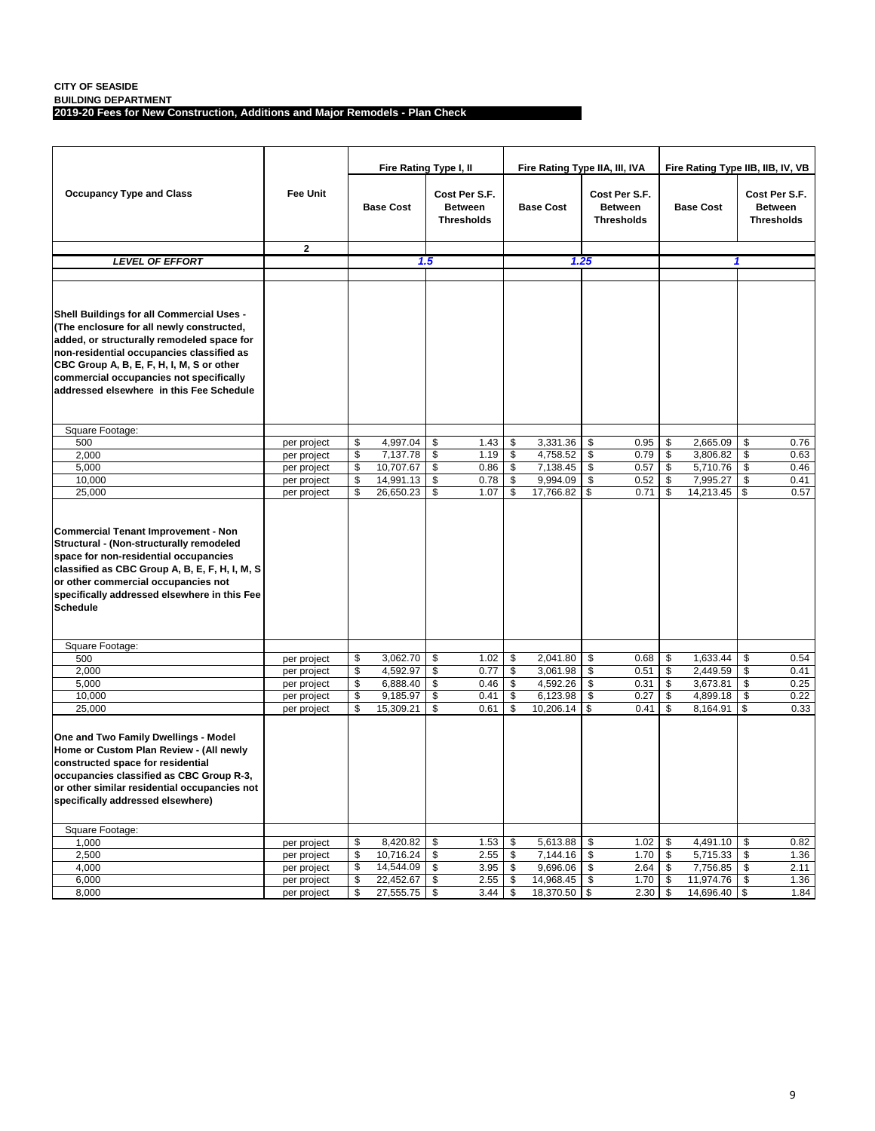**BUILDING DEPARTMENT**

**2019-20 Fees for New Construction, Additions and Major Remodels - Plan Check**

|                                                                                                                                                                                                                                                                                                                       |                 |                  | Fire Rating Type I, II |                                                      |    | Fire Rating Type IIA, III, IVA |                                                      |                  | Fire Rating Type IIB, IIB, IV, VB |                                                      |      |
|-----------------------------------------------------------------------------------------------------------------------------------------------------------------------------------------------------------------------------------------------------------------------------------------------------------------------|-----------------|------------------|------------------------|------------------------------------------------------|----|--------------------------------|------------------------------------------------------|------------------|-----------------------------------|------------------------------------------------------|------|
| <b>Occupancy Type and Class</b>                                                                                                                                                                                                                                                                                       | <b>Fee Unit</b> | <b>Base Cost</b> |                        | Cost Per S.F.<br><b>Between</b><br><b>Thresholds</b> |    | <b>Base Cost</b>               | Cost Per S.F.<br><b>Between</b><br><b>Thresholds</b> | <b>Base Cost</b> |                                   | Cost Per S.F.<br><b>Between</b><br><b>Thresholds</b> |      |
|                                                                                                                                                                                                                                                                                                                       | $\mathbf{2}$    |                  |                        |                                                      |    |                                |                                                      |                  |                                   |                                                      |      |
| <b>LEVEL OF EFFORT</b>                                                                                                                                                                                                                                                                                                |                 | 1.5              |                        |                                                      |    | 1.25                           |                                                      |                  |                                   | 1                                                    |      |
|                                                                                                                                                                                                                                                                                                                       |                 |                  |                        |                                                      |    |                                |                                                      |                  |                                   |                                                      |      |
| Shell Buildings for all Commercial Uses -<br>(The enclosure for all newly constructed,<br>added, or structurally remodeled space for<br>non-residential occupancies classified as<br>CBC Group A, B, E, F, H, I, M, S or other<br>commercial occupancies not specifically<br>addressed elsewhere in this Fee Schedule |                 |                  |                        |                                                      |    |                                |                                                      |                  |                                   |                                                      |      |
| Square Footage:                                                                                                                                                                                                                                                                                                       |                 |                  |                        |                                                      |    |                                |                                                      |                  |                                   |                                                      |      |
| 500                                                                                                                                                                                                                                                                                                                   | per project     | \$<br>4,997.04   | \$                     | 1.43                                                 | \$ | 3,331.36                       | \$<br>0.95                                           | \$               | 2.665.09                          | \$                                                   | 0.76 |
| 2,000                                                                                                                                                                                                                                                                                                                 | per project     | \$<br>7,137.78   | \$                     | 1.19                                                 | \$ | 4,758.52                       | \$<br>0.79                                           | \$               | 3,806.82                          | \$                                                   | 0.63 |
| 5,000                                                                                                                                                                                                                                                                                                                 | per project     | \$<br>10,707.67  | \$                     | 0.86                                                 | \$ | 7,138.45                       | \$<br>0.57                                           | \$               | 5,710.76                          | \$                                                   | 0.46 |
| 10,000                                                                                                                                                                                                                                                                                                                | per project     | \$<br>14,991.13  | \$                     | 0.78                                                 | \$ | 9,994.09                       | \$<br>0.52                                           | \$               | 7,995.27                          | \$                                                   | 0.41 |
| 25,000                                                                                                                                                                                                                                                                                                                | per project     | \$<br>26,650.23  | \$                     | 1.07                                                 | \$ | 17,766.82                      | \$<br>0.71                                           | \$               | 14,213.45                         | \$                                                   | 0.57 |
| <b>Commercial Tenant Improvement - Non</b><br>Structural - (Non-structurally remodeled<br>space for non-residential occupancies<br>classified as CBC Group A, B, E, F, H, I, M, S<br>or other commercial occupancies not<br>specifically addressed elsewhere in this Fee<br><b>Schedule</b>                           |                 |                  |                        |                                                      |    |                                |                                                      |                  |                                   |                                                      |      |
| Square Footage:                                                                                                                                                                                                                                                                                                       |                 |                  |                        |                                                      |    |                                |                                                      |                  |                                   |                                                      |      |
| 500                                                                                                                                                                                                                                                                                                                   | per project     | \$<br>3,062.70   | \$                     | 1.02                                                 | \$ | 2,041.80                       | \$<br>0.68                                           | \$               | 1,633.44                          | \$                                                   | 0.54 |
| 2,000                                                                                                                                                                                                                                                                                                                 | per project     | \$<br>4,592.97   | \$                     | 0.77                                                 | \$ | 3,061.98                       | \$<br>0.51                                           | \$               | 2,449.59                          | \$                                                   | 0.41 |
| 5,000                                                                                                                                                                                                                                                                                                                 | per project     | \$<br>6,888.40   | \$                     | 0.46                                                 | \$ | 4,592.26                       | \$<br>0.31                                           | \$               | 3,673.81                          | \$                                                   | 0.25 |
| 10,000                                                                                                                                                                                                                                                                                                                | per project     | \$<br>9,185.97   | \$                     | 0.41                                                 | \$ | 6,123.98                       | \$<br>0.27                                           | \$               | 4,899.18                          | \$                                                   | 0.22 |
| 25,000                                                                                                                                                                                                                                                                                                                | per project     | \$<br>15,309.21  | \$                     | 0.61                                                 | \$ | 10,206.14                      | \$<br>0.41                                           | \$               | 8,164.91                          | \$                                                   | 0.33 |
| One and Two Family Dwellings - Model<br>Home or Custom Plan Review - (All newly<br>constructed space for residential<br>occupancies classified as CBC Group R-3,<br>or other similar residential occupancies not<br>specifically addressed elsewhere)                                                                 |                 |                  |                        |                                                      |    |                                |                                                      |                  |                                   |                                                      |      |
| Square Footage:                                                                                                                                                                                                                                                                                                       |                 |                  |                        |                                                      |    |                                |                                                      |                  |                                   |                                                      |      |
| 1,000                                                                                                                                                                                                                                                                                                                 | per project     | \$<br>8,420.82   | \$                     | 1.53                                                 | \$ | 5,613.88                       | \$<br>1.02                                           | \$               | 4,491.10                          | \$                                                   | 0.82 |
| 2,500                                                                                                                                                                                                                                                                                                                 | per project     | \$<br>10,716.24  | \$                     | 2.55                                                 | \$ | 7,144.16 \$                    | 1.70                                                 | \$               | 5,715.33                          | \$                                                   | 1.36 |
| 4,000                                                                                                                                                                                                                                                                                                                 | per project     | \$<br>14,544.09  | \$                     | 3.95                                                 | \$ | 9,696.06 \$                    | 2.64                                                 | \$               | 7,756.85                          | \$                                                   | 2.11 |
| 6,000                                                                                                                                                                                                                                                                                                                 | per project     | \$<br>22,452.67  | \$                     | 2.55                                                 | \$ | 14,968.45 \$                   | 1.70                                                 | \$               | 11,974.76                         | \$                                                   | 1.36 |
| 8,000                                                                                                                                                                                                                                                                                                                 | per project     | \$<br>27,555.75  | \$                     | 3.44                                                 | \$ | 18,370.50 \$                   | 2.30                                                 | \$               | 14,696.40 \$                      |                                                      | 1.84 |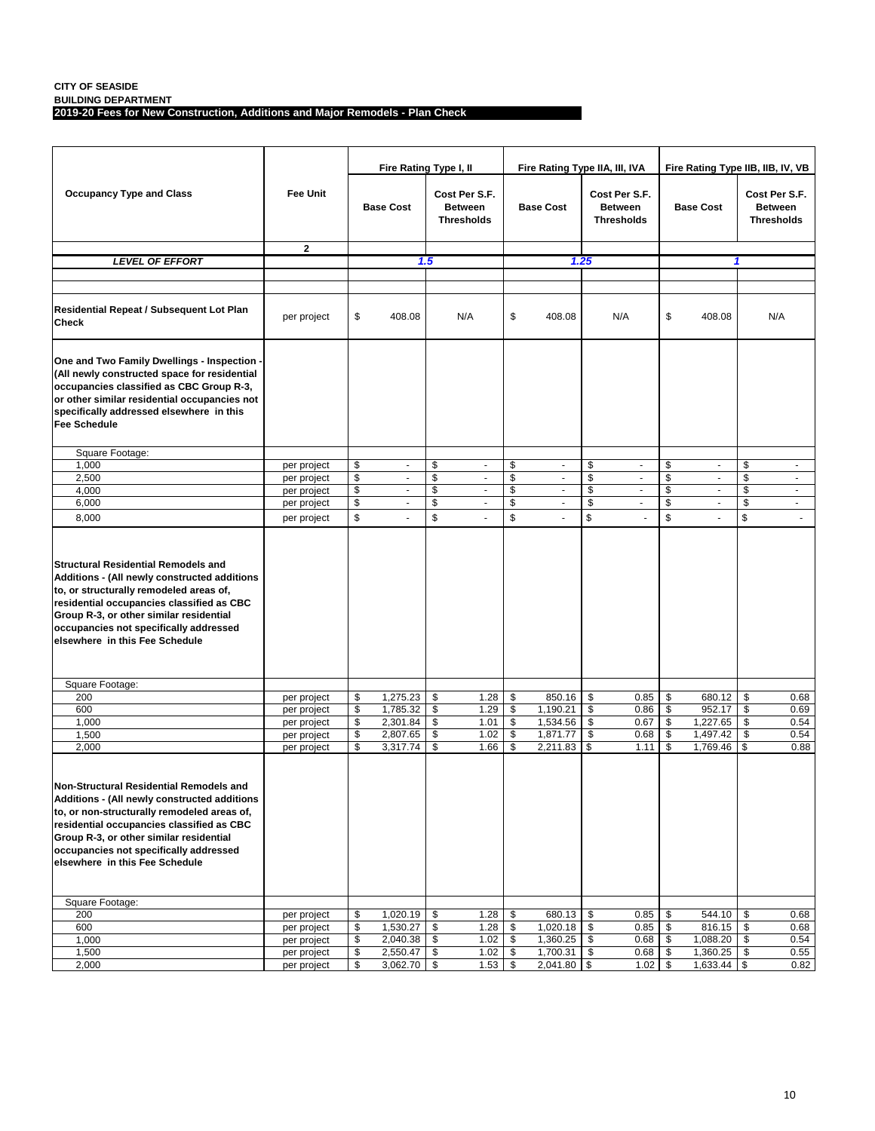**BUILDING DEPARTMENT**

**2019-20 Fees for New Construction, Additions and Major Remodels - Plan Check**

|                                                                                                                                                                                                                                                                                                            |                            |          | Fire Rating Type I, II   |                                                      |              |           | Fire Rating Type IIA, III, IVA |          |                                                      | Fire Rating Type IIB, IIB, IV, VB |                                   |                                                      |                             |  |
|------------------------------------------------------------------------------------------------------------------------------------------------------------------------------------------------------------------------------------------------------------------------------------------------------------|----------------------------|----------|--------------------------|------------------------------------------------------|--------------|-----------|--------------------------------|----------|------------------------------------------------------|-----------------------------------|-----------------------------------|------------------------------------------------------|-----------------------------|--|
| <b>Occupancy Type and Class</b>                                                                                                                                                                                                                                                                            | <b>Fee Unit</b>            |          | <b>Base Cost</b>         | Cost Per S.F.<br><b>Between</b><br><b>Thresholds</b> |              |           | <b>Base Cost</b>               |          | Cost Per S.F.<br><b>Between</b><br><b>Thresholds</b> |                                   | <b>Base Cost</b>                  | Cost Per S.F.<br><b>Between</b><br><b>Thresholds</b> |                             |  |
|                                                                                                                                                                                                                                                                                                            | $\mathbf{2}$               |          |                          |                                                      |              |           |                                |          |                                                      |                                   |                                   |                                                      |                             |  |
| <b>LEVEL OF EFFORT</b>                                                                                                                                                                                                                                                                                     |                            |          |                          | 1.5                                                  |              |           |                                | 1.25     |                                                      |                                   |                                   | 1                                                    |                             |  |
|                                                                                                                                                                                                                                                                                                            |                            |          |                          |                                                      |              |           |                                |          |                                                      |                                   |                                   |                                                      |                             |  |
| Residential Repeat / Subsequent Lot Plan<br>Check                                                                                                                                                                                                                                                          | per project                | \$       | 408.08                   |                                                      | N/A          | \$        | 408.08                         |          | N/A                                                  | \$                                | 408.08                            |                                                      | N/A                         |  |
| One and Two Family Dwellings - Inspection -<br>(All newly constructed space for residential<br>occupancies classified as CBC Group R-3,<br>or other similar residential occupancies not<br>specifically addressed elsewhere in this<br><b>Fee Schedule</b>                                                 |                            |          |                          |                                                      |              |           |                                |          |                                                      |                                   |                                   |                                                      |                             |  |
| Square Footage:                                                                                                                                                                                                                                                                                            |                            |          |                          |                                                      |              |           |                                |          |                                                      |                                   |                                   |                                                      |                             |  |
| 1,000                                                                                                                                                                                                                                                                                                      | per project                | \$       | $\blacksquare$           | \$                                                   | ٠            | \$        | $\blacksquare$                 | \$       | $\overline{\phantom{a}}$                             | \$                                | ٠                                 | \$                                                   | ٠                           |  |
| 2,500                                                                                                                                                                                                                                                                                                      | per project                | \$       | ÷,                       | \$                                                   | ÷,           | \$        | $\blacksquare$                 | \$       | ÷,                                                   | \$                                | $\blacksquare$                    | \$                                                   | $\blacksquare$              |  |
| 4,000<br>6,000                                                                                                                                                                                                                                                                                             | per project                | \$<br>\$ | $\Box$<br>$\blacksquare$ | \$<br>\$                                             | ÷.<br>÷.     | \$<br>\$  | $\omega$<br>×.                 | \$<br>\$ | $\blacksquare$<br>÷,                                 | \$<br>\$                          | $\mathcal{L}_{\mathcal{A}}$<br>×. | \$<br>\$                                             | $\blacksquare$<br>$\omega$  |  |
| 8,000                                                                                                                                                                                                                                                                                                      | per project<br>per project | \$       | $\overline{a}$           | \$                                                   | ä,           | \$        | ÷.                             | \$       | ÷.                                                   | \$                                |                                   | \$                                                   | $\mathcal{L}_{\mathcal{A}}$ |  |
| <b>Structural Residential Remodels and</b><br>Additions - (All newly constructed additions<br>to, or structurally remodeled areas of,<br>residential occupancies classified as CBC<br>Group R-3, or other similar residential<br>occupancies not specifically addressed<br>elsewhere in this Fee Schedule  |                            |          |                          |                                                      |              |           |                                |          |                                                      |                                   |                                   |                                                      |                             |  |
| Square Footage:                                                                                                                                                                                                                                                                                            |                            |          |                          |                                                      |              |           |                                |          |                                                      |                                   |                                   |                                                      |                             |  |
| 200                                                                                                                                                                                                                                                                                                        | per project                | \$       | 1,275.23                 | \$                                                   | 1.28         | \$        | 850.16                         | \$       | 0.85                                                 | \$                                | 680.12                            | \$                                                   | 0.68                        |  |
| 600                                                                                                                                                                                                                                                                                                        | per project                | \$       | 1,785.32                 | \$                                                   | 1.29         | \$        | 1,190.21                       | \$       | 0.86                                                 | \$                                | 952.17                            | \$                                                   | 0.69                        |  |
| 1,000<br>1,500                                                                                                                                                                                                                                                                                             | per project                | \$<br>\$ | 2,301.84<br>2,807.65     | \$<br>\$                                             | 1.01<br>1.02 | \$<br>\$  | 1,534.56<br>1,871.77           | \$<br>\$ | 0.67<br>0.68                                         | \$<br>\$                          | 1,227.65<br>1,497.42              | \$<br>\$                                             | 0.54<br>0.54                |  |
| 2,000                                                                                                                                                                                                                                                                                                      | per project<br>per project | \$       | 3,317.74                 | \$                                                   | 1.66         | \$        | 2,211.83                       | \$       | 1.11                                                 | \$                                | 1,769.46                          | \$                                                   | 0.88                        |  |
| Non-Structural Residential Remodels and<br>Additions - (All newly constructed additions<br>to, or non-structurally remodeled areas of,<br>residential occupancies classified as CBC<br>Group R-3, or other similar residential<br>occupancies not specifically addressed<br>elsewhere in this Fee Schedule |                            |          |                          |                                                      |              |           |                                |          |                                                      |                                   |                                   |                                                      |                             |  |
| Square Footage:                                                                                                                                                                                                                                                                                            |                            |          |                          |                                                      |              |           |                                |          |                                                      |                                   |                                   |                                                      |                             |  |
| 200                                                                                                                                                                                                                                                                                                        | per project                | \$       | 1,020.19                 | \$                                                   | 1.28         | \$        | 680.13                         | - \$     | 0.85                                                 | \$                                | 544.10                            | \$                                                   | 0.68                        |  |
| 600<br>1,000                                                                                                                                                                                                                                                                                               | per project<br>per project | \$<br>\$ | 1,530.27<br>2,040.38     | \$<br>\$                                             | 1.28<br>1.02 | \$<br>\$  | $1,020.18$ \$<br>1,360.25 \$   |          | 0.85<br>0.68                                         | \$<br>\$                          | 816.15<br>1,088.20                | \$<br>\$                                             | 0.68<br>0.54                |  |
| 1,500                                                                                                                                                                                                                                                                                                      | per project                | \$       | 2,550.47                 | \$                                                   | 1.02         | <b>\$</b> | 1,700.31 \$                    |          | 0.68                                                 | \$                                | 1,360.25                          | \$                                                   | 0.55                        |  |
| 2,000                                                                                                                                                                                                                                                                                                      | per project                | \$       | 3,062.70                 | \$                                                   | 1.53         | \$        | 2,041.80 \$                    |          | 1.02                                                 | \$                                | 1,633.44                          | \$                                                   | 0.82                        |  |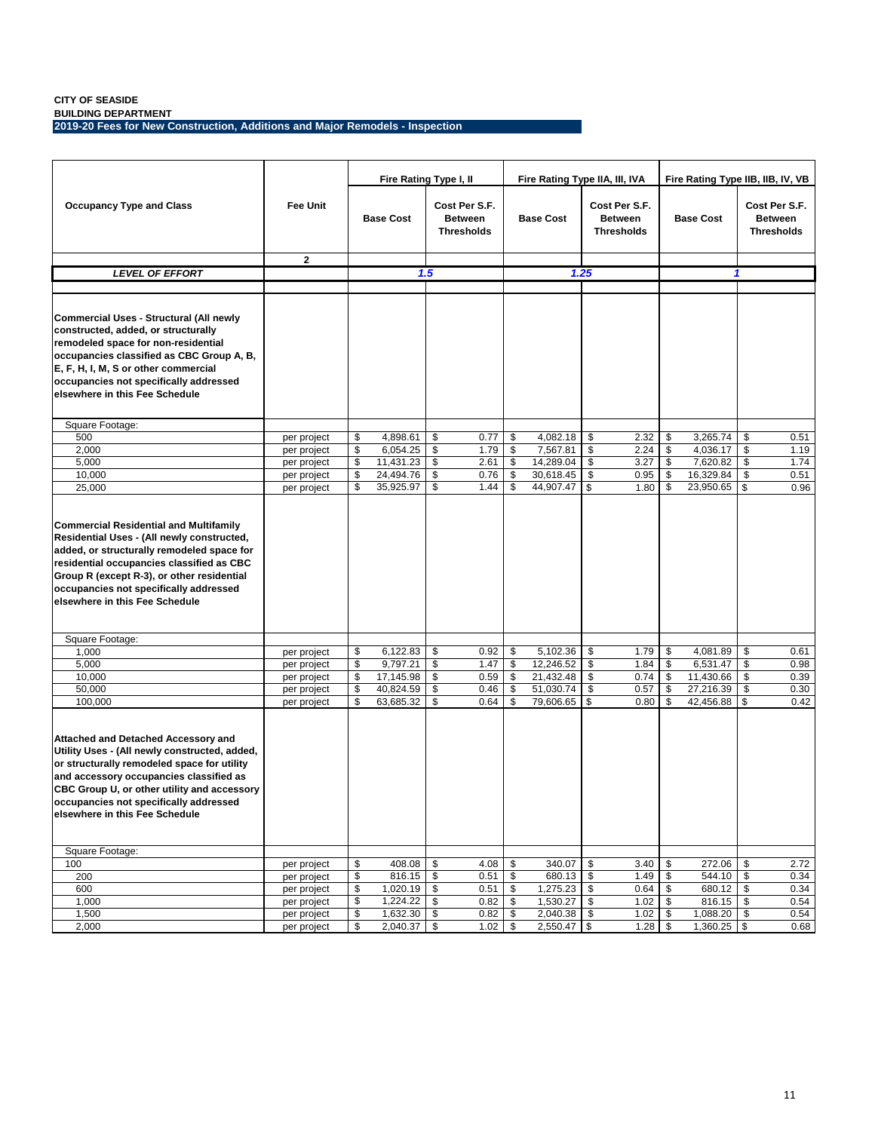**BUILDING DEPARTMENT 2019-20 Fees for New Construction, Additions and Major Remodels - Inspection**

|                                                                                                                                                                                                                                                                                                                  |                            | Fire Rating Type I, II |                      |          |                                                      |          | Fire Rating Type IIA, III, IVA |    | Fire Rating Type IIB, IIB, IV, VB                    |          |                           |    |                                                      |  |
|------------------------------------------------------------------------------------------------------------------------------------------------------------------------------------------------------------------------------------------------------------------------------------------------------------------|----------------------------|------------------------|----------------------|----------|------------------------------------------------------|----------|--------------------------------|----|------------------------------------------------------|----------|---------------------------|----|------------------------------------------------------|--|
| <b>Occupancy Type and Class</b>                                                                                                                                                                                                                                                                                  | <b>Fee Unit</b>            |                        | <b>Base Cost</b>     |          | Cost Per S.F.<br><b>Between</b><br><b>Thresholds</b> |          | <b>Base Cost</b>               |    | Cost Per S.F.<br><b>Between</b><br><b>Thresholds</b> |          | <b>Base Cost</b>          |    | Cost Per S.F.<br><b>Between</b><br><b>Thresholds</b> |  |
|                                                                                                                                                                                                                                                                                                                  | $\mathbf{2}$               |                        |                      |          |                                                      |          |                                |    |                                                      |          |                           |    |                                                      |  |
| LEVEL OF EFFORT                                                                                                                                                                                                                                                                                                  |                            |                        |                      | 1.5      |                                                      |          | 1.25                           |    |                                                      |          |                           | 1  |                                                      |  |
|                                                                                                                                                                                                                                                                                                                  |                            |                        |                      |          |                                                      |          |                                |    |                                                      |          |                           |    |                                                      |  |
| Commercial Uses - Structural (All newly<br>constructed, added, or structurally<br>remodeled space for non-residential<br>occupancies classified as CBC Group A, B,<br>E, F, H, I, M, S or other commercial<br>occupancies not specifically addressed<br>elsewhere in this Fee Schedule                           |                            |                        |                      |          |                                                      |          |                                |    |                                                      |          |                           |    |                                                      |  |
| Square Footage:                                                                                                                                                                                                                                                                                                  |                            |                        |                      |          |                                                      |          |                                |    |                                                      |          |                           |    |                                                      |  |
| 500                                                                                                                                                                                                                                                                                                              | per project                | \$                     | 4,898.61             | \$       | 0.77                                                 | \$       | 4,082.18                       | \$ | 2.32                                                 | \$       | 3,265.74                  | \$ | 0.51                                                 |  |
| 2,000                                                                                                                                                                                                                                                                                                            | per project                | \$                     | 6,054.25             | \$       | 1.79                                                 | \$       | 7,567.81                       | \$ | 2.24                                                 | \$       | 4.036.17                  | \$ | 1.19                                                 |  |
| 5,000                                                                                                                                                                                                                                                                                                            | per project                | \$                     | 11,431.23            | \$       | 2.61                                                 | \$       | 14,289.04                      | \$ | 3.27                                                 | \$       | 7,620.82                  | \$ | 1.74                                                 |  |
| 10,000                                                                                                                                                                                                                                                                                                           | per project                | \$                     | 24,494.76            | \$       | 0.76                                                 | \$       | 30,618.45                      | \$ | 0.95                                                 | \$       | 16,329.84                 | \$ | 0.51                                                 |  |
| 25,000                                                                                                                                                                                                                                                                                                           | per project                | \$                     | 35,925.97            | \$       | 1.44                                                 | \$       | 44,907.47 \$                   |    | 1.80                                                 | \$       | 23,950.65                 | \$ | 0.96                                                 |  |
| <b>Commercial Residential and Multifamily</b><br>Residential Uses - (All newly constructed,<br>added, or structurally remodeled space for<br>residential occupancies classified as CBC<br>Group R (except R-3), or other residential<br>occupancies not specifically addressed<br>elsewhere in this Fee Schedule |                            |                        |                      |          |                                                      |          |                                |    |                                                      |          |                           |    |                                                      |  |
| Square Footage:                                                                                                                                                                                                                                                                                                  |                            |                        |                      |          |                                                      |          |                                |    |                                                      |          |                           |    |                                                      |  |
| 1,000                                                                                                                                                                                                                                                                                                            | per project                | \$                     | 6,122.83             | \$       | 0.92                                                 | \$       | 5,102.36                       | \$ | 1.79                                                 | \$       | 4,081.89                  | \$ | 0.61                                                 |  |
| 5,000                                                                                                                                                                                                                                                                                                            | per project                | \$                     | 9,797.21             | \$       | 1.47                                                 | \$       | 12,246.52                      | \$ | 1.84                                                 | \$       | 6,531.47                  | \$ | 0.98                                                 |  |
| 10,000                                                                                                                                                                                                                                                                                                           | per project                | \$                     | 17,145.98            | \$       | 0.59                                                 | \$       | 21,432.48                      | \$ | 0.74                                                 | \$       | 11,430.66                 | \$ | 0.39                                                 |  |
| 50,000                                                                                                                                                                                                                                                                                                           | per project                | \$<br>\$               | 40,824.59            | \$<br>\$ | 0.46                                                 | \$<br>\$ | 51,030.74                      | \$ | 0.57                                                 | \$<br>\$ | 27,216.39                 | \$ | 0.30                                                 |  |
| 100,000                                                                                                                                                                                                                                                                                                          | per project                |                        | 63,685.32            |          | 0.64                                                 |          | 79,606.65 \$                   |    | 0.80                                                 |          | 42,456.88                 | \$ | 0.42                                                 |  |
| Attached and Detached Accessory and<br>Utility Uses - (All newly constructed, added,<br>or structurally remodeled space for utility<br>and accessory occupancies classified as<br>CBC Group U, or other utility and accessory<br>occupancies not specifically addressed<br>elsewhere in this Fee Schedule        |                            |                        |                      |          |                                                      |          |                                |    |                                                      |          |                           |    |                                                      |  |
| Square Footage:                                                                                                                                                                                                                                                                                                  |                            |                        |                      |          |                                                      |          |                                |    |                                                      |          |                           |    |                                                      |  |
| 100                                                                                                                                                                                                                                                                                                              | per project                | \$                     | 408.08               | \$       | 4.08                                                 | \$       | 340.07                         | \$ | 3.40                                                 | \$       | 272.06                    | \$ | 2.72                                                 |  |
| 200                                                                                                                                                                                                                                                                                                              | per project                | \$                     | 816.15               | - \$     | 0.51                                                 | \$       | 680.13 \$                      |    | 1.49                                                 | \$       | 544.10                    | \$ | 0.34                                                 |  |
| 600                                                                                                                                                                                                                                                                                                              | per project                | \$                     | 1,020.19             | \$       | 0.51                                                 | \$       | $1,275.23$ \$                  |    | 0.64                                                 | \$       | 680.12                    | \$ | 0.34                                                 |  |
| 1,000                                                                                                                                                                                                                                                                                                            | per project                | \$                     | 1,224.22<br>1,632.30 | \$       | 0.82                                                 | \$<br>\$ | $1,530.27$ \$                  |    | 1.02                                                 | \$       | 816.15                    | \$ | 0.54                                                 |  |
| 1,500<br>2,000                                                                                                                                                                                                                                                                                                   | per project<br>per project | \$<br>\$               | 2,040.37             | \$<br>\$ | 0.82<br>1.02                                         | \$       | 2,040.38 \$<br>$2,550.47$ \$   |    | 1.02<br>1.28                                         | \$<br>\$ | 1,088.20<br>$1,360.25$ \$ | \$ | 0.54<br>0.68                                         |  |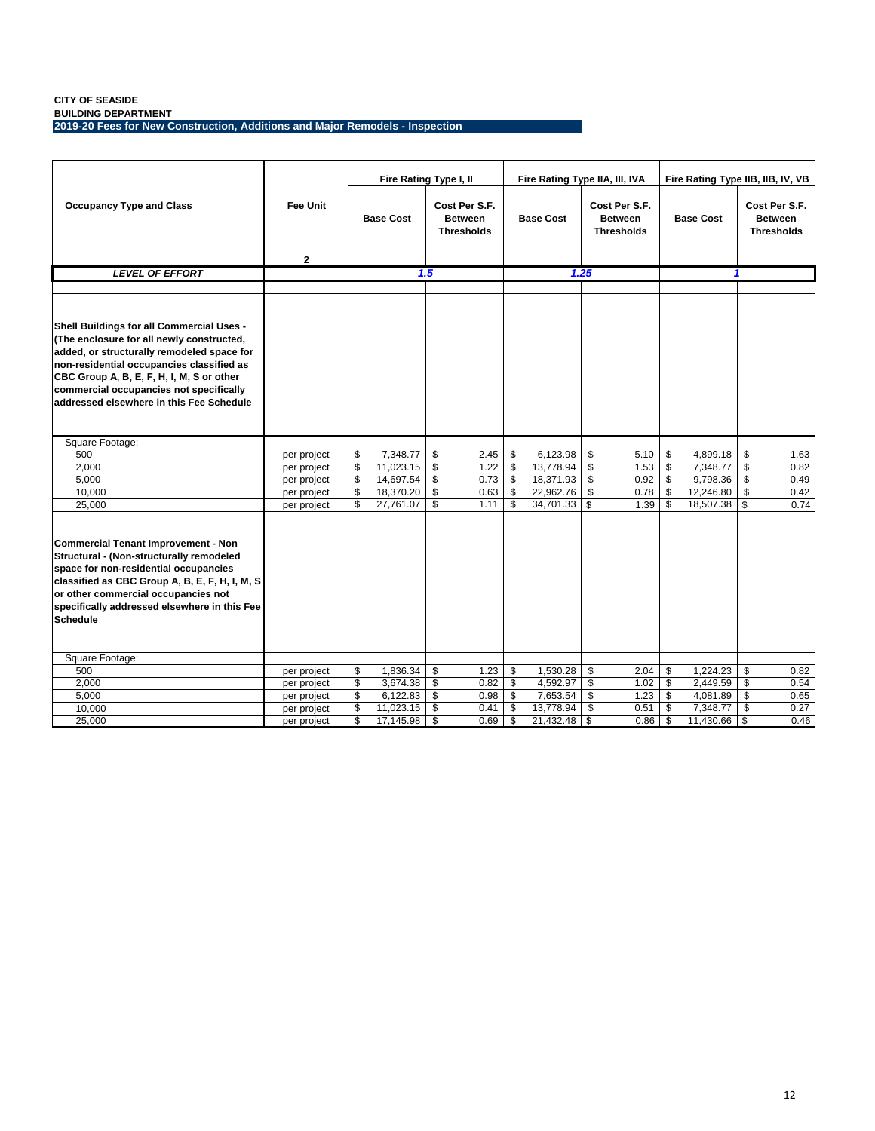**BUILDING DEPARTMENT 2019-20 Fees for New Construction, Additions and Major Remodels - Inspection**

|                                                                                                                                                                                                                                                                                                                       |                 |                         | Fire Rating Type I, II |                                                      |      |    | Fire Rating Type IIA, III, IVA |            | Fire Rating Type IIB, IIB, IV, VB                    |    |                  |    |                                                      |
|-----------------------------------------------------------------------------------------------------------------------------------------------------------------------------------------------------------------------------------------------------------------------------------------------------------------------|-----------------|-------------------------|------------------------|------------------------------------------------------|------|----|--------------------------------|------------|------------------------------------------------------|----|------------------|----|------------------------------------------------------|
| <b>Occupancy Type and Class</b>                                                                                                                                                                                                                                                                                       | <b>Fee Unit</b> | <b>Base Cost</b>        |                        | Cost Per S.F.<br><b>Between</b><br><b>Thresholds</b> |      |    | <b>Base Cost</b>               |            | Cost Per S.F.<br><b>Between</b><br><b>Thresholds</b> |    | <b>Base Cost</b> |    | Cost Per S.F.<br><b>Between</b><br><b>Thresholds</b> |
|                                                                                                                                                                                                                                                                                                                       | $\mathbf{2}$    |                         |                        |                                                      |      |    |                                |            |                                                      |    |                  |    |                                                      |
| <b>LEVEL OF EFFORT</b>                                                                                                                                                                                                                                                                                                |                 |                         |                        | 1.5                                                  |      |    |                                | 1.25       |                                                      |    | 1                |    |                                                      |
|                                                                                                                                                                                                                                                                                                                       |                 |                         |                        |                                                      |      |    |                                |            |                                                      |    |                  |    |                                                      |
| Shell Buildings for all Commercial Uses -<br>(The enclosure for all newly constructed,<br>added, or structurally remodeled space for<br>non-residential occupancies classified as<br>CBC Group A, B, E, F, H, I, M, S or other<br>commercial occupancies not specifically<br>addressed elsewhere in this Fee Schedule |                 |                         |                        |                                                      |      |    |                                |            |                                                      |    |                  |    |                                                      |
| Square Footage:                                                                                                                                                                                                                                                                                                       |                 |                         |                        |                                                      |      |    |                                |            |                                                      |    |                  |    |                                                      |
| 500                                                                                                                                                                                                                                                                                                                   | per project     | \$                      | 7,348.77               | \$                                                   | 2.45 | \$ | 6,123.98                       | \$         | 5.10                                                 | \$ | 4,899.18         | \$ | 1.63                                                 |
| 2.000                                                                                                                                                                                                                                                                                                                 | per project     | $\overline{\mathbb{S}}$ | 11,023.15              | \$                                                   | 1.22 | \$ | 13,778.94                      | \$         | 1.53                                                 | \$ | 7,348.77         | \$ | 0.82                                                 |
| 5,000                                                                                                                                                                                                                                                                                                                 | per project     | \$                      | 14,697.54              | \$                                                   | 0.73 | \$ | 18,371.93                      | \$         | 0.92                                                 | \$ | 9,798.36         | \$ | 0.49                                                 |
| 10,000                                                                                                                                                                                                                                                                                                                | per project     | \$                      | 18,370.20              | \$                                                   | 0.63 | \$ | 22,962.76                      | <b>S</b>   | 0.78                                                 | \$ | 12,246.80        | \$ | 0.42                                                 |
| 25,000                                                                                                                                                                                                                                                                                                                | per project     | \$                      | 27,761.07              | \$                                                   | 1.11 | \$ | 34,701.33                      | \$         | 1.39                                                 | \$ | 18,507.38        | \$ | 0.74                                                 |
| Commercial Tenant Improvement - Non<br>Structural - (Non-structurally remodeled<br>space for non-residential occupancies<br>classified as CBC Group A, B, E, F, H, I, M, S<br>or other commercial occupancies not<br>specifically addressed elsewhere in this Fee<br><b>Schedule</b>                                  |                 |                         |                        |                                                      |      |    |                                |            |                                                      |    |                  |    |                                                      |
| Square Footage:                                                                                                                                                                                                                                                                                                       |                 |                         |                        |                                                      |      |    |                                |            |                                                      |    |                  |    |                                                      |
| 500                                                                                                                                                                                                                                                                                                                   | per project     | \$                      | 1,836.34               | \$                                                   | 1.23 | \$ | 1,530.28                       | \$         | 2.04                                                 | \$ | 1,224.23         | \$ | 0.82                                                 |
| 2,000                                                                                                                                                                                                                                                                                                                 | per project     | \$                      | 3,674.38               | \$                                                   | 0.82 | \$ | 4,592.97                       | $\sqrt{2}$ | 1.02                                                 | \$ | 2,449.59         | \$ | 0.54                                                 |
| 5,000                                                                                                                                                                                                                                                                                                                 | per project     | \$                      | 6,122.83               | \$                                                   | 0.98 | \$ | 7,653.54                       | \$         | 1.23                                                 | \$ | 4,081.89         | \$ | 0.65                                                 |
| 10,000                                                                                                                                                                                                                                                                                                                | per project     | \$                      | 11,023.15              | \$                                                   | 0.41 | \$ | 13,778.94                      | -\$        | 0.51                                                 | \$ | 7,348.77         | \$ | 0.27                                                 |
| 25,000                                                                                                                                                                                                                                                                                                                | per project     | \$                      | 17,145.98              | \$                                                   | 0.69 | \$ | $21,432.48$ \$                 |            | 0.86                                                 | \$ | 11,430.66        | \$ | 0.46                                                 |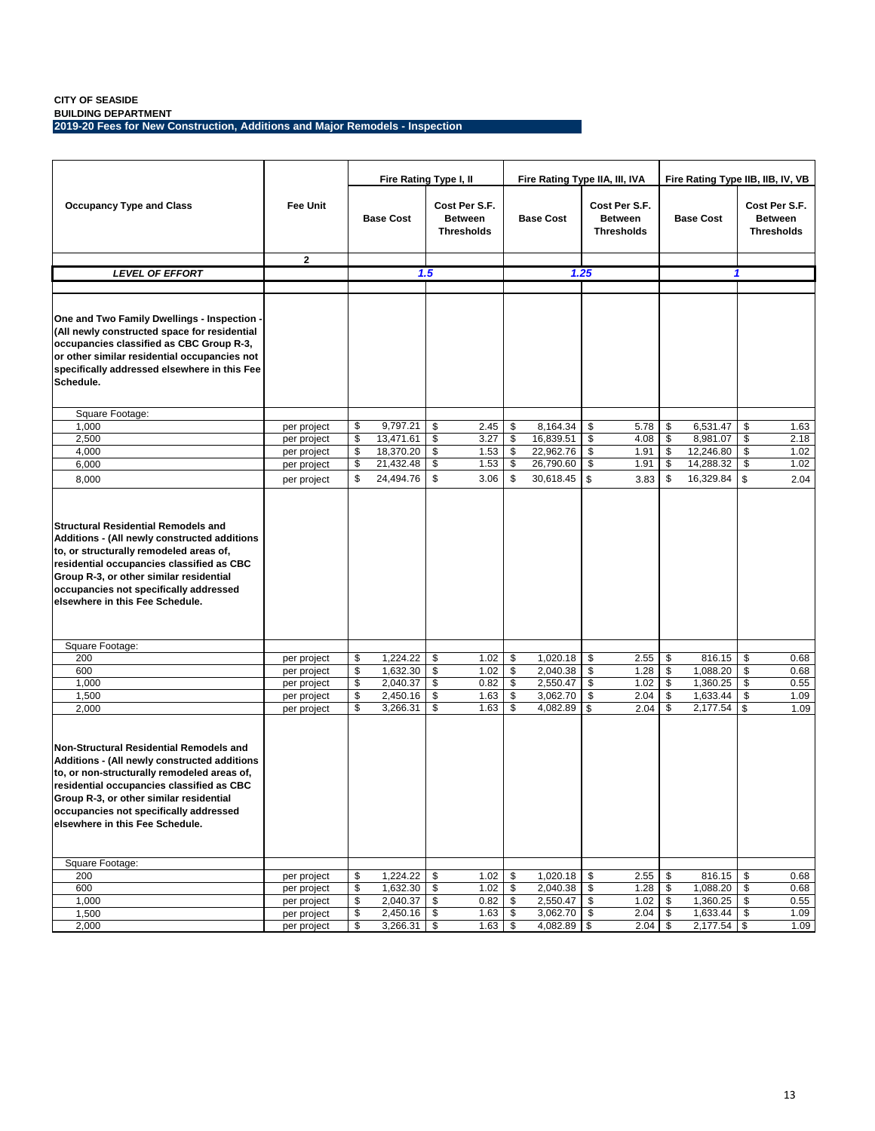**BUILDING DEPARTMENT 2019-20 Fees for New Construction, Additions and Major Remodels - Inspection**

|                                                                                                                                                                                                                                                                                                             |                 | Fire Rating Type I, II     |     |                                                      |          | Fire Rating Type IIA, III, IVA |      |                                                      | Fire Rating Type IIB, IIB, IV, VB |    |                                                      |
|-------------------------------------------------------------------------------------------------------------------------------------------------------------------------------------------------------------------------------------------------------------------------------------------------------------|-----------------|----------------------------|-----|------------------------------------------------------|----------|--------------------------------|------|------------------------------------------------------|-----------------------------------|----|------------------------------------------------------|
| <b>Occupancy Type and Class</b>                                                                                                                                                                                                                                                                             | <b>Fee Unit</b> | <b>Base Cost</b>           |     | Cost Per S.F.<br><b>Between</b><br><b>Thresholds</b> |          | <b>Base Cost</b>               |      | Cost Per S.F.<br><b>Between</b><br><b>Thresholds</b> | <b>Base Cost</b>                  |    | Cost Per S.F.<br><b>Between</b><br><b>Thresholds</b> |
|                                                                                                                                                                                                                                                                                                             | $\mathbf{2}$    |                            |     |                                                      |          |                                |      |                                                      |                                   |    |                                                      |
| LEVEL OF EFFORT                                                                                                                                                                                                                                                                                             |                 |                            | 1.5 |                                                      |          |                                | 1.25 |                                                      |                                   | 1  |                                                      |
| One and Two Family Dwellings - Inspection -<br>(All newly constructed space for residential<br>occupancies classified as CBC Group R-3,<br>or other similar residential occupancies not<br>specifically addressed elsewhere in this Fee<br>Schedule.                                                        |                 |                            |     |                                                      |          |                                |      |                                                      |                                   |    |                                                      |
| Square Footage:                                                                                                                                                                                                                                                                                             |                 |                            |     |                                                      |          |                                |      |                                                      |                                   |    |                                                      |
| 1,000                                                                                                                                                                                                                                                                                                       | per project     | \$<br>9,797.21             | \$  | 2.45                                                 | \$       | 8,164.34                       | \$   | 5.78                                                 | \$<br>6,531.47                    | \$ | 1.63                                                 |
| 2,500                                                                                                                                                                                                                                                                                                       | per project     | \$<br>13,471.61            | \$  | 3.27                                                 | \$       | 16,839.51                      | \$   | 4.08                                                 | \$<br>8,981.07                    | \$ | 2.18                                                 |
| 4,000                                                                                                                                                                                                                                                                                                       | per project     | \$<br>18,370.20            | \$  | 1.53                                                 | \$       | 22,962.76                      | \$   | 1.91                                                 | \$<br>12,246.80                   | \$ | 1.02                                                 |
| 6,000                                                                                                                                                                                                                                                                                                       | per project     | \$<br>21,432.48            | \$  | 1.53                                                 | \$       | 26,790.60                      | \$   | 1.91                                                 | \$<br>14,288.32                   | \$ | 1.02                                                 |
| 8,000                                                                                                                                                                                                                                                                                                       | per project     | \$<br>24,494.76            | \$  | 3.06                                                 | \$       | 30,618.45                      | \$   | 3.83                                                 | \$<br>16,329.84                   | \$ | 2.04                                                 |
| <b>Structural Residential Remodels and</b><br>Additions - (All newly constructed additions<br>to, or structurally remodeled areas of,<br>residential occupancies classified as CBC<br>Group R-3, or other similar residential<br>occupancies not specifically addressed<br>elsewhere in this Fee Schedule.  |                 |                            |     |                                                      |          |                                |      |                                                      |                                   |    |                                                      |
| Square Footage:                                                                                                                                                                                                                                                                                             |                 |                            |     |                                                      |          |                                |      |                                                      |                                   |    |                                                      |
| 200                                                                                                                                                                                                                                                                                                         | per project     | \$<br>1,224.22             | \$  | 1.02                                                 | \$       | 1,020.18                       | \$   | 2.55                                                 | \$<br>816.15                      | \$ | 0.68                                                 |
| 600                                                                                                                                                                                                                                                                                                         | per project     | \$<br>1,632.30             | \$  | 1.02                                                 | \$       | 2,040.38 \$                    |      | 1.28                                                 | \$<br>1,088.20                    | \$ | 0.68                                                 |
| 1,000                                                                                                                                                                                                                                                                                                       | per project     | \$<br>2,040.37             | \$  | 0.82                                                 | \$       | 2,550.47                       | \$   | 1.02                                                 | \$<br>1,360.25                    | \$ | 0.55                                                 |
| 1,500                                                                                                                                                                                                                                                                                                       | per project     | \$<br>2,450.16             | \$  | 1.63                                                 | \$       | 3,062.70                       | \$   | 2.04                                                 | \$<br>1,633.44                    | \$ | 1.09                                                 |
| 2,000                                                                                                                                                                                                                                                                                                       | per project     | \$<br>3,266.31             | \$  | 1.63                                                 | \$       | 4,082.89                       | \$   | 2.04                                                 | \$<br>2,177.54                    | \$ | 1.09                                                 |
| Non-Structural Residential Remodels and<br>Additions - (All newly constructed additions<br>to, or non-structurally remodeled areas of,<br>residential occupancies classified as CBC<br>Group R-3, or other similar residential<br>occupancies not specifically addressed<br>elsewhere in this Fee Schedule. |                 |                            |     |                                                      |          |                                |      |                                                      |                                   |    |                                                      |
| Square Footage:                                                                                                                                                                                                                                                                                             |                 |                            |     |                                                      |          |                                |      |                                                      |                                   |    |                                                      |
| 200                                                                                                                                                                                                                                                                                                         | per project     | \$<br>1,224.22             | \$  | 1.02                                                 | \$       | $1,020.18$ \$                  |      | 2.55                                                 | \$<br>816.15                      | \$ | 0.68                                                 |
| 600                                                                                                                                                                                                                                                                                                         | per project     | \$<br>1,632.30             | \$  | 1.02                                                 | \$       | 2,040.38 \$                    |      | 1.28                                                 | \$<br>1,088.20                    | \$ | 0.68                                                 |
| 1,000                                                                                                                                                                                                                                                                                                       | per project     | \$<br>2,040.37             | \$  | 0.82                                                 | \$       | 2,550.47 \$                    |      | 1.02                                                 | \$<br>1,360.25                    | \$ | 0.55                                                 |
| 1,500                                                                                                                                                                                                                                                                                                       | per project     | \$<br>2,450.16<br>3,266.31 | \$  | 1.63<br>1.63                                         | \$<br>\$ | 3,062.70 \$<br>4,082.89 \$     |      | 2.04<br>$2.04 \overline{\$}$                         | \$<br>1,633.44<br>$2,177.54$ \$   | \$ | 1.09                                                 |
| 2,000                                                                                                                                                                                                                                                                                                       | per project     | \$                         | \$  |                                                      |          |                                |      |                                                      |                                   |    | 1.09                                                 |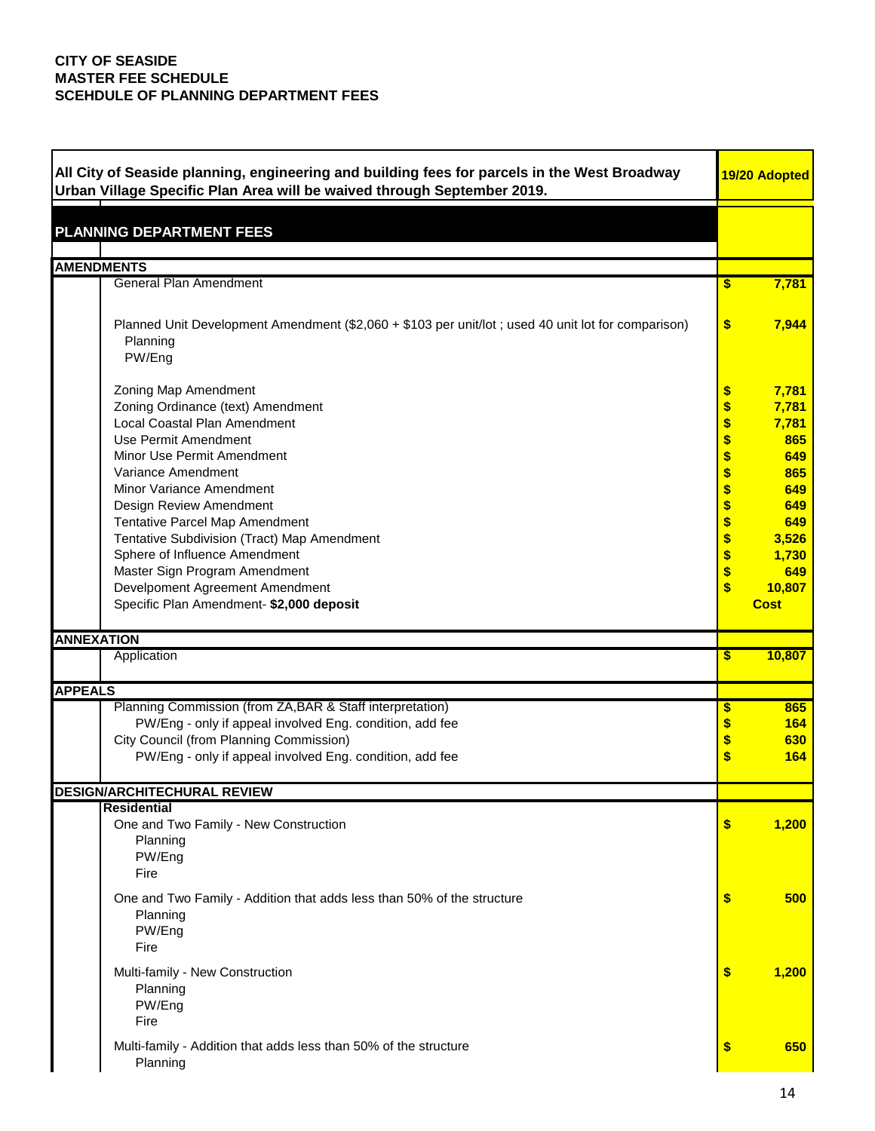| Urban Village Specific Plan Area will be waived through September 2019.<br><b>AMENDMENTS</b><br><b>General Plan Amendment</b><br>7,781<br>\$<br>\$<br>7,944<br>Planned Unit Development Amendment (\$2,060 + \$103 per unit/lot; used 40 unit lot for comparison)<br>Planning<br>PW/Eng<br>7,781<br>Zoning Map Amendment<br>\$<br>\$<br>Zoning Ordinance (text) Amendment<br>7,781<br>\$<br>Local Coastal Plan Amendment<br>7,781<br>\$<br>Use Permit Amendment<br>865<br>\$<br>Minor Use Permit Amendment<br>649<br>\$<br>Variance Amendment<br>865<br>\$<br>Minor Variance Amendment<br>649<br>\$<br>Design Review Amendment<br>649<br>\$<br>Tentative Parcel Map Amendment<br>649<br>\$<br>Tentative Subdivision (Tract) Map Amendment<br>3,526<br>\$<br>Sphere of Influence Amendment<br>1,730<br>\$<br>Master Sign Program Amendment<br>649<br>\$<br>Develpoment Agreement Amendment<br>10,807<br>Specific Plan Amendment- \$2,000 deposit<br><b>Cost</b><br><b>ANNEXATION</b> |
|-------------------------------------------------------------------------------------------------------------------------------------------------------------------------------------------------------------------------------------------------------------------------------------------------------------------------------------------------------------------------------------------------------------------------------------------------------------------------------------------------------------------------------------------------------------------------------------------------------------------------------------------------------------------------------------------------------------------------------------------------------------------------------------------------------------------------------------------------------------------------------------------------------------------------------------------------------------------------------------|
|                                                                                                                                                                                                                                                                                                                                                                                                                                                                                                                                                                                                                                                                                                                                                                                                                                                                                                                                                                                     |
| <b>PLANNING DEPARTMENT FEES</b>                                                                                                                                                                                                                                                                                                                                                                                                                                                                                                                                                                                                                                                                                                                                                                                                                                                                                                                                                     |
|                                                                                                                                                                                                                                                                                                                                                                                                                                                                                                                                                                                                                                                                                                                                                                                                                                                                                                                                                                                     |
|                                                                                                                                                                                                                                                                                                                                                                                                                                                                                                                                                                                                                                                                                                                                                                                                                                                                                                                                                                                     |
|                                                                                                                                                                                                                                                                                                                                                                                                                                                                                                                                                                                                                                                                                                                                                                                                                                                                                                                                                                                     |
|                                                                                                                                                                                                                                                                                                                                                                                                                                                                                                                                                                                                                                                                                                                                                                                                                                                                                                                                                                                     |
|                                                                                                                                                                                                                                                                                                                                                                                                                                                                                                                                                                                                                                                                                                                                                                                                                                                                                                                                                                                     |
|                                                                                                                                                                                                                                                                                                                                                                                                                                                                                                                                                                                                                                                                                                                                                                                                                                                                                                                                                                                     |
|                                                                                                                                                                                                                                                                                                                                                                                                                                                                                                                                                                                                                                                                                                                                                                                                                                                                                                                                                                                     |
|                                                                                                                                                                                                                                                                                                                                                                                                                                                                                                                                                                                                                                                                                                                                                                                                                                                                                                                                                                                     |
|                                                                                                                                                                                                                                                                                                                                                                                                                                                                                                                                                                                                                                                                                                                                                                                                                                                                                                                                                                                     |
|                                                                                                                                                                                                                                                                                                                                                                                                                                                                                                                                                                                                                                                                                                                                                                                                                                                                                                                                                                                     |
|                                                                                                                                                                                                                                                                                                                                                                                                                                                                                                                                                                                                                                                                                                                                                                                                                                                                                                                                                                                     |
|                                                                                                                                                                                                                                                                                                                                                                                                                                                                                                                                                                                                                                                                                                                                                                                                                                                                                                                                                                                     |
|                                                                                                                                                                                                                                                                                                                                                                                                                                                                                                                                                                                                                                                                                                                                                                                                                                                                                                                                                                                     |
|                                                                                                                                                                                                                                                                                                                                                                                                                                                                                                                                                                                                                                                                                                                                                                                                                                                                                                                                                                                     |
|                                                                                                                                                                                                                                                                                                                                                                                                                                                                                                                                                                                                                                                                                                                                                                                                                                                                                                                                                                                     |
|                                                                                                                                                                                                                                                                                                                                                                                                                                                                                                                                                                                                                                                                                                                                                                                                                                                                                                                                                                                     |
|                                                                                                                                                                                                                                                                                                                                                                                                                                                                                                                                                                                                                                                                                                                                                                                                                                                                                                                                                                                     |
|                                                                                                                                                                                                                                                                                                                                                                                                                                                                                                                                                                                                                                                                                                                                                                                                                                                                                                                                                                                     |
|                                                                                                                                                                                                                                                                                                                                                                                                                                                                                                                                                                                                                                                                                                                                                                                                                                                                                                                                                                                     |
|                                                                                                                                                                                                                                                                                                                                                                                                                                                                                                                                                                                                                                                                                                                                                                                                                                                                                                                                                                                     |
|                                                                                                                                                                                                                                                                                                                                                                                                                                                                                                                                                                                                                                                                                                                                                                                                                                                                                                                                                                                     |
|                                                                                                                                                                                                                                                                                                                                                                                                                                                                                                                                                                                                                                                                                                                                                                                                                                                                                                                                                                                     |
|                                                                                                                                                                                                                                                                                                                                                                                                                                                                                                                                                                                                                                                                                                                                                                                                                                                                                                                                                                                     |
|                                                                                                                                                                                                                                                                                                                                                                                                                                                                                                                                                                                                                                                                                                                                                                                                                                                                                                                                                                                     |
| 10,807<br>Application<br>\$                                                                                                                                                                                                                                                                                                                                                                                                                                                                                                                                                                                                                                                                                                                                                                                                                                                                                                                                                         |
| <b>APPEALS</b>                                                                                                                                                                                                                                                                                                                                                                                                                                                                                                                                                                                                                                                                                                                                                                                                                                                                                                                                                                      |
| Planning Commission (from ZA, BAR & Staff interpretation)<br>\$<br>865                                                                                                                                                                                                                                                                                                                                                                                                                                                                                                                                                                                                                                                                                                                                                                                                                                                                                                              |
| PW/Eng - only if appeal involved Eng. condition, add fee<br>\$<br>164                                                                                                                                                                                                                                                                                                                                                                                                                                                                                                                                                                                                                                                                                                                                                                                                                                                                                                               |
| \$<br>City Council (from Planning Commission)<br>630                                                                                                                                                                                                                                                                                                                                                                                                                                                                                                                                                                                                                                                                                                                                                                                                                                                                                                                                |
| PW/Eng - only if appeal involved Eng. condition, add fee<br>\$<br>164                                                                                                                                                                                                                                                                                                                                                                                                                                                                                                                                                                                                                                                                                                                                                                                                                                                                                                               |
|                                                                                                                                                                                                                                                                                                                                                                                                                                                                                                                                                                                                                                                                                                                                                                                                                                                                                                                                                                                     |
| <b>DESIGN/ARCHITECHURAL REVIEW</b>                                                                                                                                                                                                                                                                                                                                                                                                                                                                                                                                                                                                                                                                                                                                                                                                                                                                                                                                                  |
| Residential                                                                                                                                                                                                                                                                                                                                                                                                                                                                                                                                                                                                                                                                                                                                                                                                                                                                                                                                                                         |
| One and Two Family - New Construction<br>1,200<br>\$                                                                                                                                                                                                                                                                                                                                                                                                                                                                                                                                                                                                                                                                                                                                                                                                                                                                                                                                |
| Planning                                                                                                                                                                                                                                                                                                                                                                                                                                                                                                                                                                                                                                                                                                                                                                                                                                                                                                                                                                            |
| PW/Eng                                                                                                                                                                                                                                                                                                                                                                                                                                                                                                                                                                                                                                                                                                                                                                                                                                                                                                                                                                              |
| Fire                                                                                                                                                                                                                                                                                                                                                                                                                                                                                                                                                                                                                                                                                                                                                                                                                                                                                                                                                                                |
| 500<br>One and Two Family - Addition that adds less than 50% of the structure<br>\$                                                                                                                                                                                                                                                                                                                                                                                                                                                                                                                                                                                                                                                                                                                                                                                                                                                                                                 |
| Planning                                                                                                                                                                                                                                                                                                                                                                                                                                                                                                                                                                                                                                                                                                                                                                                                                                                                                                                                                                            |
| PW/Eng                                                                                                                                                                                                                                                                                                                                                                                                                                                                                                                                                                                                                                                                                                                                                                                                                                                                                                                                                                              |
| Fire                                                                                                                                                                                                                                                                                                                                                                                                                                                                                                                                                                                                                                                                                                                                                                                                                                                                                                                                                                                |
| Multi-family - New Construction<br>\$<br>1,200                                                                                                                                                                                                                                                                                                                                                                                                                                                                                                                                                                                                                                                                                                                                                                                                                                                                                                                                      |
| Planning                                                                                                                                                                                                                                                                                                                                                                                                                                                                                                                                                                                                                                                                                                                                                                                                                                                                                                                                                                            |
| PW/Eng                                                                                                                                                                                                                                                                                                                                                                                                                                                                                                                                                                                                                                                                                                                                                                                                                                                                                                                                                                              |
| Fire                                                                                                                                                                                                                                                                                                                                                                                                                                                                                                                                                                                                                                                                                                                                                                                                                                                                                                                                                                                |
| Multi-family - Addition that adds less than 50% of the structure<br>\$<br>650                                                                                                                                                                                                                                                                                                                                                                                                                                                                                                                                                                                                                                                                                                                                                                                                                                                                                                       |
| Planning                                                                                                                                                                                                                                                                                                                                                                                                                                                                                                                                                                                                                                                                                                                                                                                                                                                                                                                                                                            |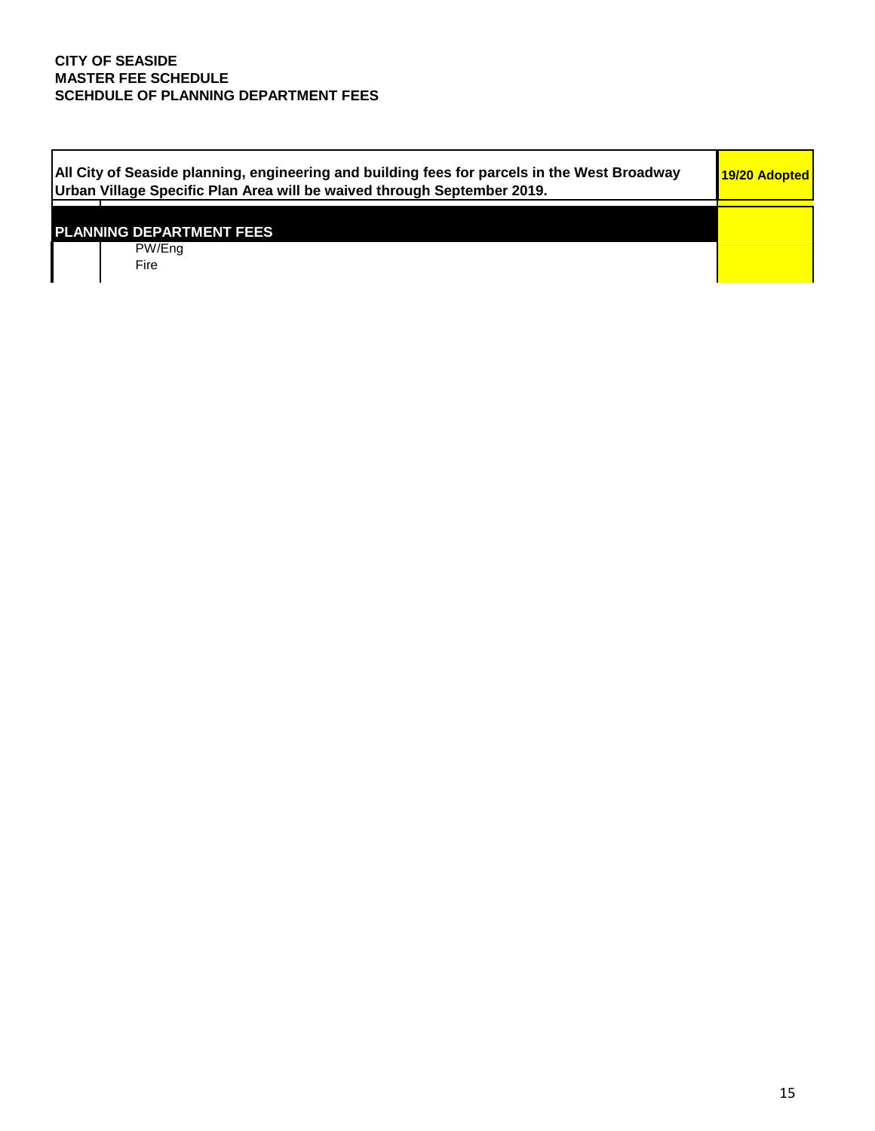| All City of Seaside planning, engineering and building fees for parcels in the West Broadway<br>Urban Village Specific Plan Area will be waived through September 2019. | 19/20 Adopted |
|-------------------------------------------------------------------------------------------------------------------------------------------------------------------------|---------------|
|                                                                                                                                                                         |               |
| <b>PLANNING DEPARTMENT FEES</b>                                                                                                                                         |               |
| PW/Ena                                                                                                                                                                  |               |
| Fire                                                                                                                                                                    |               |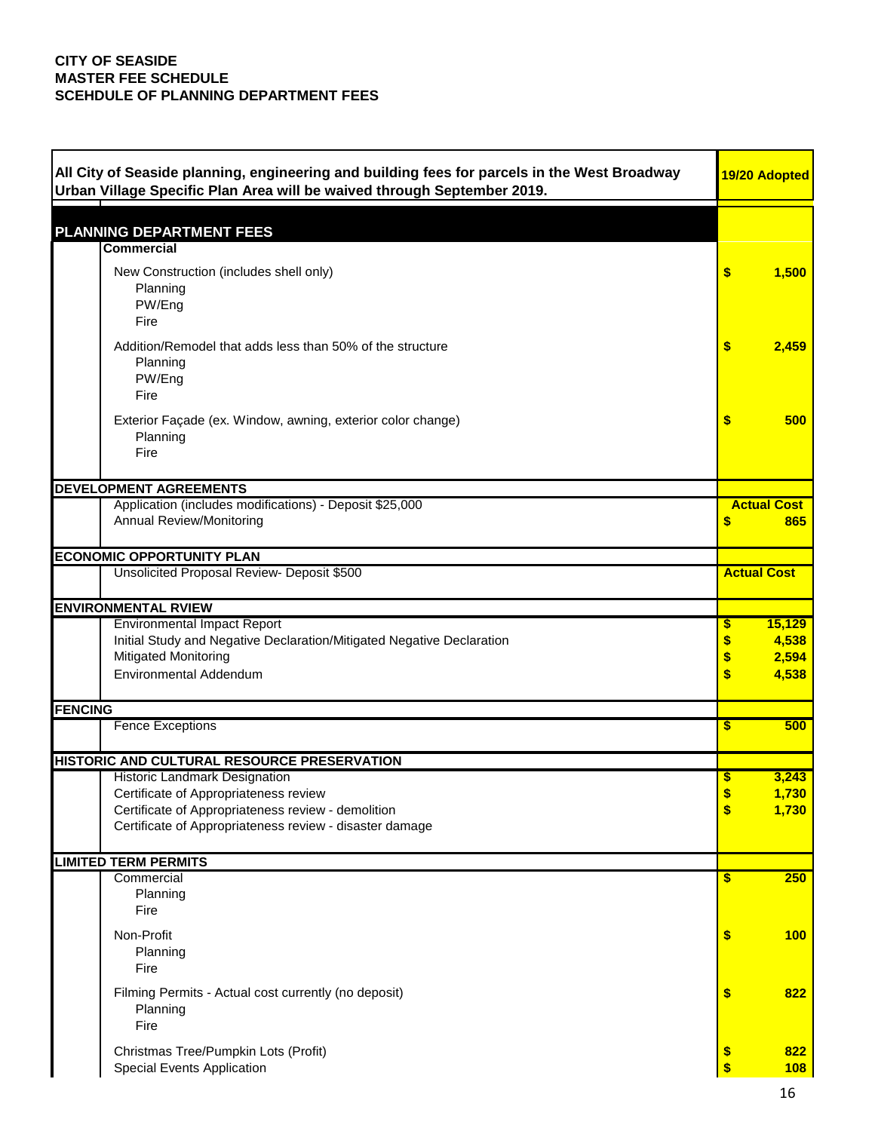| All City of Seaside planning, engineering and building fees for parcels in the West Broadway<br>Urban Village Specific Plan Area will be waived through September 2019. | 19/20 Adopted               |
|-------------------------------------------------------------------------------------------------------------------------------------------------------------------------|-----------------------------|
|                                                                                                                                                                         |                             |
| <b>PLANNING DEPARTMENT FEES</b>                                                                                                                                         |                             |
| <b>Commercial</b>                                                                                                                                                       |                             |
| New Construction (includes shell only)                                                                                                                                  | \$<br>1,500                 |
| Planning<br>PW/Eng                                                                                                                                                      |                             |
| Fire                                                                                                                                                                    |                             |
| Addition/Remodel that adds less than 50% of the structure                                                                                                               | \$<br>2,459                 |
| Planning                                                                                                                                                                |                             |
| PW/Eng                                                                                                                                                                  |                             |
| Fire                                                                                                                                                                    |                             |
| Exterior Façade (ex. Window, awning, exterior color change)                                                                                                             | \$<br>500                   |
| Planning<br>Fire                                                                                                                                                        |                             |
|                                                                                                                                                                         |                             |
| <b>DEVELOPMENT AGREEMENTS</b>                                                                                                                                           |                             |
| Application (includes modifications) - Deposit \$25,000                                                                                                                 | <b>Actual Cost</b>          |
| <b>Annual Review/Monitoring</b>                                                                                                                                         | \$<br>865                   |
| <b>ECONOMIC OPPORTUNITY PLAN</b>                                                                                                                                        |                             |
| Unsolicited Proposal Review- Deposit \$500                                                                                                                              | <b>Actual Cost</b>          |
|                                                                                                                                                                         |                             |
| <b>ENVIRONMENTAL RVIEW</b><br><b>Environmental Impact Report</b>                                                                                                        | 15,129<br>\$                |
| Initial Study and Negative Declaration/Mitigated Negative Declaration                                                                                                   | 4,538<br>\$                 |
| Mitigated Monitoring                                                                                                                                                    | \$<br>2,594                 |
| <b>Environmental Addendum</b>                                                                                                                                           | \$<br>4,538                 |
| <b>FENCING</b>                                                                                                                                                          |                             |
| <b>Fence Exceptions</b>                                                                                                                                                 | 500<br>\$                   |
|                                                                                                                                                                         |                             |
| HISTORIC AND CULTURAL RESOURCE PRESERVATION                                                                                                                             |                             |
| Historic Landmark Designation<br>Certificate of Appropriateness review                                                                                                  | 3,243<br>\$<br>1,730<br>\$  |
| Certificate of Appropriateness review - demolition                                                                                                                      | \$<br>1,730                 |
| Certificate of Appropriateness review - disaster damage                                                                                                                 |                             |
| <b>LIMITED TERM PERMITS</b>                                                                                                                                             |                             |
| Commercial                                                                                                                                                              | 250<br>\$                   |
| Planning                                                                                                                                                                |                             |
| Fire                                                                                                                                                                    |                             |
| Non-Profit                                                                                                                                                              | \$<br>100                   |
| Planning                                                                                                                                                                |                             |
| Fire                                                                                                                                                                    |                             |
| Filming Permits - Actual cost currently (no deposit)                                                                                                                    | \$<br>822                   |
| Planning<br>Fire                                                                                                                                                        |                             |
|                                                                                                                                                                         |                             |
| Christmas Tree/Pumpkin Lots (Profit)<br>Special Events Application                                                                                                      | $\frac{1}{2}$<br>822<br>108 |
|                                                                                                                                                                         |                             |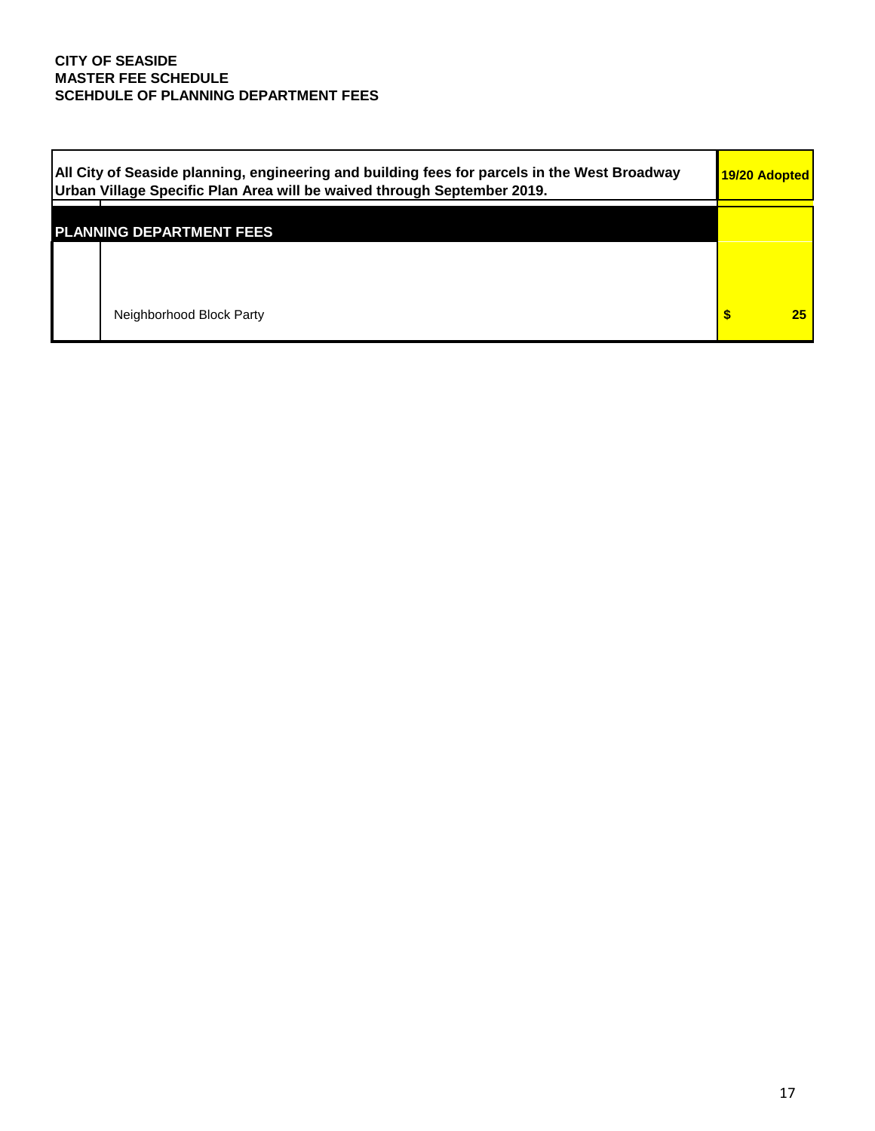| All City of Seaside planning, engineering and building fees for parcels in the West Broadway<br>Urban Village Specific Plan Area will be waived through September 2019. | 19/20 Adopted |    |
|-------------------------------------------------------------------------------------------------------------------------------------------------------------------------|---------------|----|
| <b>PLANNING DEPARTMENT FEES</b>                                                                                                                                         |               |    |
|                                                                                                                                                                         |               |    |
| Neighborhood Block Party                                                                                                                                                |               | 25 |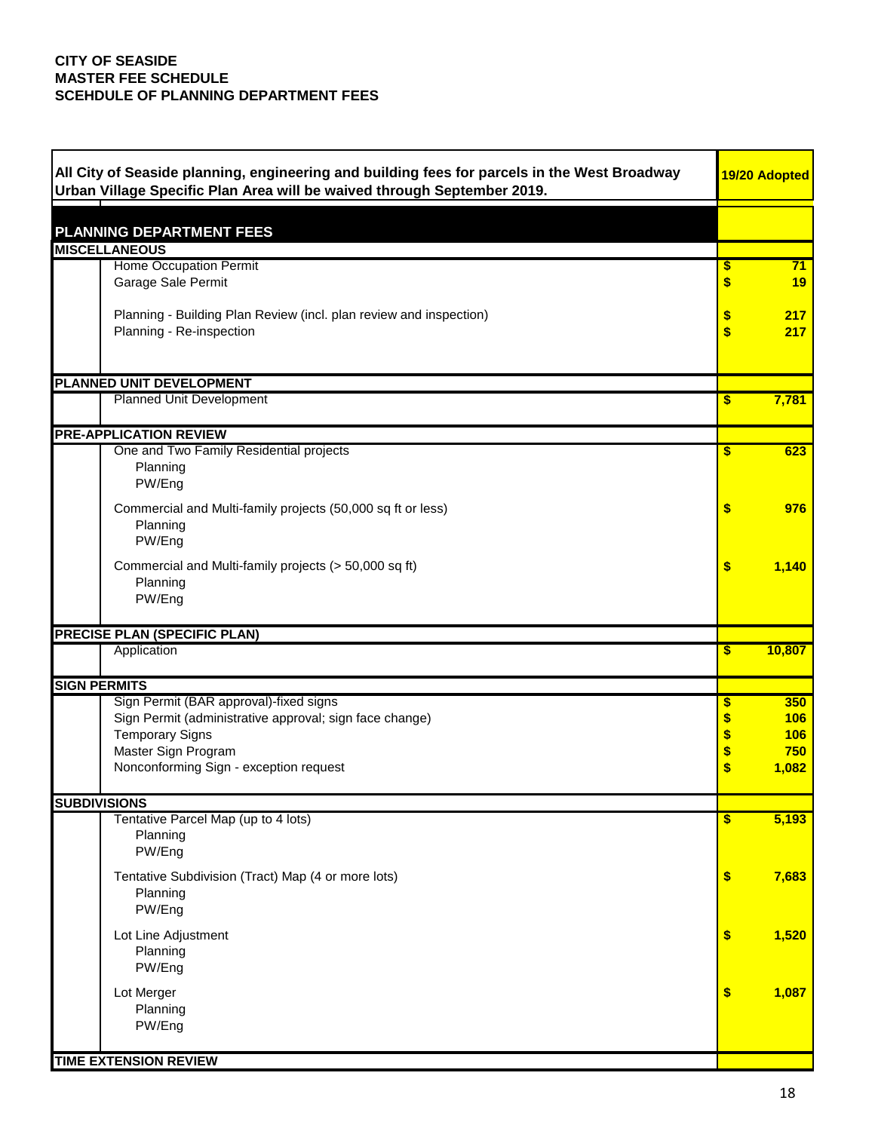| All City of Seaside planning, engineering and building fees for parcels in the West Broadway<br>Urban Village Specific Plan Area will be waived through September 2019. |          | 19/20 Adopted |
|-------------------------------------------------------------------------------------------------------------------------------------------------------------------------|----------|---------------|
|                                                                                                                                                                         |          |               |
| <b>PLANNING DEPARTMENT FEES</b><br><b>MISCELLANEOUS</b>                                                                                                                 |          |               |
| Home Occupation Permit                                                                                                                                                  | \$       | 71            |
| Garage Sale Permit                                                                                                                                                      | \$       | 19            |
| Planning - Building Plan Review (incl. plan review and inspection)<br>Planning - Re-inspection                                                                          | \$<br>\$ | 217<br>217    |
| PLANNED UNIT DEVELOPMENT                                                                                                                                                |          |               |
| <b>Planned Unit Development</b>                                                                                                                                         | \$       | 7,781         |
| <b>PRE-APPLICATION REVIEW</b>                                                                                                                                           |          |               |
| One and Two Family Residential projects<br>Planning<br>PW/Eng                                                                                                           | \$       | 623           |
| Commercial and Multi-family projects (50,000 sq ft or less)<br>Planning<br>PW/Eng                                                                                       | \$       | 976           |
| Commercial and Multi-family projects (> 50,000 sq ft)<br>Planning<br>PW/Eng                                                                                             | \$       | 1,140         |
| PRECISE PLAN (SPECIFIC PLAN)                                                                                                                                            |          |               |
| Application                                                                                                                                                             | \$       | 10,807        |
| <b>SIGN PERMITS</b>                                                                                                                                                     |          |               |
| Sign Permit (BAR approval)-fixed signs                                                                                                                                  | \$       | 350           |
| Sign Permit (administrative approval; sign face change)                                                                                                                 | \$       | 106           |
| <b>Temporary Signs</b>                                                                                                                                                  | \$       | 106           |
| Master Sign Program                                                                                                                                                     | \$       | 750           |
| Nonconforming Sign - exception request                                                                                                                                  | \$       | 1,082         |
| <b>SUBDIVISIONS</b>                                                                                                                                                     |          |               |
| Tentative Parcel Map (up to 4 lots)                                                                                                                                     | \$       | 5,193         |
| Planning<br>PW/Eng                                                                                                                                                      |          |               |
| Tentative Subdivision (Tract) Map (4 or more lots)<br>Planning                                                                                                          | \$       | 7,683         |
| PW/Eng                                                                                                                                                                  |          |               |
| Lot Line Adjustment                                                                                                                                                     | \$       | 1,520         |
| Planning                                                                                                                                                                |          |               |
| PW/Eng                                                                                                                                                                  |          |               |
|                                                                                                                                                                         |          |               |
| Lot Merger                                                                                                                                                              | \$       | 1,087         |
|                                                                                                                                                                         |          |               |
| Planning                                                                                                                                                                |          |               |
| PW/Eng                                                                                                                                                                  |          |               |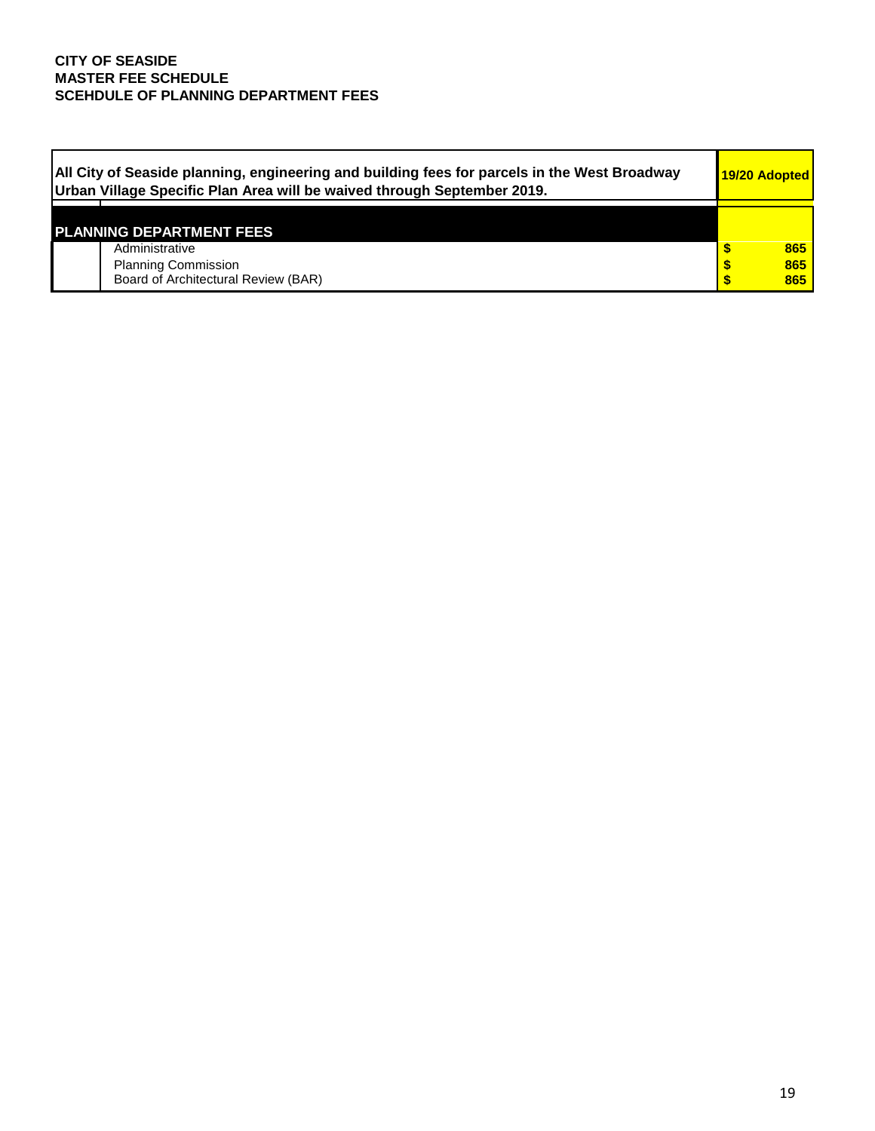| All City of Seaside planning, engineering and building fees for parcels in the West Broadway<br>Urban Village Specific Plan Area will be waived through September 2019. | 19/20 Adopted |
|-------------------------------------------------------------------------------------------------------------------------------------------------------------------------|---------------|
| <b>PLANNING DEPARTMENT FEES</b>                                                                                                                                         |               |
| Administrative                                                                                                                                                          | 865           |
| <b>Planning Commission</b>                                                                                                                                              | 865           |
| Board of Architectural Review (BAR)                                                                                                                                     | 865           |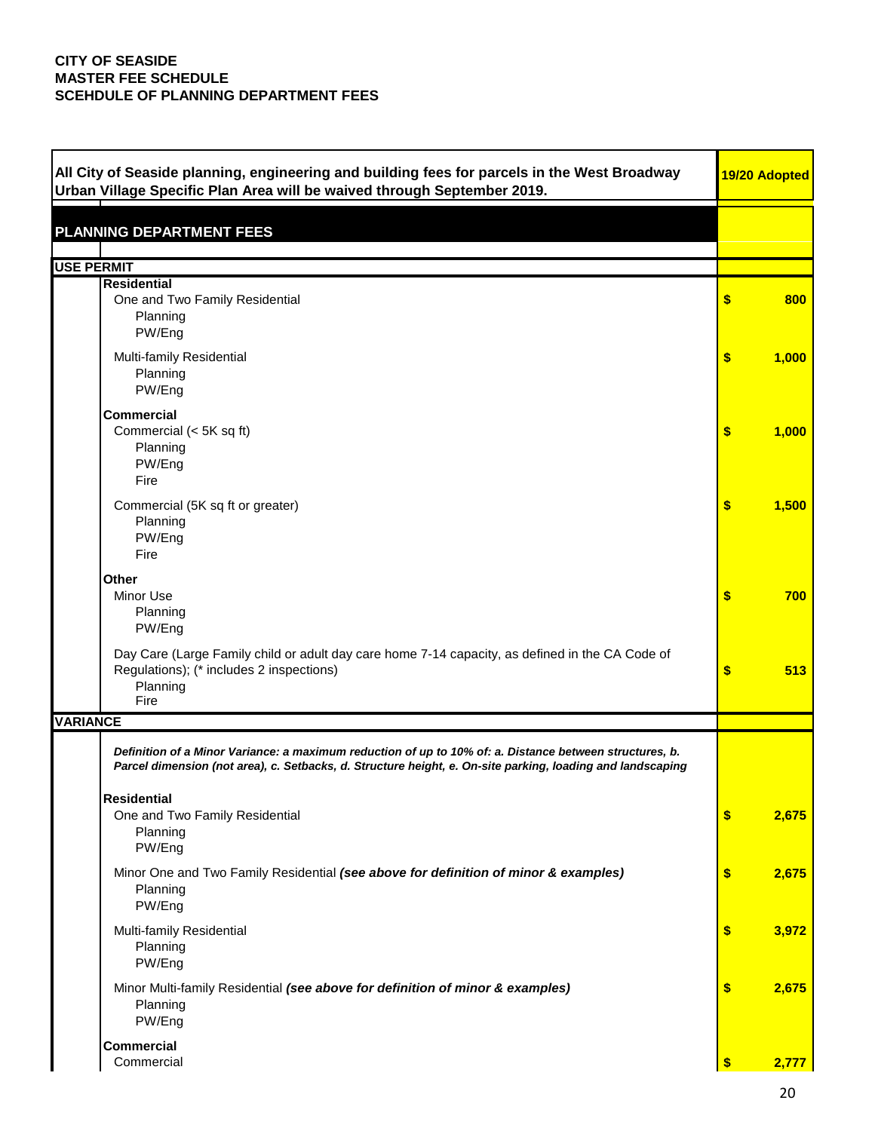| All City of Seaside planning, engineering and building fees for parcels in the West Broadway<br>Urban Village Specific Plan Area will be waived through September 2019.                                               |               | 19/20 Adopted |
|-----------------------------------------------------------------------------------------------------------------------------------------------------------------------------------------------------------------------|---------------|---------------|
| <b>PLANNING DEPARTMENT FEES</b>                                                                                                                                                                                       |               |               |
| <b>USE PERMIT</b>                                                                                                                                                                                                     |               |               |
| <b>Residential</b><br>One and Two Family Residential<br>Planning<br>PW/Eng                                                                                                                                            | \$            | 800           |
| Multi-family Residential<br>Planning<br>PW/Eng                                                                                                                                                                        | \$            | 1,000         |
| <b>Commercial</b><br>Commercial (< 5K sq ft)<br>Planning<br>PW/Eng<br>Fire                                                                                                                                            | \$            | 1,000         |
| Commercial (5K sq ft or greater)<br>Planning<br>PW/Eng<br>Fire                                                                                                                                                        | \$            | 1,500         |
| <b>Other</b><br>Minor Use<br>Planning<br>PW/Eng                                                                                                                                                                       | \$            | 700           |
| Day Care (Large Family child or adult day care home 7-14 capacity, as defined in the CA Code of<br>Regulations); (* includes 2 inspections)<br>Planning<br>Fire                                                       | \$            | 513           |
| <b>VARIANCE</b>                                                                                                                                                                                                       |               |               |
| Definition of a Minor Variance: a maximum reduction of up to 10% of: a. Distance between structures, b.<br>Parcel dimension (not area), c. Setbacks, d. Structure height, e. On-site parking, loading and landscaping |               |               |
| <b>Residential</b><br>One and Two Family Residential<br>Planning<br>PW/Eng                                                                                                                                            | \$            | 2,675         |
| Minor One and Two Family Residential (see above for definition of minor & examples)<br>Planning<br>PW/Eng                                                                                                             | \$            | 2,675         |
| Multi-family Residential<br>Planning<br>PW/Eng                                                                                                                                                                        | \$            | 3,972         |
| Minor Multi-family Residential (see above for definition of minor & examples)<br>Planning<br>PW/Eng                                                                                                                   | \$            | 2,675         |
| <b>Commercial</b><br>Commercial                                                                                                                                                                                       | $\sqrt[6]{3}$ | 2,777         |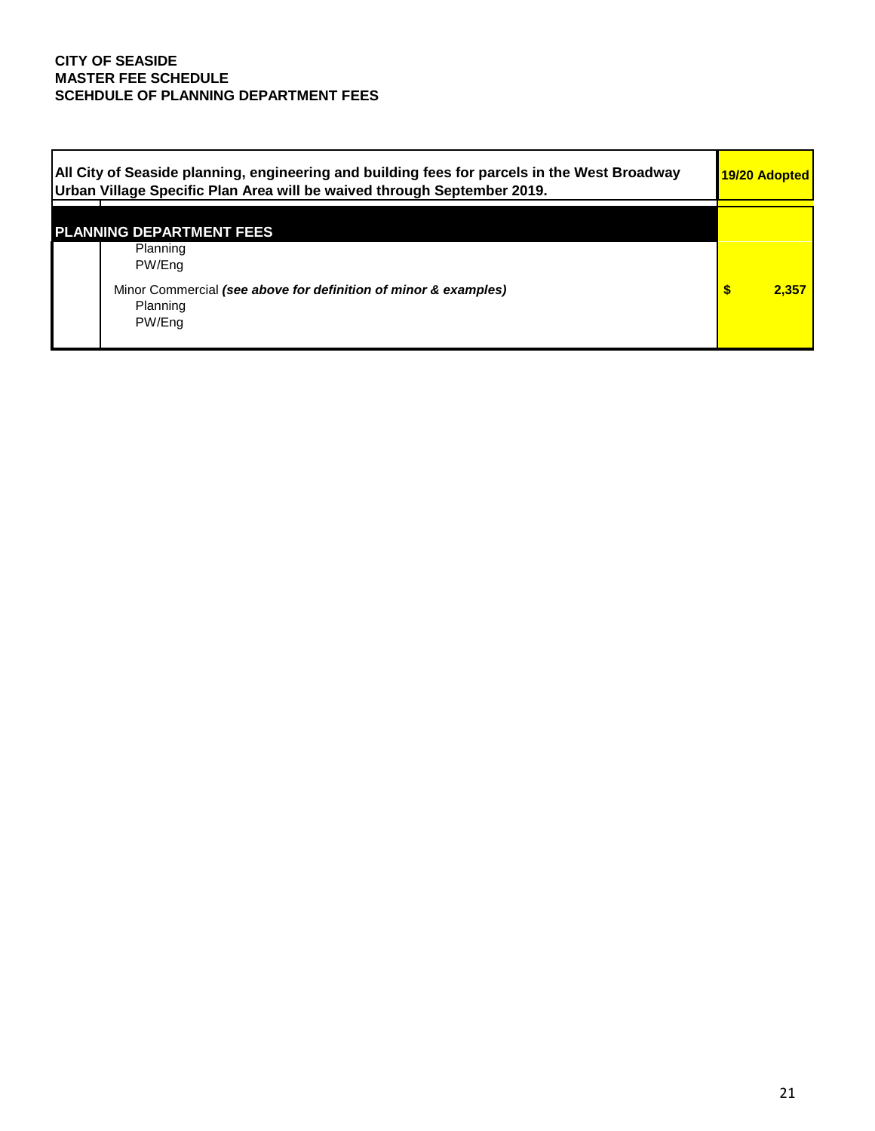| All City of Seaside planning, engineering and building fees for parcels in the West Broadway<br>Urban Village Specific Plan Area will be waived through September 2019. | 19/20 Adopted |
|-------------------------------------------------------------------------------------------------------------------------------------------------------------------------|---------------|
| <b>PLANNING DEPARTMENT FEES</b><br>Planning<br>PW/Eng                                                                                                                   |               |
| Minor Commercial (see above for definition of minor & examples)<br>Planning<br>PW/Eng                                                                                   | 2.357         |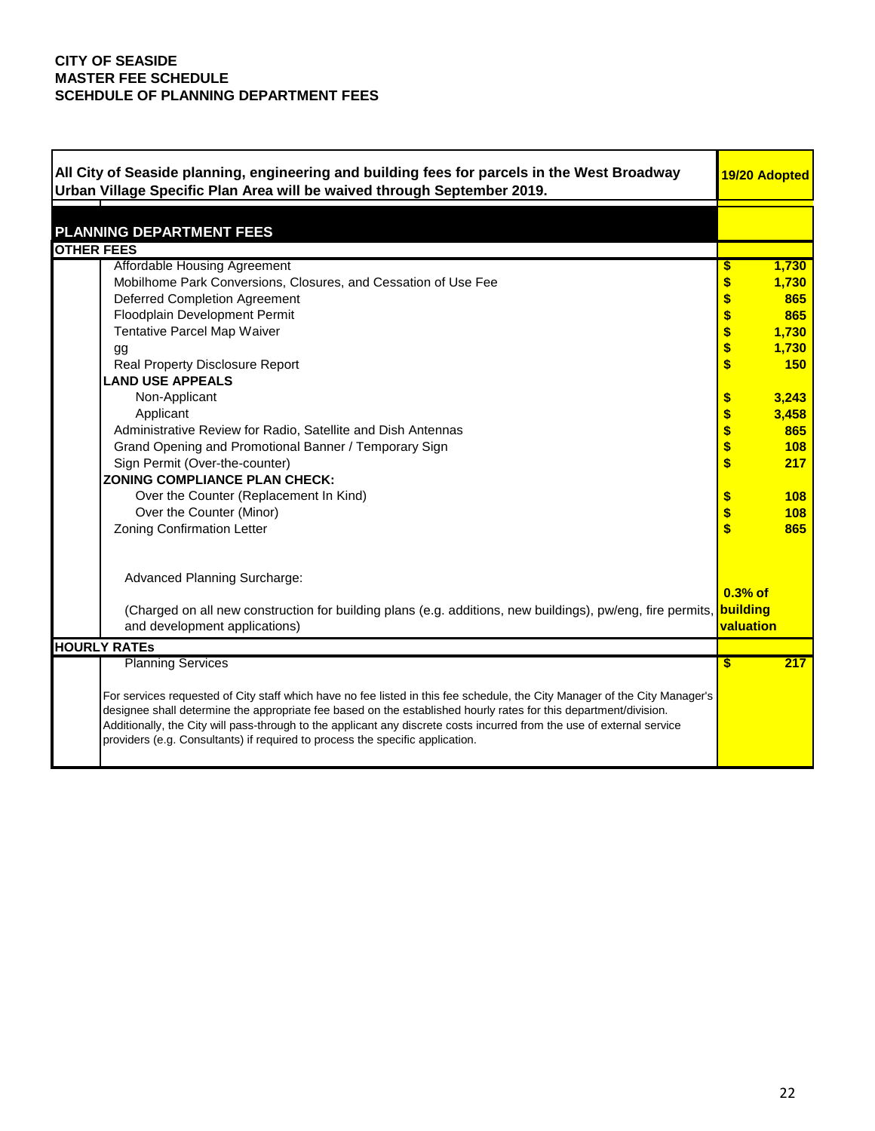| All City of Seaside planning, engineering and building fees for parcels in the West Broadway<br>Urban Village Specific Plan Area will be waived through September 2019.                                                                                                                                                                                                                                                                                   | 19/20 Adopted |            |
|-----------------------------------------------------------------------------------------------------------------------------------------------------------------------------------------------------------------------------------------------------------------------------------------------------------------------------------------------------------------------------------------------------------------------------------------------------------|---------------|------------|
|                                                                                                                                                                                                                                                                                                                                                                                                                                                           |               |            |
| <b>PLANNING DEPARTMENT FEES</b>                                                                                                                                                                                                                                                                                                                                                                                                                           |               |            |
| <b>OTHER FEES</b>                                                                                                                                                                                                                                                                                                                                                                                                                                         |               |            |
| Affordable Housing Agreement                                                                                                                                                                                                                                                                                                                                                                                                                              |               | 1,730      |
| Mobilhome Park Conversions, Closures, and Cessation of Use Fee                                                                                                                                                                                                                                                                                                                                                                                            | \$            | 1,730      |
| <b>Deferred Completion Agreement</b>                                                                                                                                                                                                                                                                                                                                                                                                                      |               | 865        |
| Floodplain Development Permit                                                                                                                                                                                                                                                                                                                                                                                                                             | \$            | 865        |
| Tentative Parcel Map Waiver                                                                                                                                                                                                                                                                                                                                                                                                                               | \$            | 1,730      |
| gg                                                                                                                                                                                                                                                                                                                                                                                                                                                        | \$            | 1,730      |
| Real Property Disclosure Report                                                                                                                                                                                                                                                                                                                                                                                                                           | \$            | <b>150</b> |
| <b>LAND USE APPEALS</b>                                                                                                                                                                                                                                                                                                                                                                                                                                   |               |            |
| Non-Applicant                                                                                                                                                                                                                                                                                                                                                                                                                                             | \$            | 3,243      |
| Applicant                                                                                                                                                                                                                                                                                                                                                                                                                                                 | \$            | 3,458      |
| Administrative Review for Radio, Satellite and Dish Antennas                                                                                                                                                                                                                                                                                                                                                                                              | \$            | 865        |
| Grand Opening and Promotional Banner / Temporary Sign                                                                                                                                                                                                                                                                                                                                                                                                     | \$            | 108        |
| Sign Permit (Over-the-counter)                                                                                                                                                                                                                                                                                                                                                                                                                            | \$            | 217        |
| <b>ZONING COMPLIANCE PLAN CHECK:</b>                                                                                                                                                                                                                                                                                                                                                                                                                      |               |            |
| Over the Counter (Replacement In Kind)                                                                                                                                                                                                                                                                                                                                                                                                                    |               | 108        |
| Over the Counter (Minor)                                                                                                                                                                                                                                                                                                                                                                                                                                  |               | 108        |
| <b>Zoning Confirmation Letter</b>                                                                                                                                                                                                                                                                                                                                                                                                                         | $\frac{6}{3}$ | 865        |
| <b>Advanced Planning Surcharge:</b>                                                                                                                                                                                                                                                                                                                                                                                                                       |               |            |
|                                                                                                                                                                                                                                                                                                                                                                                                                                                           | $0.3%$ of     |            |
| (Charged on all new construction for building plans (e.g. additions, new buildings), pw/eng, fire permits,                                                                                                                                                                                                                                                                                                                                                | building      |            |
| and development applications)                                                                                                                                                                                                                                                                                                                                                                                                                             | valuation     |            |
| <b>HOURLY RATES</b>                                                                                                                                                                                                                                                                                                                                                                                                                                       |               |            |
| <b>Planning Services</b>                                                                                                                                                                                                                                                                                                                                                                                                                                  | \$            | 217        |
| For services requested of City staff which have no fee listed in this fee schedule, the City Manager of the City Manager's<br>designee shall determine the appropriate fee based on the established hourly rates for this department/division.<br>Additionally, the City will pass-through to the applicant any discrete costs incurred from the use of external service<br>providers (e.g. Consultants) if required to process the specific application. |               |            |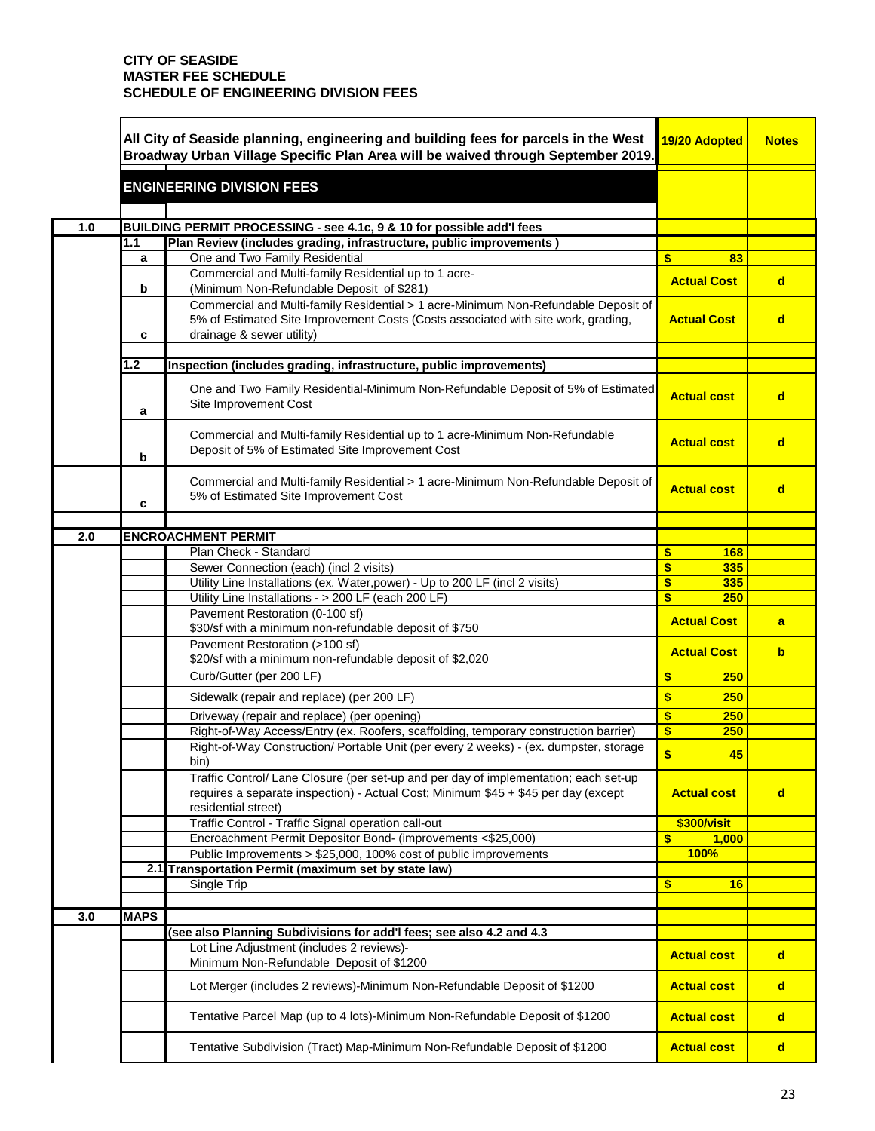|     |             | All City of Seaside planning, engineering and building fees for parcels in the West<br>Broadway Urban Village Specific Plan Area will be waived through September 2019.                              | 19/20 Adopted          | <b>Notes</b> |
|-----|-------------|------------------------------------------------------------------------------------------------------------------------------------------------------------------------------------------------------|------------------------|--------------|
|     |             | <b>ENGINEERING DIVISION FEES</b>                                                                                                                                                                     |                        |              |
|     |             |                                                                                                                                                                                                      |                        |              |
| 1.0 |             | BUILDING PERMIT PROCESSING - see 4.1c, 9 & 10 for possible add'I fees                                                                                                                                |                        |              |
|     | $1.1$       | Plan Review (includes grading, infrastructure, public improvements)<br>One and Two Family Residential                                                                                                | \$<br>83               |              |
|     | a           | Commercial and Multi-family Residential up to 1 acre-                                                                                                                                                |                        |              |
|     | b           | (Minimum Non-Refundable Deposit of \$281)                                                                                                                                                            | <b>Actual Cost</b>     | $\mathbf d$  |
|     | c           | Commercial and Multi-family Residential > 1 acre-Minimum Non-Refundable Deposit of<br>5% of Estimated Site Improvement Costs (Costs associated with site work, grading,<br>drainage & sewer utility) | <b>Actual Cost</b>     | <sub>d</sub> |
|     | 1.2         | Inspection (includes grading, infrastructure, public improvements)                                                                                                                                   |                        |              |
|     |             |                                                                                                                                                                                                      |                        |              |
|     | a           | One and Two Family Residential-Minimum Non-Refundable Deposit of 5% of Estimated<br>Site Improvement Cost                                                                                            | <b>Actual cost</b>     | $\mathbf d$  |
|     | b           | Commercial and Multi-family Residential up to 1 acre-Minimum Non-Refundable<br>Deposit of 5% of Estimated Site Improvement Cost                                                                      | <b>Actual cost</b>     | $\mathsf{d}$ |
|     | c           | Commercial and Multi-family Residential > 1 acre-Minimum Non-Refundable Deposit of<br>5% of Estimated Site Improvement Cost                                                                          | <b>Actual cost</b>     | $\mathbf d$  |
|     |             |                                                                                                                                                                                                      |                        |              |
| 2.0 |             | <b>ENCROACHMENT PERMIT</b>                                                                                                                                                                           |                        |              |
|     |             | Plan Check - Standard                                                                                                                                                                                | \$<br>168              |              |
|     |             | Sewer Connection (each) (incl 2 visits)                                                                                                                                                              | \$<br>335              |              |
|     |             | Utility Line Installations (ex. Water, power) - Up to 200 LF (incl 2 visits)                                                                                                                         | \$<br>335<br>\$<br>250 |              |
|     |             | Utility Line Installations - > 200 LF (each 200 LF)<br>Pavement Restoration (0-100 sf)                                                                                                               |                        |              |
|     |             | \$30/sf with a minimum non-refundable deposit of \$750                                                                                                                                               | <b>Actual Cost</b>     | a            |
|     |             | Pavement Restoration (>100 sf)                                                                                                                                                                       | <b>Actual Cost</b>     | $\mathbf b$  |
|     |             | \$20/sf with a minimum non-refundable deposit of \$2,020                                                                                                                                             |                        |              |
|     |             | Curb/Gutter (per 200 LF)                                                                                                                                                                             | \$<br>250              |              |
|     |             | Sidewalk (repair and replace) (per 200 LF)                                                                                                                                                           | \$<br>250              |              |
|     |             | Driveway (repair and replace) (per opening)                                                                                                                                                          | \$<br>250              |              |
|     |             | Right-of-Way Access/Entry (ex. Roofers, scaffolding, temporary construction barrier)                                                                                                                 | \$<br>250              |              |
|     |             | Right-of-Way Construction/ Portable Unit (per every 2 weeks) - (ex. dumpster, storage<br>bin)                                                                                                        | \$<br>45               |              |
|     |             | Traffic Control/ Lane Closure (per set-up and per day of implementation; each set-up<br>requires a separate inspection) - Actual Cost; Minimum \$45 + \$45 per day (except<br>residential street)    | <b>Actual cost</b>     | $\mathsf{d}$ |
|     |             | Traffic Control - Traffic Signal operation call-out                                                                                                                                                  | \$300/visit            |              |
|     |             | Encroachment Permit Depositor Bond- (improvements <\$25,000)                                                                                                                                         | 1,000<br>\$            |              |
|     |             | Public Improvements > \$25,000, 100% cost of public improvements                                                                                                                                     | <b>100%</b>            |              |
|     |             | 2.1 Transportation Permit (maximum set by state law)                                                                                                                                                 |                        |              |
|     |             | Single Trip                                                                                                                                                                                          | \$<br>16               |              |
| 3.0 | <b>MAPS</b> |                                                                                                                                                                                                      |                        |              |
|     |             | (see also Planning Subdivisions for add'I fees; see also 4.2 and 4.3                                                                                                                                 |                        |              |
|     |             | Lot Line Adjustment (includes 2 reviews)-                                                                                                                                                            | <b>Actual cost</b>     |              |
|     |             | Minimum Non-Refundable Deposit of \$1200                                                                                                                                                             |                        | $\mathsf{d}$ |
|     |             | Lot Merger (includes 2 reviews)-Minimum Non-Refundable Deposit of \$1200                                                                                                                             | <b>Actual cost</b>     | $\mathsf{d}$ |
|     |             | Tentative Parcel Map (up to 4 lots)-Minimum Non-Refundable Deposit of \$1200                                                                                                                         | <b>Actual cost</b>     | $\mathsf{d}$ |
|     |             | Tentative Subdivision (Tract) Map-Minimum Non-Refundable Deposit of \$1200                                                                                                                           | <b>Actual cost</b>     | $\mathbf d$  |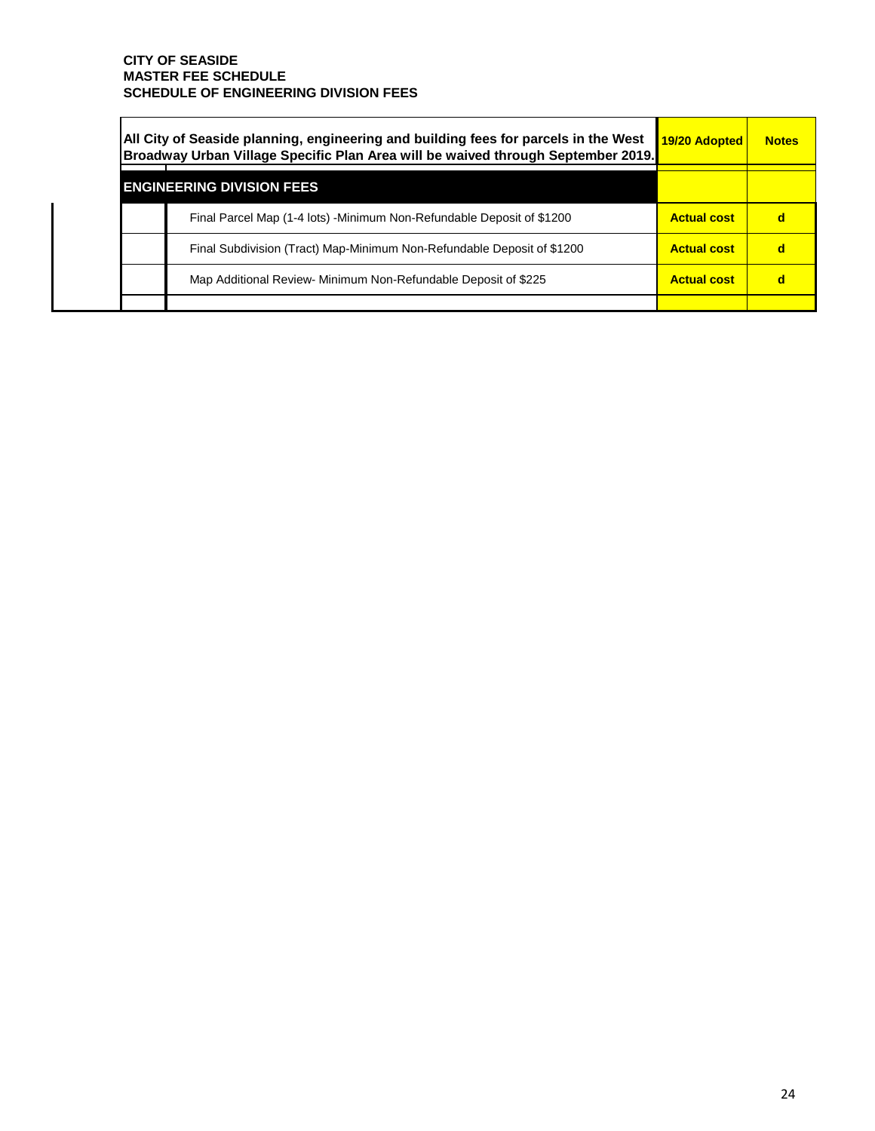| All City of Seaside planning, engineering and building fees for parcels in the West<br>Broadway Urban Village Specific Plan Area will be waived through September 2019. | 19/20 Adopted      | <b>Notes</b> |
|-------------------------------------------------------------------------------------------------------------------------------------------------------------------------|--------------------|--------------|
| <b>ENGINEERING DIVISION FEES</b>                                                                                                                                        |                    |              |
| Final Parcel Map (1-4 lots) -Minimum Non-Refundable Deposit of \$1200                                                                                                   | <b>Actual cost</b> |              |
| Final Subdivision (Tract) Map-Minimum Non-Refundable Deposit of \$1200                                                                                                  | <b>Actual cost</b> |              |
| Map Additional Review- Minimum Non-Refundable Deposit of \$225                                                                                                          | <b>Actual cost</b> |              |
|                                                                                                                                                                         |                    |              |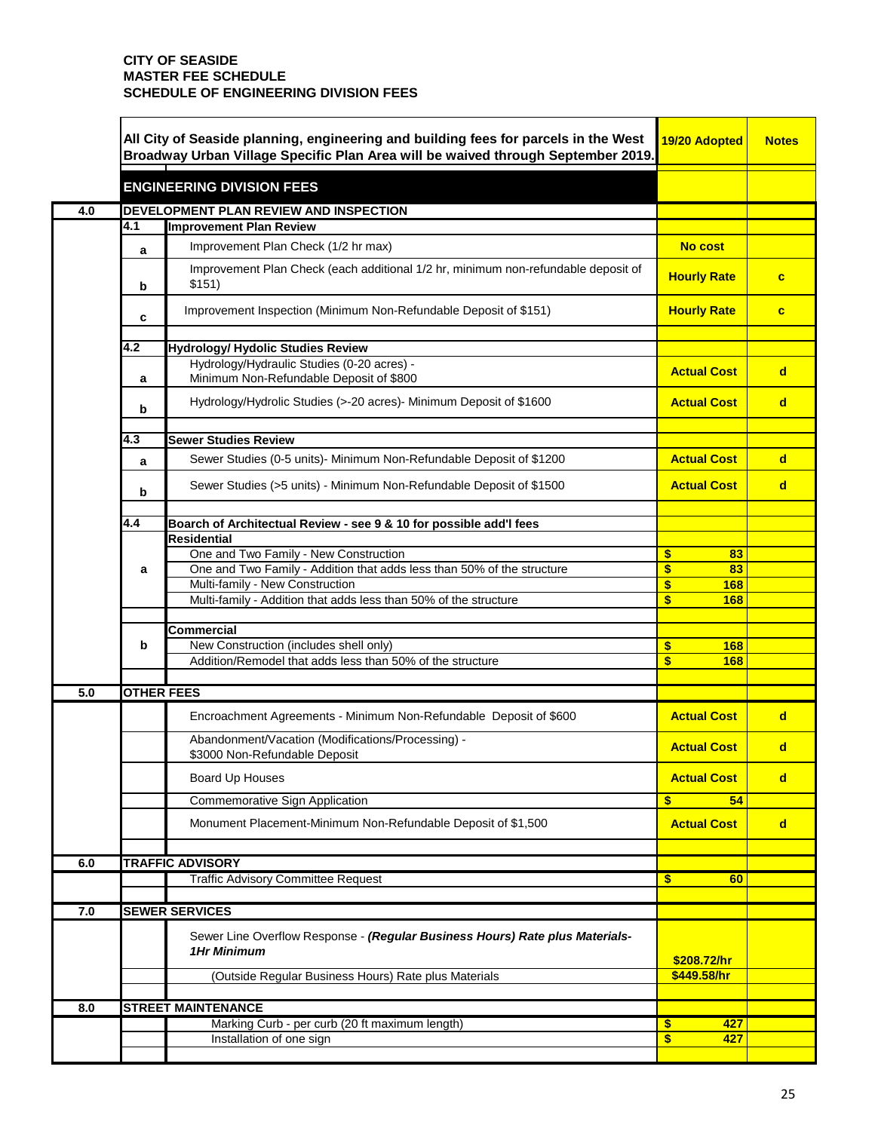|     | All City of Seaside planning, engineering and building fees for parcels in the West<br>Broadway Urban Village Specific Plan Area will be waived through September 2019. |                                                                                                    | 19/20 Adopted            | <b>Notes</b> |
|-----|-------------------------------------------------------------------------------------------------------------------------------------------------------------------------|----------------------------------------------------------------------------------------------------|--------------------------|--------------|
|     |                                                                                                                                                                         | <b>ENGINEERING DIVISION FEES</b>                                                                   |                          |              |
| 4.0 |                                                                                                                                                                         | DEVELOPMENT PLAN REVIEW AND INSPECTION                                                             |                          |              |
|     | 4.1                                                                                                                                                                     | <b>Improvement Plan Review</b>                                                                     |                          |              |
|     | a                                                                                                                                                                       | Improvement Plan Check (1/2 hr max)                                                                | <b>No cost</b>           |              |
|     | b                                                                                                                                                                       | Improvement Plan Check (each additional 1/2 hr, minimum non-refundable deposit of<br>\$151)        | <b>Hourly Rate</b>       | $\mathbf{c}$ |
|     | c                                                                                                                                                                       | Improvement Inspection (Minimum Non-Refundable Deposit of \$151)                                   | <b>Hourly Rate</b>       | $\mathbf{c}$ |
|     |                                                                                                                                                                         |                                                                                                    |                          |              |
|     | 4.2                                                                                                                                                                     | Hydrology/ Hydolic Studies Review                                                                  |                          |              |
|     | a                                                                                                                                                                       | Hydrology/Hydraulic Studies (0-20 acres) -<br>Minimum Non-Refundable Deposit of \$800              | <b>Actual Cost</b>       | $\mathbf d$  |
|     | b                                                                                                                                                                       | Hydrology/Hydrolic Studies (>-20 acres) - Minimum Deposit of \$1600                                | <b>Actual Cost</b>       | $\mathbf d$  |
|     | 4.3                                                                                                                                                                     | <b>Sewer Studies Review</b>                                                                        |                          |              |
|     |                                                                                                                                                                         | Sewer Studies (0-5 units)- Minimum Non-Refundable Deposit of \$1200                                | <b>Actual Cost</b>       | $\mathbf d$  |
|     | a                                                                                                                                                                       |                                                                                                    |                          |              |
|     | b                                                                                                                                                                       | Sewer Studies (>5 units) - Minimum Non-Refundable Deposit of \$1500                                | <b>Actual Cost</b>       | $\mathbf d$  |
|     | 4.4                                                                                                                                                                     | Boarch of Architectual Review - see 9 & 10 for possible add'I fees                                 |                          |              |
|     |                                                                                                                                                                         | <b>Residential</b>                                                                                 |                          |              |
|     |                                                                                                                                                                         | One and Two Family - New Construction                                                              | \$<br>83                 |              |
|     | a                                                                                                                                                                       | One and Two Family - Addition that adds less than 50% of the structure                             | \$<br>83                 |              |
|     |                                                                                                                                                                         | Multi-family - New Construction                                                                    | \$<br>168                |              |
|     |                                                                                                                                                                         | Multi-family - Addition that adds less than 50% of the structure                                   | $\boldsymbol{\$}$<br>168 |              |
|     |                                                                                                                                                                         | <b>Commercial</b>                                                                                  |                          |              |
|     | b                                                                                                                                                                       | New Construction (includes shell only)                                                             | \$<br>168                |              |
|     |                                                                                                                                                                         | Addition/Remodel that adds less than 50% of the structure                                          | \$<br>168                |              |
| 5.0 | <b>OTHER FEES</b>                                                                                                                                                       |                                                                                                    |                          |              |
|     |                                                                                                                                                                         | Encroachment Agreements - Minimum Non-Refundable Deposit of \$600                                  | <b>Actual Cost</b>       | $\mathbf d$  |
|     |                                                                                                                                                                         | Abandonment/Vacation (Modifications/Processing) -<br>\$3000 Non-Refundable Deposit                 | <b>Actual Cost</b>       | $\mathbf d$  |
|     |                                                                                                                                                                         | Board Up Houses                                                                                    | <b>Actual Cost</b>       | $\mathbf d$  |
|     |                                                                                                                                                                         | Commemorative Sign Application                                                                     | $\boldsymbol{\$}$<br>54  |              |
|     |                                                                                                                                                                         | Monument Placement-Minimum Non-Refundable Deposit of \$1,500                                       | <b>Actual Cost</b>       | $\mathsf{d}$ |
| 6.0 |                                                                                                                                                                         | <b>TRAFFIC ADVISORY</b>                                                                            |                          |              |
|     |                                                                                                                                                                         | <b>Traffic Advisory Committee Request</b>                                                          | $\mathbf{s}$<br>60       |              |
|     |                                                                                                                                                                         |                                                                                                    |                          |              |
| 7.0 |                                                                                                                                                                         | <b>SEWER SERVICES</b>                                                                              |                          |              |
|     |                                                                                                                                                                         | Sewer Line Overflow Response - (Regular Business Hours) Rate plus Materials-<br><b>1Hr Minimum</b> | \$208.72/hr              |              |
|     |                                                                                                                                                                         | (Outside Regular Business Hours) Rate plus Materials                                               | \$449.58/hr              |              |
|     |                                                                                                                                                                         | <b>STREET MAINTENANCE</b>                                                                          |                          |              |
| 8.0 |                                                                                                                                                                         | Marking Curb - per curb (20 ft maximum length)                                                     | \$<br>427                |              |
|     |                                                                                                                                                                         | Installation of one sign                                                                           | \$<br>427                |              |
|     |                                                                                                                                                                         |                                                                                                    |                          |              |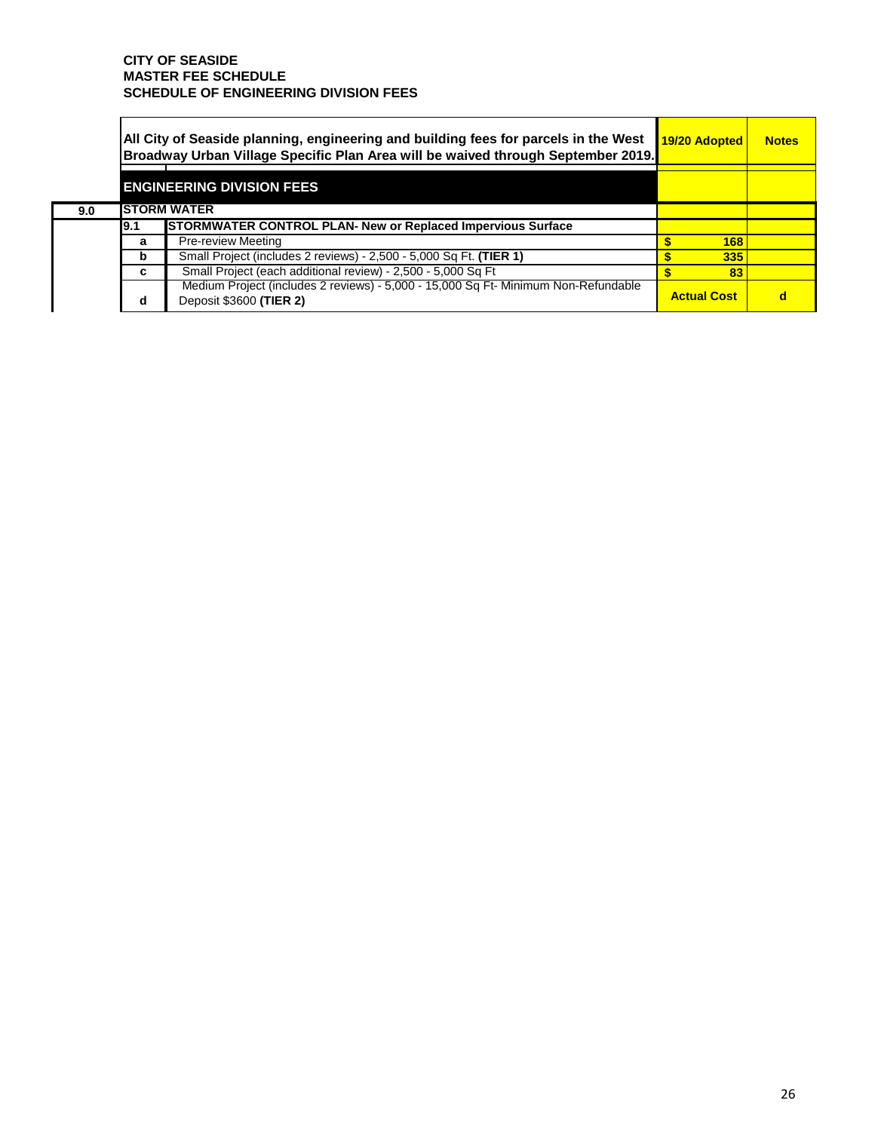**9.0** 

| All City of Seaside planning, engineering and building fees for parcels in the West<br>Broadway Urban Village Specific Plan Area will be waived through September 2019. | 19/20 Adopted                                                                                                 | <b>Notes</b>       |  |
|-------------------------------------------------------------------------------------------------------------------------------------------------------------------------|---------------------------------------------------------------------------------------------------------------|--------------------|--|
|                                                                                                                                                                         | <b>ENGINEERING DIVISION FEES</b>                                                                              |                    |  |
|                                                                                                                                                                         | <b>ISTORM WATER</b>                                                                                           |                    |  |
| I9.1                                                                                                                                                                    | <b>STORMWATER CONTROL PLAN- New or Replaced Impervious Surface</b>                                            |                    |  |
| a                                                                                                                                                                       | <b>Pre-review Meeting</b>                                                                                     | 168                |  |
| b                                                                                                                                                                       | Small Project (includes 2 reviews) - 2,500 - 5,000 Sq Ft. (TIER 1)                                            | 335                |  |
| c                                                                                                                                                                       | Small Project (each additional review) - 2,500 - 5,000 Sq Ft                                                  | 83                 |  |
| d                                                                                                                                                                       | Medium Project (includes 2 reviews) - 5,000 - 15,000 Sq Ft- Minimum Non-Refundable<br>Deposit \$3600 (TIER 2) | <b>Actual Cost</b> |  |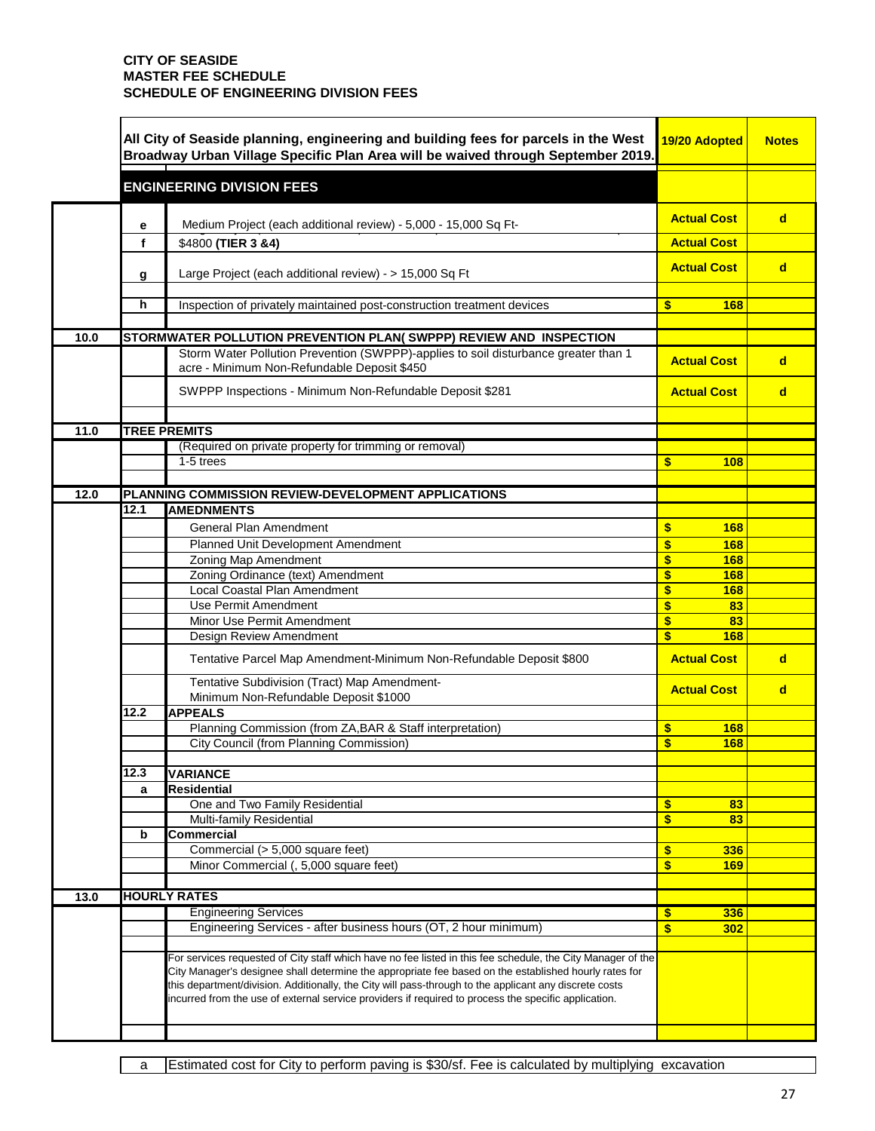|      |      | All City of Seaside planning, engineering and building fees for parcels in the West<br>Broadway Urban Village Specific Plan Area will be waived through September 2019.                                                                                                                                                                                                                                                                | 19/20 Adopted            | <b>Notes</b> |
|------|------|----------------------------------------------------------------------------------------------------------------------------------------------------------------------------------------------------------------------------------------------------------------------------------------------------------------------------------------------------------------------------------------------------------------------------------------|--------------------------|--------------|
|      |      | <b>ENGINEERING DIVISION FEES</b>                                                                                                                                                                                                                                                                                                                                                                                                       |                          |              |
|      | e    | Medium Project (each additional review) - 5,000 - 15,000 Sq Ft-                                                                                                                                                                                                                                                                                                                                                                        | <b>Actual Cost</b>       | $\mathbf d$  |
|      | f    | \$4800 (TIER 3 &4)                                                                                                                                                                                                                                                                                                                                                                                                                     | <b>Actual Cost</b>       |              |
|      | g    | Large Project (each additional review) - > 15,000 Sq Ft                                                                                                                                                                                                                                                                                                                                                                                | <b>Actual Cost</b>       | $\mathbf d$  |
|      |      |                                                                                                                                                                                                                                                                                                                                                                                                                                        |                          |              |
|      | h    | Inspection of privately maintained post-construction treatment devices                                                                                                                                                                                                                                                                                                                                                                 | \$<br>168                |              |
| 10.0 |      | STORMWATER POLLUTION PREVENTION PLAN( SWPPP) REVIEW AND INSPECTION                                                                                                                                                                                                                                                                                                                                                                     |                          |              |
|      |      | Storm Water Pollution Prevention (SWPPP)-applies to soil disturbance greater than 1<br>acre - Minimum Non-Refundable Deposit \$450                                                                                                                                                                                                                                                                                                     | <b>Actual Cost</b>       | $\mathbf d$  |
|      |      | SWPPP Inspections - Minimum Non-Refundable Deposit \$281                                                                                                                                                                                                                                                                                                                                                                               | <b>Actual Cost</b>       | d            |
|      |      |                                                                                                                                                                                                                                                                                                                                                                                                                                        |                          |              |
| 11.0 |      | <b>TREE PREMITS</b>                                                                                                                                                                                                                                                                                                                                                                                                                    |                          |              |
|      |      | (Required on private property for trimming or removal)                                                                                                                                                                                                                                                                                                                                                                                 |                          |              |
|      |      | 1-5 trees                                                                                                                                                                                                                                                                                                                                                                                                                              | $\mathbf{s}$<br>108      |              |
|      |      |                                                                                                                                                                                                                                                                                                                                                                                                                                        |                          |              |
| 12.0 |      | PLANNING COMMISSION REVIEW-DEVELOPMENT APPLICATIONS                                                                                                                                                                                                                                                                                                                                                                                    |                          |              |
|      | 12.1 | <b>AMEDNMENTS</b>                                                                                                                                                                                                                                                                                                                                                                                                                      |                          |              |
|      |      | <b>General Plan Amendment</b>                                                                                                                                                                                                                                                                                                                                                                                                          | \$<br>168                |              |
|      |      | Planned Unit Development Amendment                                                                                                                                                                                                                                                                                                                                                                                                     | $\mathbf{s}$<br>168      |              |
|      |      | Zoning Map Amendment                                                                                                                                                                                                                                                                                                                                                                                                                   | \$<br>168                |              |
|      |      | Zoning Ordinance (text) Amendment                                                                                                                                                                                                                                                                                                                                                                                                      | \$<br>168                |              |
|      |      | Local Coastal Plan Amendment                                                                                                                                                                                                                                                                                                                                                                                                           | $\boldsymbol{\$}$<br>168 |              |
|      |      | Use Permit Amendment                                                                                                                                                                                                                                                                                                                                                                                                                   | $\mathbf{s}$<br>83       |              |
|      |      | Minor Use Permit Amendment                                                                                                                                                                                                                                                                                                                                                                                                             | \$<br>83                 |              |
|      |      | Design Review Amendment                                                                                                                                                                                                                                                                                                                                                                                                                | $\mathbf{s}$<br>168      |              |
|      |      | Tentative Parcel Map Amendment-Minimum Non-Refundable Deposit \$800                                                                                                                                                                                                                                                                                                                                                                    | <b>Actual Cost</b>       | $\mathbf d$  |
|      |      | Tentative Subdivision (Tract) Map Amendment-<br>Minimum Non-Refundable Deposit \$1000                                                                                                                                                                                                                                                                                                                                                  | <b>Actual Cost</b>       | $\mathbf d$  |
|      | 12.2 | <b>APPEALS</b>                                                                                                                                                                                                                                                                                                                                                                                                                         |                          |              |
|      |      | Planning Commission (from ZA, BAR & Staff interpretation)                                                                                                                                                                                                                                                                                                                                                                              | $\mathbf{s}$<br>168      |              |
|      |      | City Council (from Planning Commission)                                                                                                                                                                                                                                                                                                                                                                                                | \$<br>168                |              |
|      |      |                                                                                                                                                                                                                                                                                                                                                                                                                                        |                          |              |
|      | 12.3 | <b>VARIANCE</b>                                                                                                                                                                                                                                                                                                                                                                                                                        |                          |              |
|      | a    | Residential                                                                                                                                                                                                                                                                                                                                                                                                                            |                          |              |
|      |      | One and Two Family Residential                                                                                                                                                                                                                                                                                                                                                                                                         | \$<br>83                 |              |
|      |      | Multi-family Residential                                                                                                                                                                                                                                                                                                                                                                                                               | $\boldsymbol{\$}$<br>83  |              |
|      | b    | <b>Commercial</b>                                                                                                                                                                                                                                                                                                                                                                                                                      |                          |              |
|      |      | Commercial (> 5,000 square feet)                                                                                                                                                                                                                                                                                                                                                                                                       | $\boldsymbol{\$}$<br>336 |              |
|      |      | Minor Commercial (, 5,000 square feet)                                                                                                                                                                                                                                                                                                                                                                                                 | \$<br>169                |              |
|      |      | <b>HOURLY RATES</b>                                                                                                                                                                                                                                                                                                                                                                                                                    |                          |              |
| 13.0 |      |                                                                                                                                                                                                                                                                                                                                                                                                                                        |                          |              |
|      |      | <b>Engineering Services</b>                                                                                                                                                                                                                                                                                                                                                                                                            | \$<br>336                |              |
|      |      | Engineering Services - after business hours (OT, 2 hour minimum)                                                                                                                                                                                                                                                                                                                                                                       | \$<br>302                |              |
|      |      | For services requested of City staff which have no fee listed in this fee schedule, the City Manager of the<br>City Manager's designee shall determine the appropriate fee based on the established hourly rates for<br>this department/division. Additionally, the City will pass-through to the applicant any discrete costs<br>incurred from the use of external service providers if required to process the specific application. |                          |              |
|      |      |                                                                                                                                                                                                                                                                                                                                                                                                                                        |                          |              |

a Estimated cost for City to perform paving is \$30/sf. Fee is calculated by multiplying excavation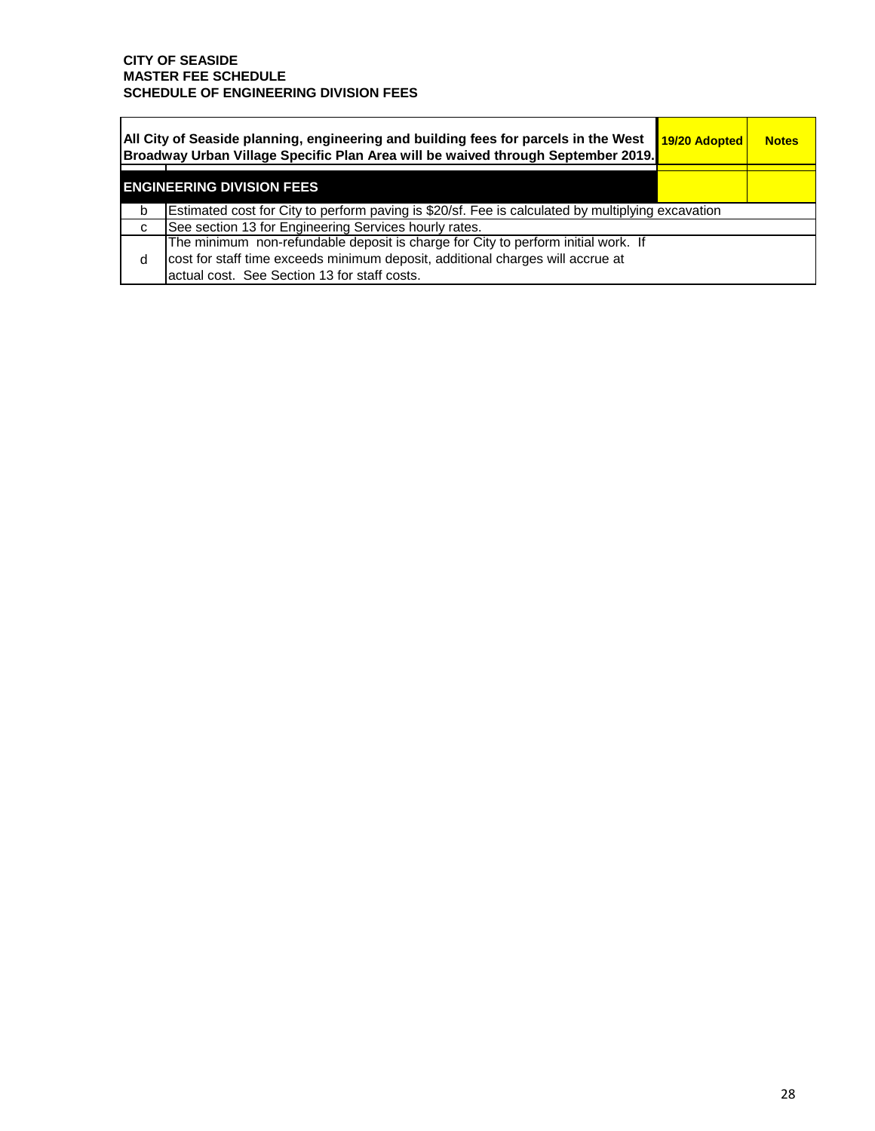'n

| All City of Seaside planning, engineering and building fees for parcels in the West<br>Broadway Urban Village Specific Plan Area will be waived through September 2019. |                                                                                                                                                                                                                     |  | 19/20 Adopted<br><b>Notes</b> |  |  |  |  |
|-------------------------------------------------------------------------------------------------------------------------------------------------------------------------|---------------------------------------------------------------------------------------------------------------------------------------------------------------------------------------------------------------------|--|-------------------------------|--|--|--|--|
|                                                                                                                                                                         | <b>ENGINEERING DIVISION FEES</b>                                                                                                                                                                                    |  |                               |  |  |  |  |
| b                                                                                                                                                                       | Estimated cost for City to perform paving is \$20/sf. Fee is calculated by multiplying excavation                                                                                                                   |  |                               |  |  |  |  |
| C                                                                                                                                                                       | See section 13 for Engineering Services hourly rates.                                                                                                                                                               |  |                               |  |  |  |  |
| d                                                                                                                                                                       | The minimum non-refundable deposit is charge for City to perform initial work. If<br>cost for staff time exceeds minimum deposit, additional charges will accrue at<br>actual cost. See Section 13 for staff costs. |  |                               |  |  |  |  |

à,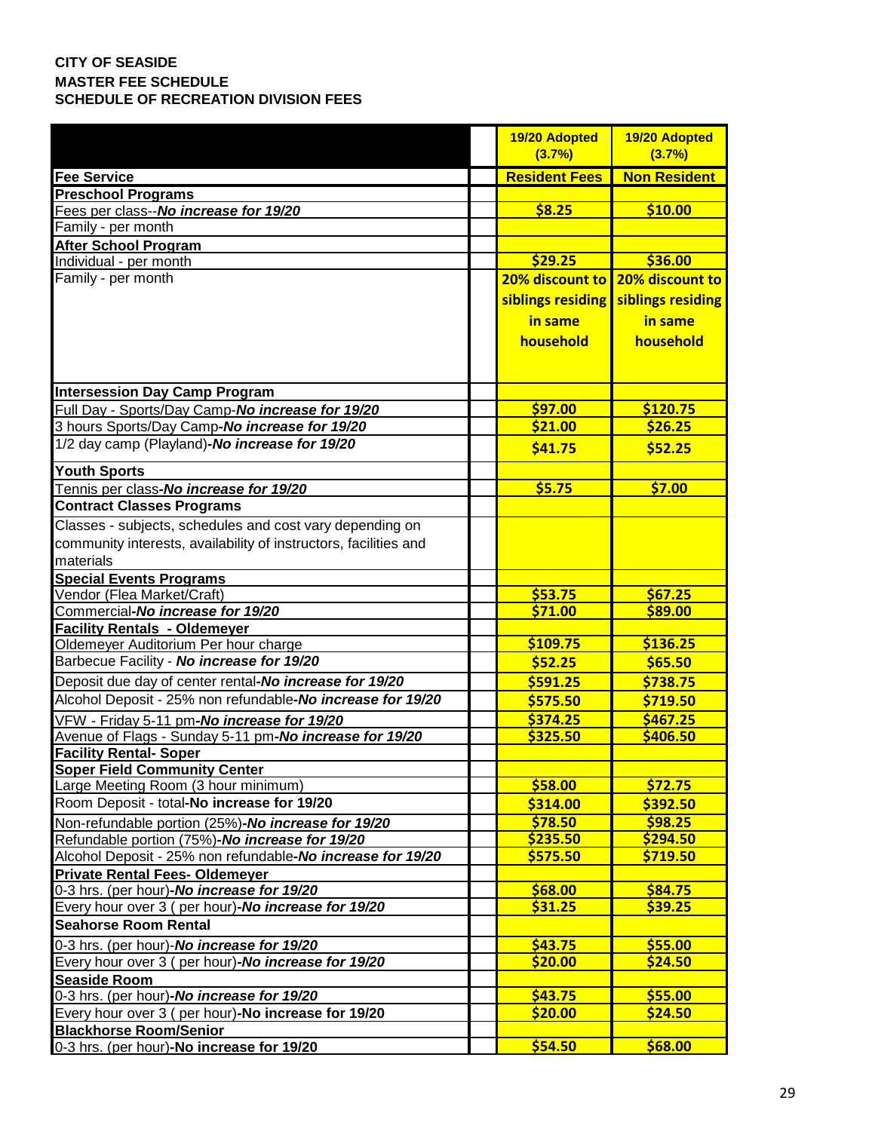|                                                                  | 19/20 Adopted        | 19/20 Adopted       |
|------------------------------------------------------------------|----------------------|---------------------|
|                                                                  | (3.7%)               | (3.7%)              |
| <b>Fee Service</b>                                               | <b>Resident Fees</b> | <b>Non Resident</b> |
| <b>Preschool Programs</b>                                        |                      |                     |
| Fees per class--No increase for 19/20                            | \$8.25               | \$10.00             |
| Family - per month                                               |                      |                     |
| <b>After School Program</b>                                      |                      |                     |
| Individual - per month                                           | \$29.25              | \$36.00             |
| Family - per month                                               | 20% discount to      | 20% discount to     |
|                                                                  | siblings residing    | siblings residing   |
|                                                                  | in same              | in same             |
|                                                                  | household            | household           |
|                                                                  |                      |                     |
|                                                                  |                      |                     |
| <b>Intersession Day Camp Program</b>                             |                      |                     |
| Full Day - Sports/Day Camp-No increase for 19/20                 | \$97.00              | \$120.75            |
| 3 hours Sports/Day Camp-No increase for 19/20                    | \$21.00              | \$26.25             |
| 1/2 day camp (Playland)-No increase for 19/20                    | \$41.75              | \$52.25             |
| <b>Youth Sports</b>                                              |                      |                     |
| Tennis per class-No increase for 19/20                           | \$5.75               | \$7.00              |
| <b>Contract Classes Programs</b>                                 |                      |                     |
| Classes - subjects, schedules and cost vary depending on         |                      |                     |
| community interests, availability of instructors, facilities and |                      |                     |
| materials                                                        |                      |                     |
| <b>Special Events Programs</b>                                   |                      |                     |
| Vendor (Flea Market/Craft)                                       | \$53.75              | \$67.25             |
| Commercial-No increase for 19/20                                 | \$71.00              | \$89.00             |
| <b>Facility Rentals - Oldemeyer</b>                              |                      |                     |
| Oldemeyer Auditorium Per hour charge                             | \$109.75             | \$136.25            |
| Barbecue Facility - No increase for 19/20                        | \$52.25              | \$65.50             |
| Deposit due day of center rental-No increase for 19/20           | \$591.25             | \$738.75            |
| Alcohol Deposit - 25% non refundable-No increase for 19/20       | \$575.50             | \$719.50            |
| VFW - Friday 5-11 pm-No increase for 19/20                       | \$374.25             | \$467.25            |
| Avenue of Flags - Sunday 5-11 pm-No increase for 19/20           | \$325.50             | \$406.50            |
| <b>Facility Rental- Soper</b>                                    |                      |                     |
| <b>Soper Field Community Center</b>                              |                      |                     |
| Large Meeting Room (3 hour minimum)                              | \$58.00              | \$72.75             |
| Room Deposit - total-No increase for 19/20                       | \$314.00             | \$392.50            |
| Non-refundable portion (25%)-No increase for 19/20               | \$78.50              | \$98.25             |
| Refundable portion (75%)-No increase for 19/20                   | \$235.50             | \$294.50            |
| Alcohol Deposit - 25% non refundable-No increase for 19/20       | \$575.50             | \$719.50            |
| <b>Private Rental Fees-Oldemeyer</b>                             |                      |                     |
| 0-3 hrs. (per hour)-No increase for 19/20                        | \$68.00              | \$84.75             |
| Every hour over 3 (per hour)-No increase for 19/20               | \$31.25              | \$39.25             |
| <b>Seahorse Room Rental</b>                                      |                      |                     |
| 0-3 hrs. (per hour)-No increase for 19/20                        | \$43.75              | \$55.00             |
| Every hour over 3 ( per hour)-No <i>increase for 19/20</i>       | \$20.00              | \$24.50             |
| Seaside Room                                                     |                      |                     |
| 0-3 hrs. (per hour)-No increase for 19/20                        | \$43.75              | \$55.00             |
| Every hour over 3 (per hour)-No increase for 19/20               | \$20.00              | \$24.50             |
| <b>Blackhorse Room/Senior</b>                                    |                      |                     |
| 0-3 hrs. (per hour)-No increase for 19/20                        | \$54.50              | \$68.00             |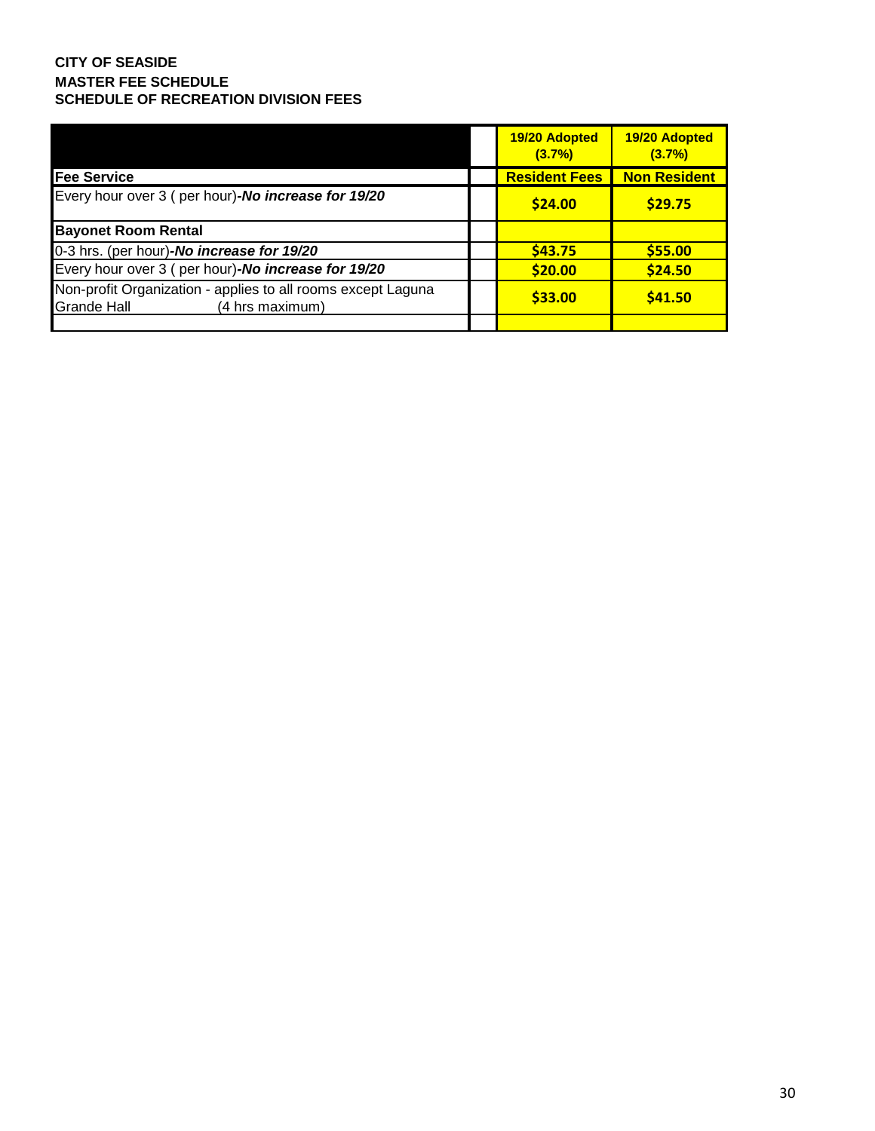|                                                                                                       | 19/20 Adopted<br>(3.7%) | 19/20 Adopted<br>(3.7%) |
|-------------------------------------------------------------------------------------------------------|-------------------------|-------------------------|
| <b>Fee Service</b>                                                                                    | <b>Resident Fees</b>    | <b>Non Resident</b>     |
| Every hour over 3 (per hour)-No increase for 19/20                                                    | \$24.00                 | \$29.75                 |
| <b>Bayonet Room Rental</b>                                                                            |                         |                         |
| 0-3 hrs. (per hour)-No increase for 19/20                                                             | \$43.75                 | \$55.00                 |
| Every hour over 3 (per hour)-No increase for 19/20                                                    | \$20.00                 | \$24.50                 |
| Non-profit Organization - applies to all rooms except Laguna<br><b>Grande Hall</b><br>(4 hrs maximum) | \$33.00                 | \$41.50                 |
|                                                                                                       |                         |                         |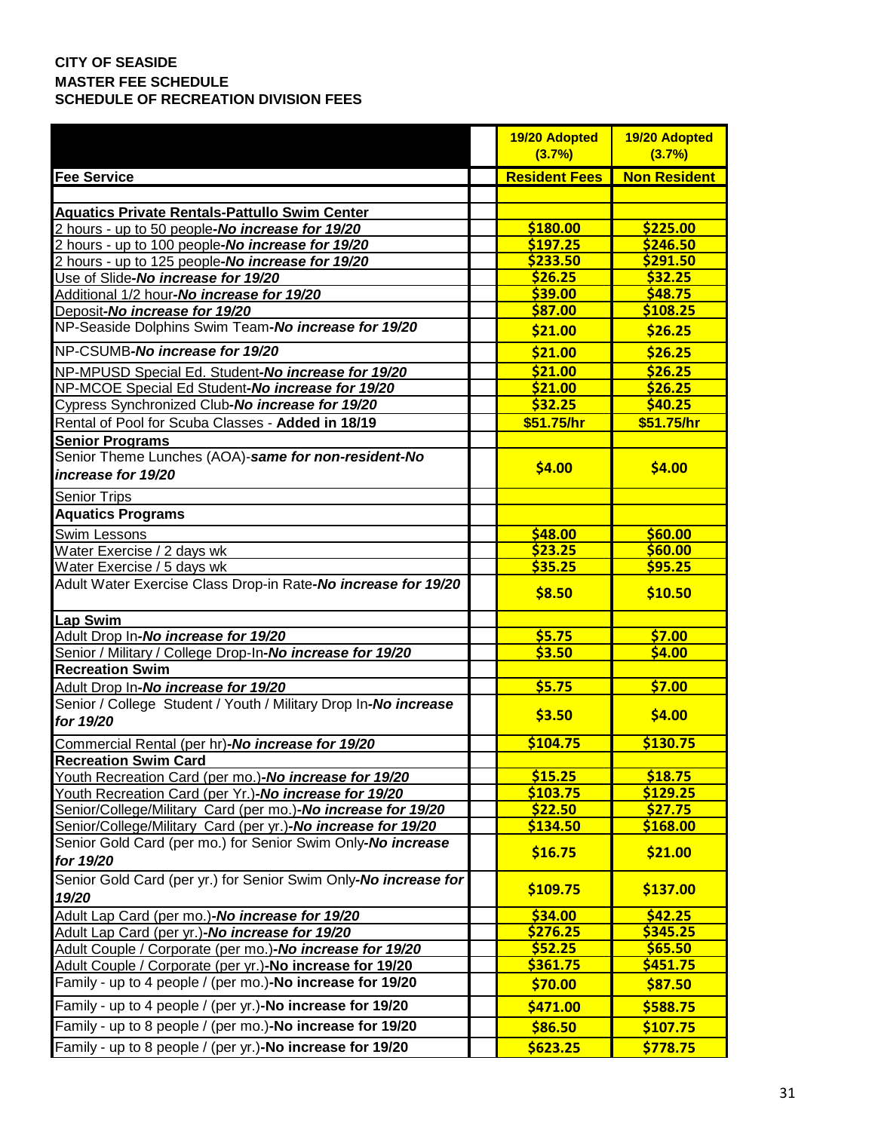|                                                                              | 19/20 Adopted        | 19/20 Adopted       |
|------------------------------------------------------------------------------|----------------------|---------------------|
|                                                                              | (3.7%)               | (3.7%)              |
| <b>Fee Service</b>                                                           | <b>Resident Fees</b> | <b>Non Resident</b> |
|                                                                              |                      |                     |
| <b>Aquatics Private Rentals-Pattullo Swim Center</b>                         |                      |                     |
| 2 hours - up to 50 people-No increase for 19/20                              | \$180.00             | \$225.00            |
| 2 hours - up to 100 people-No increase for 19/20                             | \$197.25             | \$246.50            |
| 2 hours - up to 125 people-No increase for 19/20                             | \$233.50             | \$291.50            |
| Use of Slide-No increase for 19/20                                           | \$26.25              | \$32.25             |
| Additional 1/2 hour-No increase for 19/20                                    | \$39.00              | \$48.75             |
| Deposit-No increase for 19/20                                                | \$87.00              | \$108.25            |
| NP-Seaside Dolphins Swim Team-No increase for 19/20                          | \$21.00              | \$26.25             |
| NP-CSUMB-No increase for 19/20                                               | \$21.00              | \$26.25             |
| NP-MPUSD Special Ed. Student-No increase for 19/20                           | \$21.00              | \$26.25             |
| NP-MCOE Special Ed Student-No increase for 19/20                             | \$21.00              | \$26.25             |
| Cypress Synchronized Club-No increase for 19/20                              | \$32.25              | \$40.25             |
| Rental of Pool for Scuba Classes - Added in 18/19                            | \$51.75/hr           | \$51.75/hr          |
| <b>Senior Programs</b>                                                       |                      |                     |
| Senior Theme Lunches (AOA)-same for non-resident-No                          |                      |                     |
| increase for 19/20                                                           | \$4.00               | \$4.00              |
| <b>Senior Trips</b>                                                          |                      |                     |
| <b>Aquatics Programs</b>                                                     |                      |                     |
| Swim Lessons                                                                 | \$48.00              | \$60.00             |
| Water Exercise / 2 days wk                                                   | \$23.25              | \$60.00             |
| Water Exercise / 5 days wk                                                   | \$35.25              | \$95.25             |
| Adult Water Exercise Class Drop-in Rate-No increase for 19/20                | \$8.50               | \$10.50             |
| Lap Swim                                                                     |                      |                     |
| Adult Drop In-No increase for 19/20                                          | \$5.75               | \$7.00              |
| Senior / Military / College Drop-In-No increase for 19/20                    | \$3.50               | 54.00               |
| <b>Recreation Swim</b>                                                       |                      |                     |
| Adult Drop In-No increase for 19/20                                          | \$5.75               | \$7.00              |
| Senior / College Student / Youth / Military Drop In-No increase<br>for 19/20 | \$3.50               | \$4.00              |
| Commercial Rental (per hr)-No increase for 19/20                             | \$104.75             | \$130.75            |
| <b>Recreation Swim Card</b>                                                  |                      |                     |
| Youth Recreation Card (per mo.)-No increase for 19/20                        | \$15.25              | \$18.75             |
| Youth Recreation Card (per Yr.)-No increase for 19/20                        | \$103.75             | \$129.25            |
| Senior/College/Military Card (per mo.)-No increase for 19/20                 | \$22.50              | \$27.75             |
| Senior/College/Military Card (per yr.)-No increase for 19/20                 | \$134.50             | \$168.00            |
| Senior Gold Card (per mo.) for Senior Swim Only-No increase<br>for 19/20     | \$16.75              | \$21.00             |
| Senior Gold Card (per yr.) for Senior Swim Only-No increase for<br>19/20     | \$109.75             | \$137.00            |
| Adult Lap Card (per mo.)-No increase for 19/20                               | \$34.00              | \$42.25             |
| Adult Lap Card (per yr.)-No increase for 19/20                               | \$276.25             | \$345.25            |
| Adult Couple / Corporate (per mo.)-No increase for 19/20                     | \$52.25              | \$65.50             |
| Adult Couple / Corporate (per yr.)-No increase for 19/20                     | \$361.75             | \$451.75            |
| Family - up to 4 people / (per mo.)-No increase for 19/20                    | \$70.00              | \$87.50             |
| Family - up to 4 people / (per yr.)-No increase for 19/20                    | \$471.00             | \$588.75            |
| Family - up to 8 people / (per mo.)-No increase for 19/20                    | \$86.50              | \$107.75            |
| Family - up to 8 people / (per yr.)-No increase for 19/20                    | \$623.25             | \$778.75            |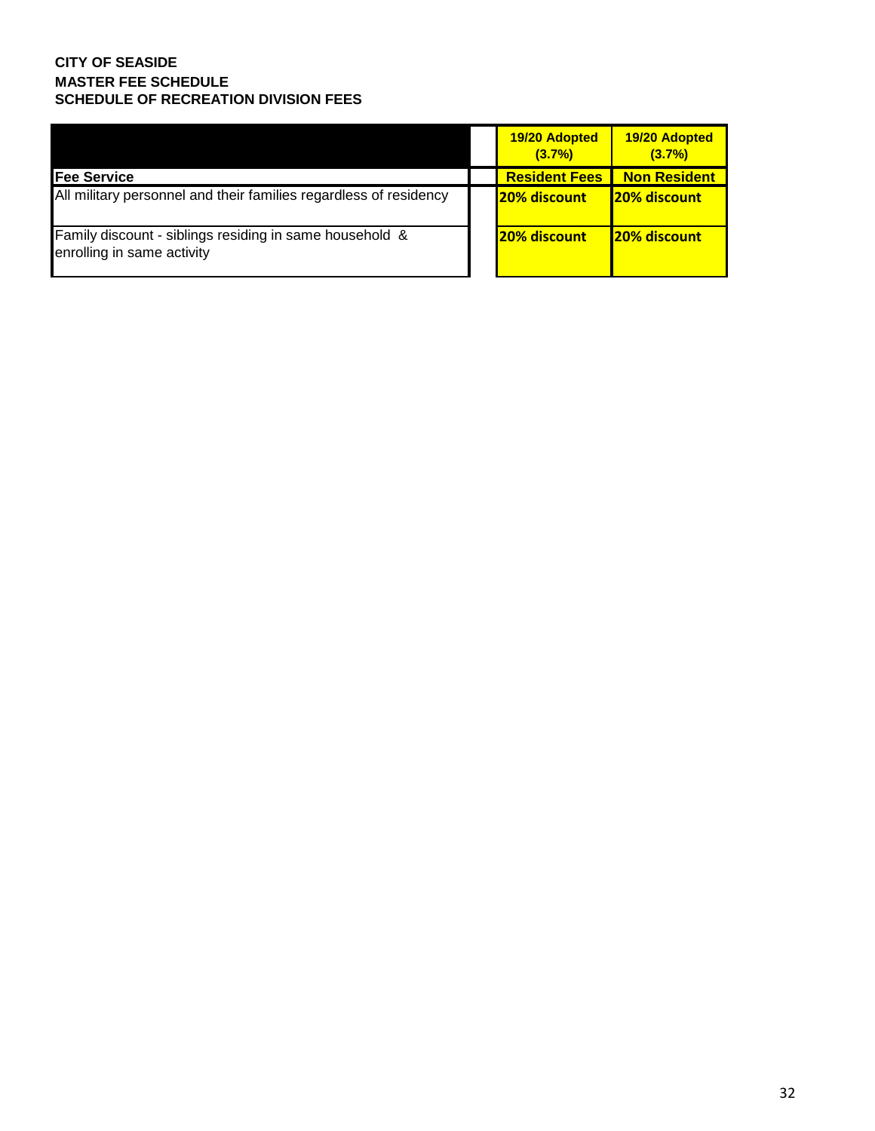|                                                                                                  | 19/20 Adopted<br>(3.7%) | 19/20 Adopted<br>(3.7%) |
|--------------------------------------------------------------------------------------------------|-------------------------|-------------------------|
| <b>Fee Service</b>                                                                               | <b>Resident Fees</b>    | Non Resident            |
| All military personnel and their families regardless of residency                                | <b>20% discount</b>     | <b>20% discount</b>     |
| <b>Family discount - siblings residing in same household &amp;</b><br>enrolling in same activity | <b>20% discount</b>     | <b>20% discount</b>     |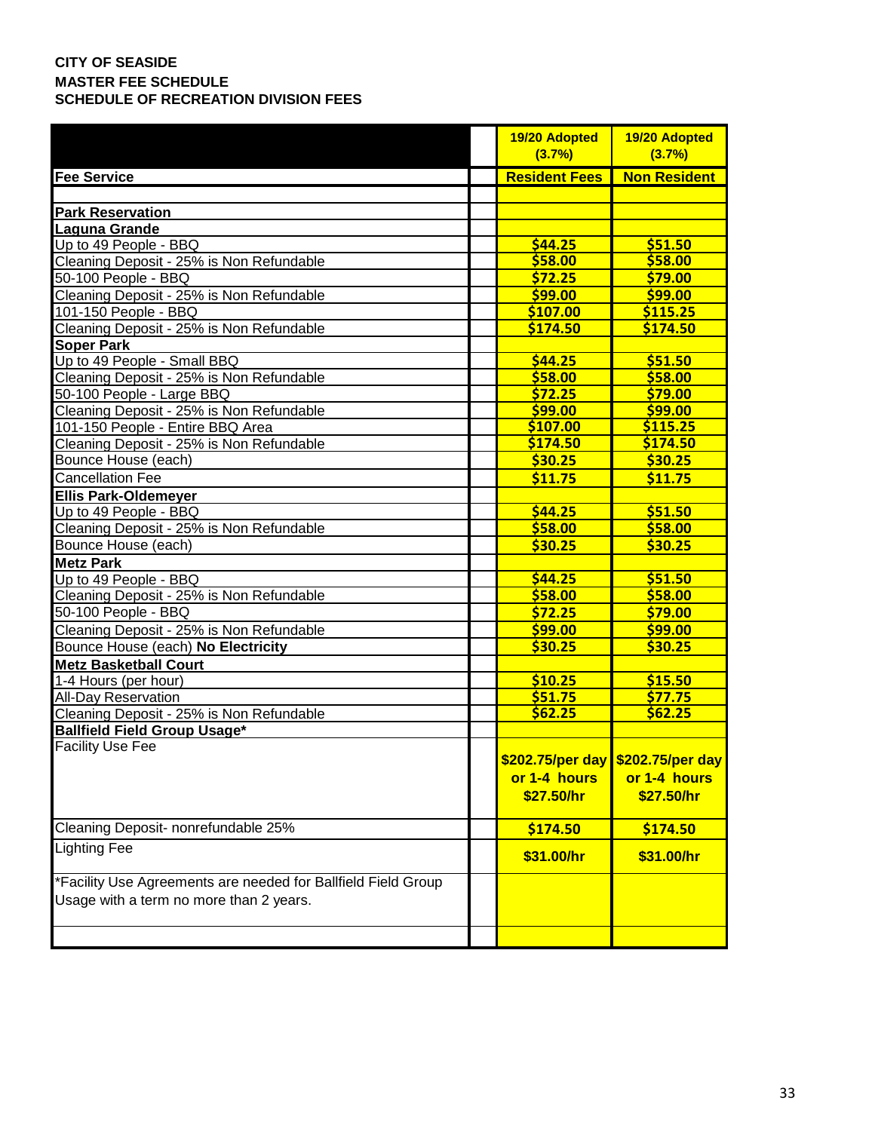|                                                                                                          | 19/20 Adopted<br>(3.7%) | 19/20 Adopted<br>(3.7%)           |
|----------------------------------------------------------------------------------------------------------|-------------------------|-----------------------------------|
| <b>Fee Service</b>                                                                                       | <b>Resident Fees</b>    | <b>Non Resident</b>               |
|                                                                                                          |                         |                                   |
| <b>Park Reservation</b>                                                                                  |                         |                                   |
| <b>Laguna Grande</b>                                                                                     |                         |                                   |
| Up to 49 People - BBQ                                                                                    | \$44.25                 | \$51.50                           |
| Cleaning Deposit - 25% is Non Refundable                                                                 | \$58.00                 | \$58.00                           |
| 50-100 People - BBQ                                                                                      | \$72.25                 | \$79.00                           |
| Cleaning Deposit - 25% is Non Refundable                                                                 | \$99.00                 | \$99.00                           |
| 101-150 People - BBQ                                                                                     | \$107.00                | \$115.25                          |
| Cleaning Deposit - 25% is Non Refundable                                                                 | \$174.50                | \$174.50                          |
| Soper Park                                                                                               |                         |                                   |
| Up to 49 People - Small BBQ                                                                              | \$44.25                 | \$51.50                           |
| Cleaning Deposit - 25% is Non Refundable                                                                 | \$58.00                 | \$58.00                           |
| 50-100 People - Large BBQ                                                                                | \$72.25                 | \$79.00                           |
| I<br>Cleaning Deposit - 25% is Non Refundable                                                            | \$99.00                 | \$99.00                           |
| 101-150 People - Entire BBQ Area                                                                         | \$107.00                | \$115.25                          |
| Cleaning Deposit - 25% is Non Refundable                                                                 | \$174.50                | \$174.50                          |
| Bounce House (each)                                                                                      | \$30.25                 | \$30.25                           |
| <b>Cancellation Fee</b>                                                                                  | \$11.75                 | \$11.75                           |
| <b>Ellis Park-Oldemeyer</b>                                                                              |                         |                                   |
| Up to 49 People - BBQ                                                                                    | \$44.25                 | \$51.50                           |
| Cleaning Deposit - 25% is Non Refundable                                                                 | \$58.00                 | \$58.00                           |
| Bounce House (each)                                                                                      | \$30.25                 | \$30.25                           |
| <b>Metz Park</b>                                                                                         |                         |                                   |
| Up to 49 People - BBQ                                                                                    | \$44.25                 | \$51.50                           |
| Cleaning Deposit - 25% is Non Refundable                                                                 | \$58.00                 | \$58.00                           |
| Cleaning Deposit - 25<br>50-100 People - BBQ                                                             | \$72.25                 | \$79.00                           |
| Cleaning Deposit - 25% is Non Refundable                                                                 | \$99.00                 | \$99.00                           |
| Bounce House (each) No Electricity                                                                       | \$30.25                 | \$30.25                           |
| <b>Metz Basketball Court</b>                                                                             |                         |                                   |
| 1-4 Hours (per hour)                                                                                     | \$10.25                 | \$15.50                           |
|                                                                                                          | \$51.75                 | \$77.75                           |
| All-Day Reservation<br>All-Day Reservation<br>Cleaning Deposit - 25% is Non Refundable                   | \$62.25                 | \$62.25                           |
| Ballfield Field Group Usage*                                                                             |                         |                                   |
| <b>Facility Use Fee</b>                                                                                  |                         |                                   |
|                                                                                                          |                         | \$202.75/per day \$202.75/per day |
|                                                                                                          | or 1-4 hours            | or 1-4 hours                      |
|                                                                                                          | \$27.50/hr              | \$27.50/hr                        |
| Cleaning Deposit- nonrefundable 25%                                                                      | \$174.50                | \$174.50                          |
| Lighting Fee                                                                                             | \$31.00/hr              | \$31.00/hr                        |
| *Facility Use Agreements are needed for Ballfield Field Group<br>Usage with a term no more than 2 years. |                         |                                   |
|                                                                                                          |                         |                                   |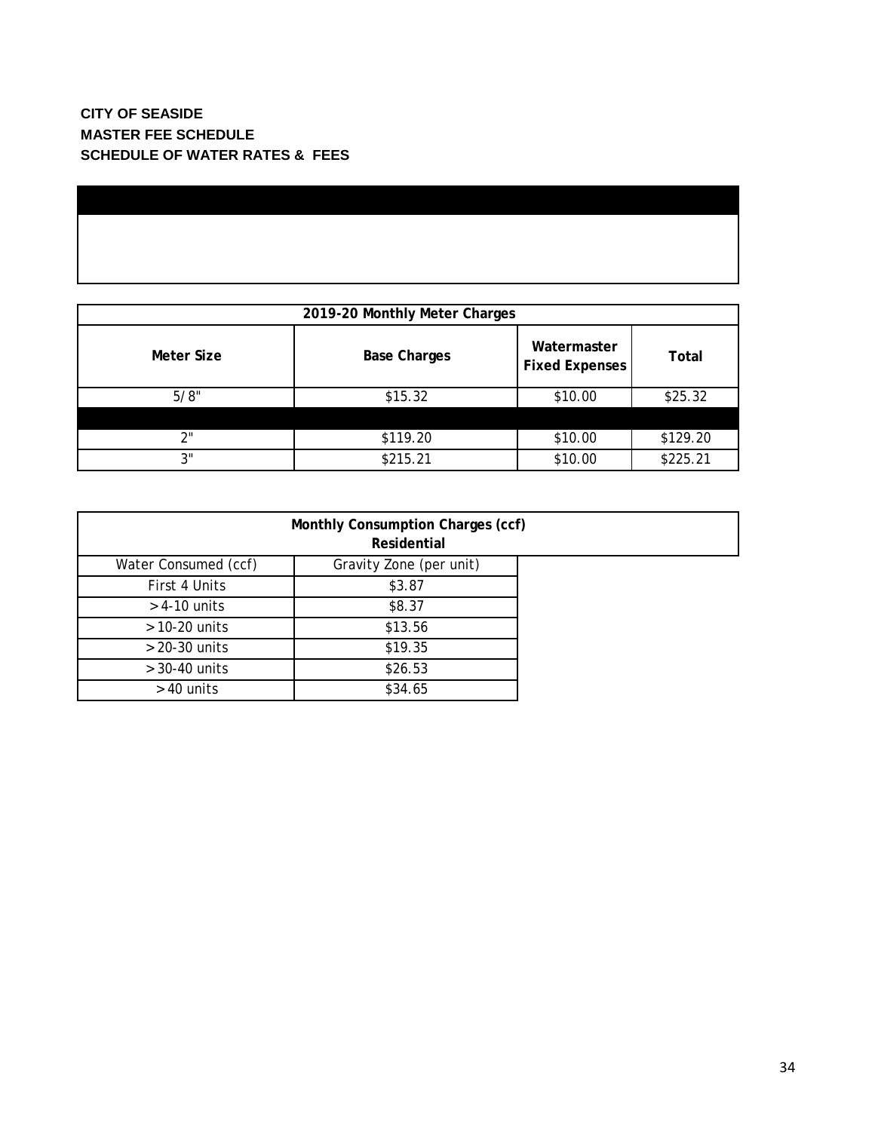| 2019-20 Monthly Meter Charges |                     |                                      |          |  |  |  |
|-------------------------------|---------------------|--------------------------------------|----------|--|--|--|
| Meter Size                    | <b>Base Charges</b> | Watermaster<br><b>Fixed Expenses</b> | Total    |  |  |  |
| 5/8"                          | \$15.32             | \$10.00                              | \$25.32  |  |  |  |
|                               |                     |                                      |          |  |  |  |
| 2"                            | \$119.20            | \$10.00                              | \$129.20 |  |  |  |
| 3"                            | \$215.21            | \$10.00                              | \$225.21 |  |  |  |

| Monthly Consumption Charges (ccf)<br>Residential |                         |  |  |  |
|--------------------------------------------------|-------------------------|--|--|--|
| Water Consumed (ccf)                             | Gravity Zone (per unit) |  |  |  |
| First 4 Units                                    | \$3.87                  |  |  |  |
| $>$ 4-10 units                                   | \$8.37                  |  |  |  |
| $>$ 10-20 units                                  | \$13.56                 |  |  |  |
| $> 20-30$ units                                  | \$19.35                 |  |  |  |
| $>$ 30-40 units                                  | \$26.53                 |  |  |  |
| $>$ 40 units                                     | \$34.65                 |  |  |  |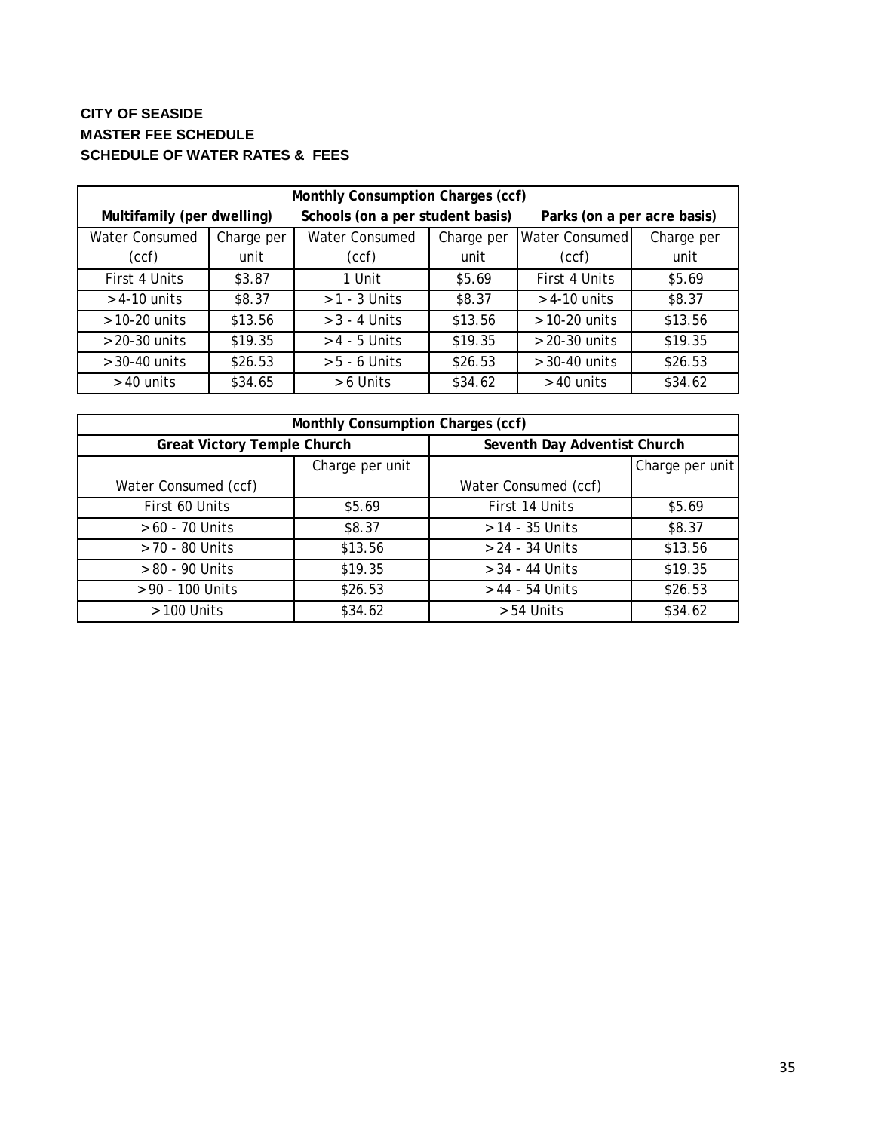# **CITY OF SEASIDE MASTER FEE SCHEDULE SCHEDULE OF WATER RATES & FEES**

| Monthly Consumption Charges (ccf) |            |                                  |            |                             |            |
|-----------------------------------|------------|----------------------------------|------------|-----------------------------|------------|
| Multifamily (per dwelling)        |            | Schools (on a per student basis) |            | Parks (on a per acre basis) |            |
| <b>Water Consumed</b>             | Charge per | <b>Water Consumed</b>            | Charge per | Water Consumed              | Charge per |
| (ccf)                             | unit       | (ccf)                            | unit       | (ccf)                       | unit       |
| First 4 Units                     | \$3.87     | 1 Unit                           | \$5.69     | First 4 Units               | \$5.69     |
| $>$ 4-10 units                    | \$8.37     | $>1 - 3$ Units                   | \$8.37     | $>$ 4-10 units              | \$8.37     |
| $>$ 10-20 units                   | \$13.56    | $>$ 3 - 4 Units                  | \$13.56    | $>$ 10-20 units             | \$13.56    |
| $> 20-30$ units                   | \$19.35    | $> 4 - 5$ Units                  | \$19.35    | $> 20-30$ units             | \$19.35    |
| $>$ 30-40 units                   | \$26.53    | $> 5 - 6$ Units                  | \$26.53    | $>$ 30-40 units             | \$26.53    |
| $>$ 40 units                      | \$34.65    | > 6 Units                        | \$34.62    | $>$ 40 units                | \$34.62    |

| Monthly Consumption Charges (ccf)  |                 |                              |         |  |
|------------------------------------|-----------------|------------------------------|---------|--|
| <b>Great Victory Temple Church</b> |                 | Seventh Day Adventist Church |         |  |
|                                    | Charge per unit | Charge per unit              |         |  |
| Water Consumed (ccf)               |                 | Water Consumed (ccf)         |         |  |
| First 60 Units                     | \$5.69          | First 14 Units               | \$5.69  |  |
| $> 60 - 70$ Units                  | \$8.37          | $> 14 - 35$ Units            | \$8.37  |  |
| > 70 - 80 Units                    | \$13.56         | > 24 - 34 Units              | \$13.56 |  |
| > 80 - 90 Units                    | \$19.35         | $> 34 - 44$ Units            | \$19.35 |  |
| > 90 - 100 Units                   | \$26.53         | > 44 - 54 Units              | \$26.53 |  |
| $>100$ Units                       | \$34.62         | > 54 Units                   | \$34.62 |  |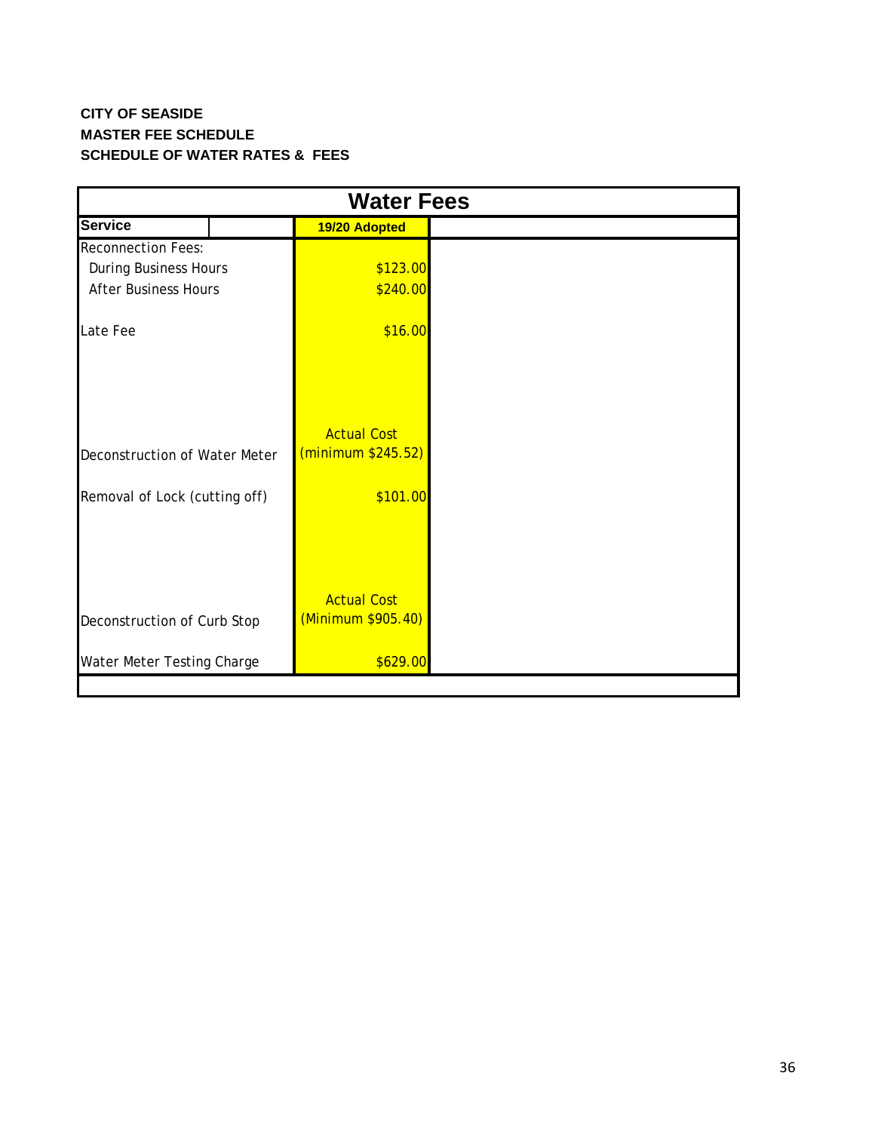# **CITY OF SEASIDE MASTER FEE SCHEDULE SCHEDULE OF WATER RATES & FEES**

| <b>Water Fees</b>             |                                          |  |  |
|-------------------------------|------------------------------------------|--|--|
| <b>Service</b>                | 19/20 Adopted                            |  |  |
| <b>Reconnection Fees:</b>     |                                          |  |  |
| <b>During Business Hours</b>  | \$123.00                                 |  |  |
| <b>After Business Hours</b>   | \$240.00                                 |  |  |
| Late Fee                      | \$16.00                                  |  |  |
| Deconstruction of Water Meter | <b>Actual Cost</b><br>(minimum \$245.52) |  |  |
| Removal of Lock (cutting off) | \$101.00                                 |  |  |
|                               |                                          |  |  |
| Deconstruction of Curb Stop   | <b>Actual Cost</b><br>(Minimum \$905.40) |  |  |
| Water Meter Testing Charge    | \$629.00                                 |  |  |
|                               |                                          |  |  |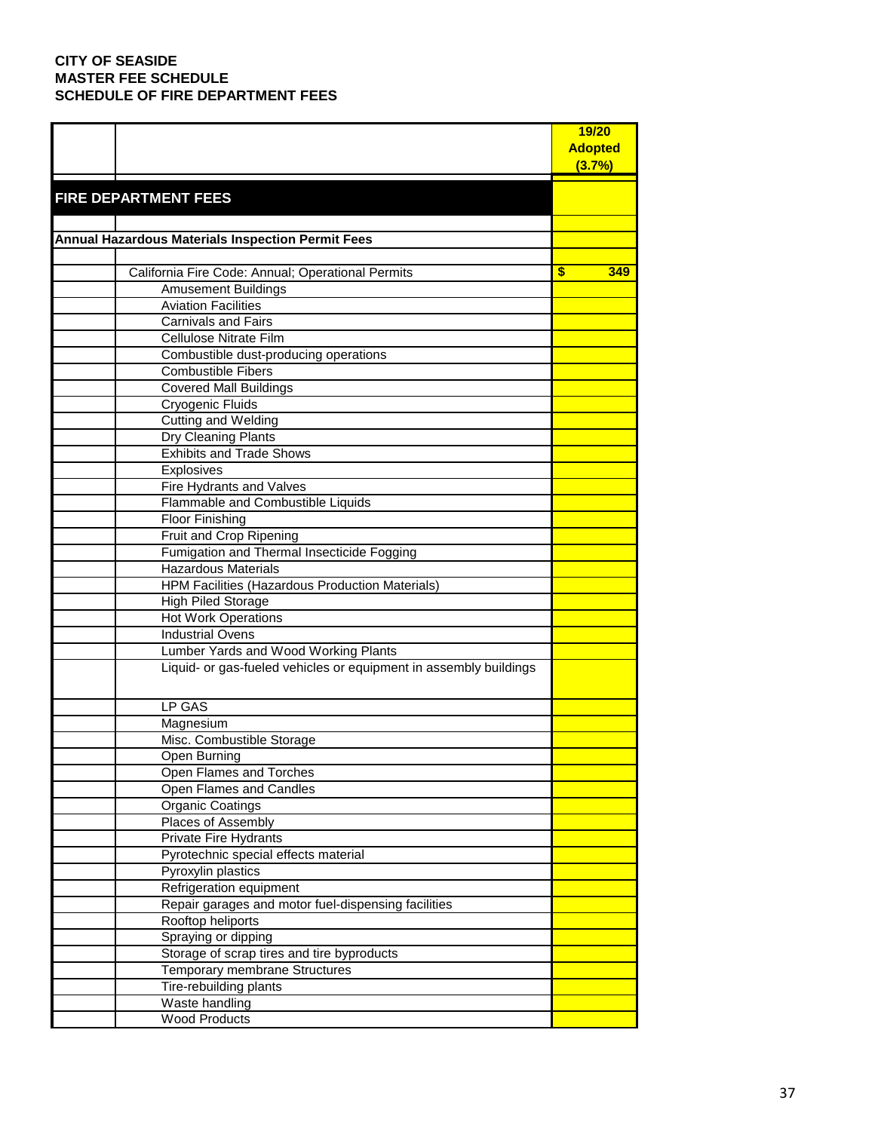|                                                                   | 19/20          |
|-------------------------------------------------------------------|----------------|
|                                                                   | <b>Adopted</b> |
|                                                                   | (3.7%)         |
|                                                                   |                |
| <b>FIRE DEPARTMENT FEES</b>                                       |                |
|                                                                   |                |
| <b>Annual Hazardous Materials Inspection Permit Fees</b>          |                |
|                                                                   |                |
| California Fire Code: Annual; Operational Permits                 | \$<br>349      |
| <b>Amusement Buildings</b>                                        |                |
| <b>Aviation Facilities</b>                                        |                |
| Carnivals and Fairs                                               |                |
| Cellulose Nitrate Film                                            |                |
| Combustible dust-producing operations                             |                |
| <b>Combustible Fibers</b>                                         |                |
| <b>Covered Mall Buildings</b>                                     |                |
| Cryogenic Fluids                                                  |                |
| Cutting and Welding                                               |                |
| Dry Cleaning Plants                                               |                |
| <b>Exhibits and Trade Shows</b>                                   |                |
| Explosives                                                        |                |
| Fire Hydrants and Valves                                          |                |
| Flammable and Combustible Liquids                                 |                |
| <b>Floor Finishing</b>                                            |                |
| Fruit and Crop Ripening                                           |                |
| Fumigation and Thermal Insecticide Fogging                        |                |
| <b>Hazardous Materials</b>                                        |                |
| <b>HPM Facilities (Hazardous Production Materials)</b>            |                |
| <b>High Piled Storage</b>                                         |                |
| <b>Hot Work Operations</b>                                        |                |
| <b>Industrial Ovens</b>                                           |                |
| Lumber Yards and Wood Working Plants                              |                |
| Liquid- or gas-fueled vehicles or equipment in assembly buildings |                |
|                                                                   |                |
| LP GAS                                                            |                |
| Magnesium                                                         |                |
| Misc. Combustible Storage                                         |                |
| Open Burning                                                      |                |
| Open Flames and Torches                                           |                |
| Open Flames and Candles                                           |                |
| <b>Organic Coatings</b>                                           |                |
| Places of Assembly                                                |                |
| Private Fire Hydrants                                             |                |
| Pyrotechnic special effects material                              |                |
| Pyroxylin plastics                                                |                |
| Refrigeration equipment                                           |                |
| Repair garages and motor fuel-dispensing facilities               |                |
| Rooftop heliports                                                 |                |
| Spraying or dipping                                               |                |
| Storage of scrap tires and tire byproducts                        |                |
| Temporary membrane Structures                                     |                |
| Tire-rebuilding plants                                            |                |
| Waste handling                                                    |                |
| <b>Wood Products</b>                                              |                |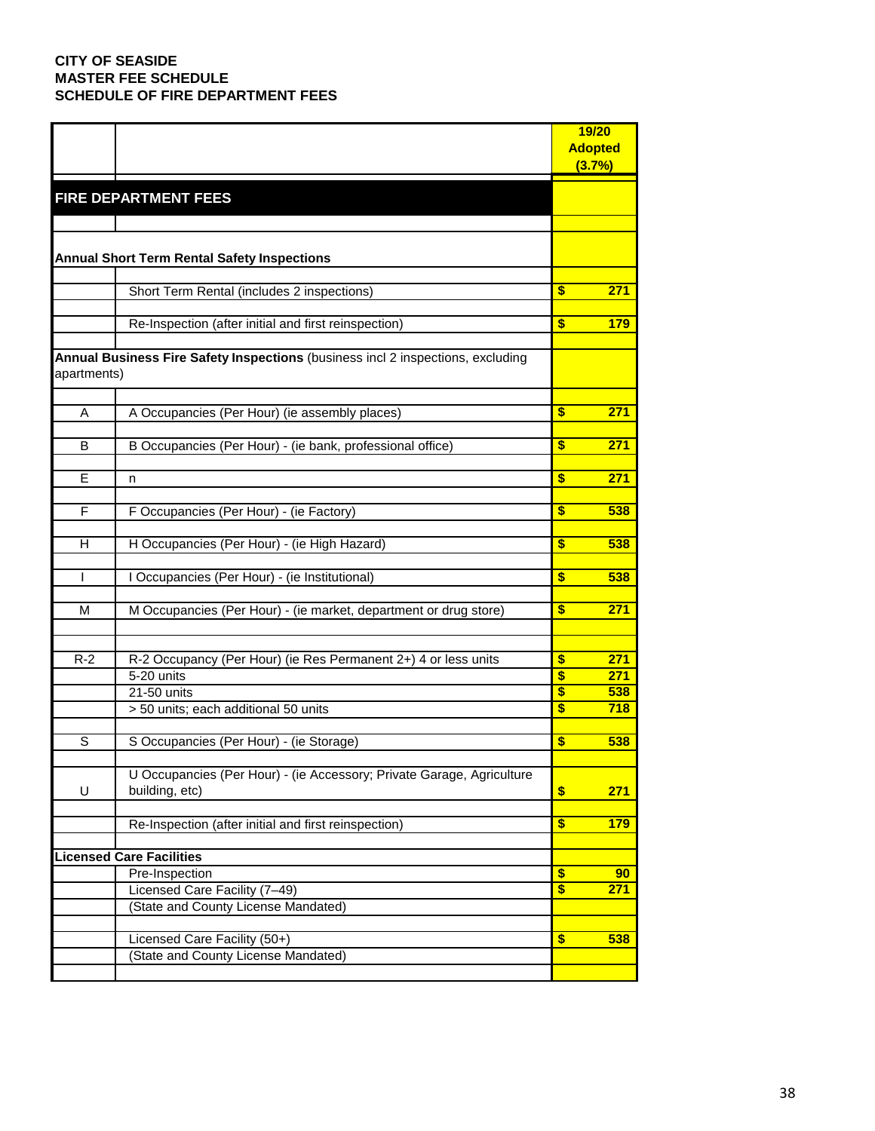|              |                                                                                 |                         | 19/20          |
|--------------|---------------------------------------------------------------------------------|-------------------------|----------------|
|              |                                                                                 |                         | <b>Adopted</b> |
|              |                                                                                 |                         | (3.7%)         |
|              |                                                                                 |                         |                |
|              | <b>FIRE DEPARTMENT FEES</b>                                                     |                         |                |
|              |                                                                                 |                         |                |
|              |                                                                                 |                         |                |
|              | <b>Annual Short Term Rental Safety Inspections</b>                              |                         |                |
|              |                                                                                 |                         |                |
|              | Short Term Rental (includes 2 inspections)                                      | \$                      | 271            |
|              |                                                                                 |                         |                |
|              | Re-Inspection (after initial and first reinspection)                            | $\overline{\mathbf{s}}$ | 179            |
|              |                                                                                 |                         |                |
|              | Annual Business Fire Safety Inspections (business incl 2 inspections, excluding |                         |                |
| apartments)  |                                                                                 |                         |                |
|              |                                                                                 |                         |                |
| A            | A Occupancies (Per Hour) (ie assembly places)                                   | \$                      | 271            |
|              |                                                                                 |                         |                |
| В            | B Occupancies (Per Hour) - (ie bank, professional office)                       | \$                      | 271            |
|              |                                                                                 |                         |                |
| E            | n                                                                               | \$                      | 271            |
|              |                                                                                 |                         |                |
| F            | F Occupancies (Per Hour) - (ie Factory)                                         | \$                      | 538            |
|              |                                                                                 |                         |                |
| H            | H Occupancies (Per Hour) - (ie High Hazard)                                     | \$                      | 538            |
|              |                                                                                 |                         |                |
| $\mathsf{I}$ | I Occupancies (Per Hour) - (ie Institutional)                                   | \$                      | 538            |
|              |                                                                                 |                         |                |
| M            | M Occupancies (Per Hour) - (ie market, department or drug store)                | \$                      | 271            |
|              |                                                                                 |                         |                |
|              |                                                                                 |                         |                |
| $R-2$        | R-2 Occupancy (Per Hour) (ie Res Permanent 2+) 4 or less units                  | \$                      | 271            |
|              | $5-20$ units                                                                    | $\overline{\mathbf{s}}$ | 271            |
|              | 21-50 units                                                                     | \$                      | 538            |
|              | > 50 units; each additional 50 units                                            | \$                      | 718            |
|              |                                                                                 |                         |                |
| S            | S Occupancies (Per Hour) - (ie Storage)                                         | \$                      | 538            |
|              |                                                                                 |                         |                |
|              | U Occupancies (Per Hour) - (ie Accessory; Private Garage, Agriculture           |                         |                |
| U            | building, etc)                                                                  | \$                      | 271            |
|              |                                                                                 |                         |                |
|              | Re-Inspection (after initial and first reinspection)                            | \$                      | 179            |
|              |                                                                                 |                         |                |
|              | <b>icensed Care Facilities</b>                                                  |                         |                |
|              | Pre-Inspection                                                                  | $\overline{\mathbf{s}}$ | 90             |
|              | Licensed Care Facility (7-49)                                                   | $\overline{\$}$         | 271            |
|              | (State and County License Mandated)                                             |                         |                |
|              | Licensed Care Facility (50+)                                                    |                         |                |
|              |                                                                                 | \$                      | 538            |
|              | (State and County License Mandated)                                             |                         |                |
|              |                                                                                 |                         |                |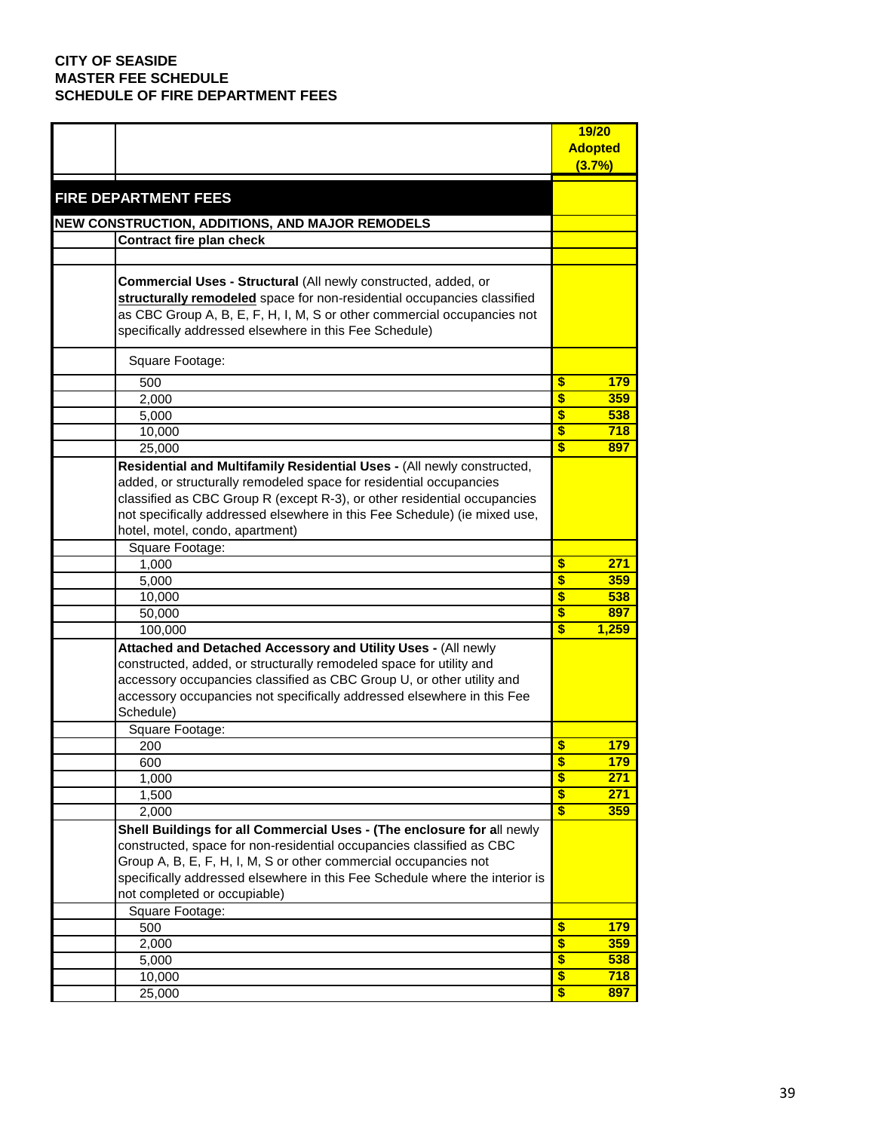|                                                                             | 19/20                                 |
|-----------------------------------------------------------------------------|---------------------------------------|
|                                                                             | <b>Adopted</b>                        |
|                                                                             | (3.7%)                                |
|                                                                             |                                       |
| <b>FIRE DEPARTMENT FEES</b>                                                 |                                       |
| NEW CONSTRUCTION, ADDITIONS, AND MAJOR REMODELS                             |                                       |
| Contract fire plan check                                                    |                                       |
|                                                                             |                                       |
|                                                                             |                                       |
| Commercial Uses - Structural (All newly constructed, added, or              |                                       |
| structurally remodeled space for non-residential occupancies classified     |                                       |
| as CBC Group A, B, E, F, H, I, M, S or other commercial occupancies not     |                                       |
| specifically addressed elsewhere in this Fee Schedule)                      |                                       |
| Square Footage:                                                             |                                       |
| 500                                                                         | \$<br>179                             |
| 2,000                                                                       | \$<br>359                             |
| 5,000                                                                       | \$<br>538                             |
| 10,000                                                                      | \$<br>718                             |
| 25,000                                                                      | $\overline{\mathbf{s}}$<br>897        |
| Residential and Multifamily Residential Uses - (All newly constructed,      |                                       |
| added, or structurally remodeled space for residential occupancies          |                                       |
| classified as CBC Group R (except R-3), or other residential occupancies    |                                       |
| not specifically addressed elsewhere in this Fee Schedule) (ie mixed use,   |                                       |
| hotel, motel, condo, apartment)                                             |                                       |
| Square Footage:                                                             |                                       |
| 1,000                                                                       | \$<br>271                             |
| 5,000                                                                       | $\overline{\mathbf{s}}$<br>359        |
| 10,000                                                                      | \$<br>538                             |
| 50,000                                                                      | \$<br>897                             |
| 100,000                                                                     | $\overline{\mathbf{s}}$<br>1,259      |
| Attached and Detached Accessory and Utility Uses - (All newly               |                                       |
| constructed, added, or structurally remodeled space for utility and         |                                       |
| accessory occupancies classified as CBC Group U, or other utility and       |                                       |
| accessory occupancies not specifically addressed elsewhere in this Fee      |                                       |
| Schedule)                                                                   |                                       |
| Square Footage:                                                             |                                       |
| 200                                                                         | \$<br>179.                            |
| 600                                                                         | \$<br>179                             |
| 1,000                                                                       | $\overline{\mathbf{s}}$<br>271        |
| 1,500                                                                       | $\overline{\$}$<br>271                |
| 2,000                                                                       | $\overline{\mathbf{s}}$<br><b>359</b> |
| Shell Buildings for all Commercial Uses - (The enclosure for all newly      |                                       |
| constructed, space for non-residential occupancies classified as CBC        |                                       |
| Group A, B, E, F, H, I, M, S or other commercial occupancies not            |                                       |
| specifically addressed elsewhere in this Fee Schedule where the interior is |                                       |
| not completed or occupiable)                                                |                                       |
| Square Footage:                                                             |                                       |
| 500                                                                         | \$<br><b>179</b>                      |
| 2,000                                                                       | $\overline{\$}$<br>359                |
| 5,000                                                                       | \$<br>538                             |
| 10,000                                                                      | $\overline{\$}$<br>718                |
| 25,000                                                                      | $\overline{\$}$<br>897                |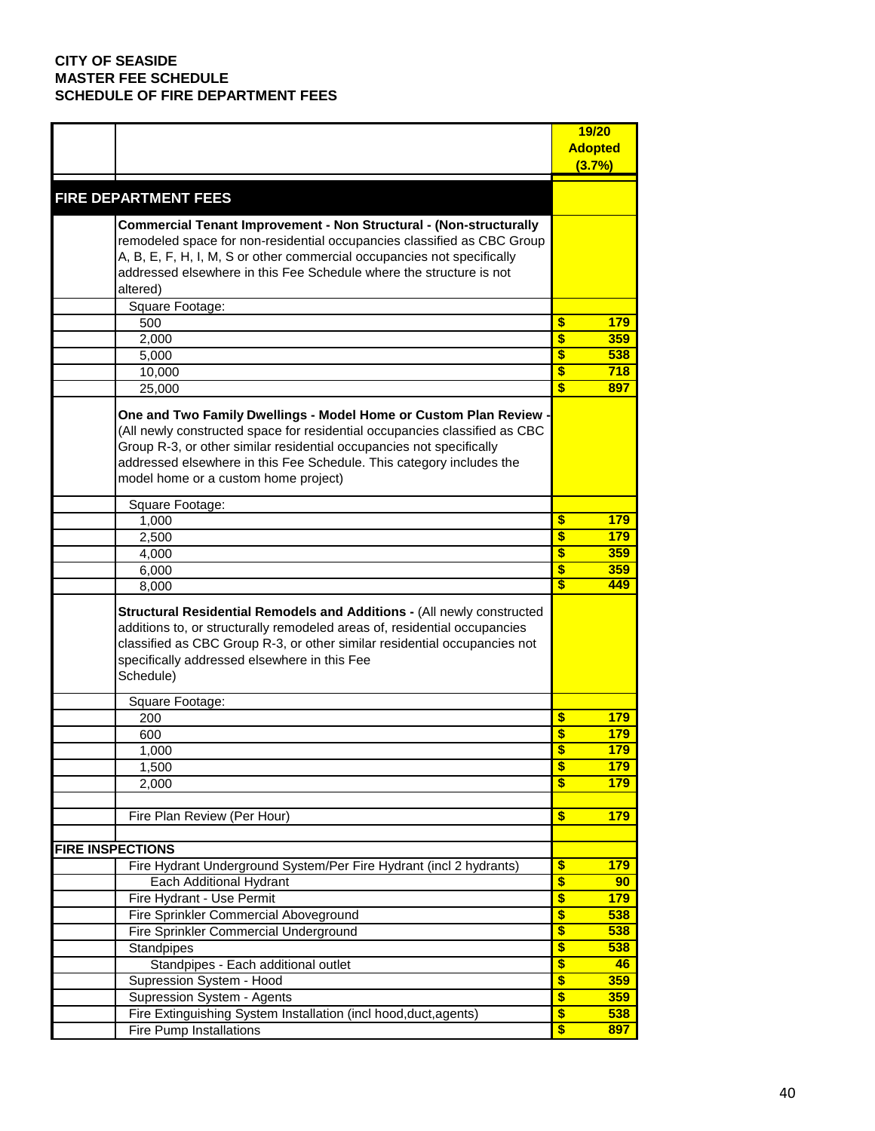|                                                                                | 19/20                                |
|--------------------------------------------------------------------------------|--------------------------------------|
|                                                                                | <b>Adopted</b>                       |
|                                                                                | (3.7%)                               |
|                                                                                |                                      |
| <b>FIRE DEPARTMENT FEES</b>                                                    |                                      |
| <b>Commercial Tenant Improvement - Non Structural - (Non-structurally</b>      |                                      |
| remodeled space for non-residential occupancies classified as CBC Group        |                                      |
| A, B, E, F, H, I, M, S or other commercial occupancies not specifically        |                                      |
| addressed elsewhere in this Fee Schedule where the structure is not            |                                      |
| altered)                                                                       |                                      |
| Square Footage:                                                                |                                      |
| 500                                                                            | \$<br>179                            |
| 2,000                                                                          | \$<br>359                            |
| 5,000                                                                          | \$<br>538                            |
|                                                                                | \$<br>718                            |
| 10,000<br>25,000                                                               | $\overline{\mathbf{s}}$<br>897       |
|                                                                                |                                      |
| One and Two Family Dwellings - Model Home or Custom Plan Review -              |                                      |
| (All newly constructed space for residential occupancies classified as CBC     |                                      |
| Group R-3, or other similar residential occupancies not specifically           |                                      |
| addressed elsewhere in this Fee Schedule. This category includes the           |                                      |
| model home or a custom home project)                                           |                                      |
|                                                                                |                                      |
| Square Footage:                                                                |                                      |
| 1,000                                                                          | \$<br>179                            |
| 2,500                                                                          | \$<br>179                            |
| 4,000                                                                          | $\overline{\mathbf{s}}$<br>359       |
| 6,000                                                                          | \$<br>359<br>$\overline{\mathbf{s}}$ |
| 8,000                                                                          | 449                                  |
| <b>Structural Residential Remodels and Additions - (All newly constructed)</b> |                                      |
| additions to, or structurally remodeled areas of, residential occupancies      |                                      |
| classified as CBC Group R-3, or other similar residential occupancies not      |                                      |
| specifically addressed elsewhere in this Fee                                   |                                      |
| Schedule)                                                                      |                                      |
|                                                                                |                                      |
| Square Footage:                                                                |                                      |
| 200                                                                            | \$<br>179                            |
| 600                                                                            | \$<br>179                            |
| 1,000                                                                          | \$<br>179                            |
| 1,500                                                                          | \$<br><b>179</b>                     |
| 2,000                                                                          | \$<br><b>179</b>                     |
|                                                                                |                                      |
| Fire Plan Review (Per Hour)                                                    | \$<br><b>179</b>                     |
|                                                                                |                                      |
| <b>FIRE INSPECTIONS</b>                                                        |                                      |
| Fire Hydrant Underground System/Per Fire Hydrant (incl 2 hydrants)             | \$<br>179                            |
| Each Additional Hydrant                                                        | \$<br>90 <sub>o</sub>                |
| Fire Hydrant - Use Permit                                                      | \$<br><b>179</b>                     |
| Fire Sprinkler Commercial Aboveground                                          | \$<br>538                            |
| Fire Sprinkler Commercial Underground                                          | \$<br>538                            |
| Standpipes                                                                     | \$<br>538                            |
| Standpipes - Each additional outlet                                            | \$<br>46                             |
| Supression System - Hood                                                       | \$<br><b>359</b>                     |
| Supression System - Agents                                                     | \$<br><b>359</b>                     |
| Fire Extinguishing System Installation (incl hood, duct, agents)               | \$<br>538                            |
| <b>Fire Pump Installations</b>                                                 | \$<br>897                            |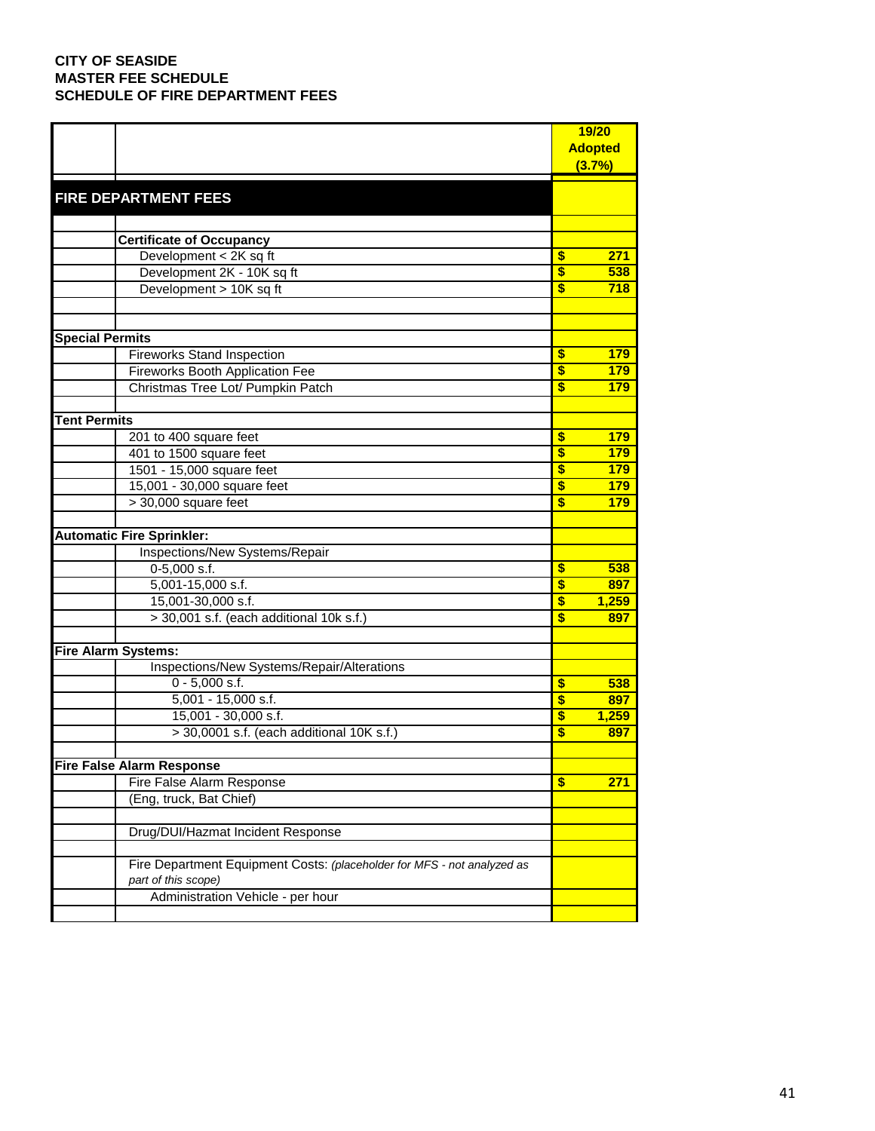|                                                                         | 19/20                                       |
|-------------------------------------------------------------------------|---------------------------------------------|
|                                                                         | <b>Adopted</b>                              |
|                                                                         | (3.7%)                                      |
|                                                                         |                                             |
| <b>FIRE DEPARTMENT FEES</b>                                             |                                             |
|                                                                         |                                             |
| <b>Certificate of Occupancy</b>                                         |                                             |
| Development < 2K sq ft                                                  | \$<br>271                                   |
| Development 2K - 10K sq ft                                              | $\overline{\mathbf{s}}$<br>538              |
| Development > 10K sq ft                                                 | $\mathbf{s}$<br>718                         |
|                                                                         |                                             |
|                                                                         |                                             |
| <b>Special Permits</b>                                                  |                                             |
| <b>Fireworks Stand Inspection</b>                                       | \$<br>179                                   |
| <b>Fireworks Booth Application Fee</b>                                  | $\overline{\mathbf{s}}$<br>179              |
| Christmas Tree Lot/ Pumpkin Patch                                       | \$<br>179                                   |
|                                                                         |                                             |
| <b>Tent Permits</b>                                                     |                                             |
| 201 to 400 square feet                                                  | \$<br>179                                   |
| 401 to 1500 square feet                                                 | \$<br>179                                   |
| 1501 - 15,000 square feet                                               | $\overline{\mathbf{s}}$<br>179              |
| 15,001 - 30,000 square feet                                             | $\overline{\mathbf{3}}$<br>179              |
| $>$ 30,000 square feet                                                  | $\boldsymbol{s}$<br>179                     |
| <b>Automatic Fire Sprinkler:</b>                                        |                                             |
| Inspections/New Systems/Repair                                          |                                             |
| $0-5,000$ s.f.                                                          | \$<br>538                                   |
| 5,001-15,000 s.f.                                                       | $\overline{\boldsymbol{\mathsf{s}}}$<br>897 |
| 15,001-30,000 s.f.                                                      | $\overline{\mathbf{s}}$<br>1,259            |
| > 30,001 s.f. (each additional 10k s.f.)                                | \$<br>897                                   |
|                                                                         |                                             |
| <b>Fire Alarm Systems:</b>                                              |                                             |
| Inspections/New Systems/Repair/Alterations                              |                                             |
| $0 - 5,000$ s.f.                                                        | \$<br>538                                   |
| $5,001 - 15,000$ s.f.                                                   | $\boldsymbol{s}$<br>897                     |
| 15,001 - 30,000 s.f.                                                    | \$<br>1,259                                 |
| > 30,0001 s.f. (each additional 10K s.f.)                               | $\overline{\mathbf{3}}$<br>897              |
|                                                                         |                                             |
| Fire False Alarm Response                                               |                                             |
| Fire False Alarm Response                                               | $\sqrt[6]{3}$<br>271                        |
| (Eng, truck, Bat Chief)                                                 |                                             |
|                                                                         |                                             |
| Drug/DUI/Hazmat Incident Response                                       |                                             |
|                                                                         |                                             |
| Fire Department Equipment Costs: (placeholder for MFS - not analyzed as |                                             |
| part of this scope)<br>Administration Vehicle - per hour                |                                             |
|                                                                         |                                             |
|                                                                         |                                             |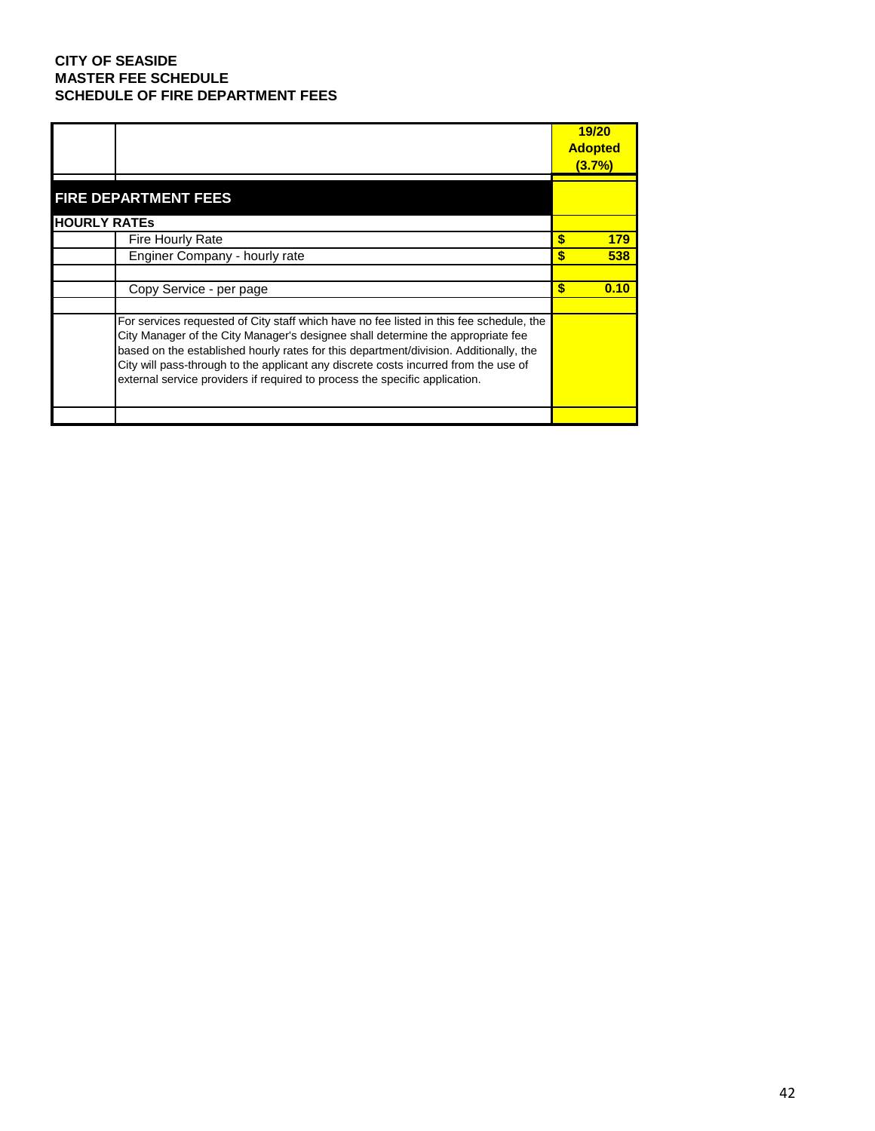|                     |                                                                                                                                                                                                                                                                                                                                                                                                                                           | 19/20<br><b>Adopted</b> |      |
|---------------------|-------------------------------------------------------------------------------------------------------------------------------------------------------------------------------------------------------------------------------------------------------------------------------------------------------------------------------------------------------------------------------------------------------------------------------------------|-------------------------|------|
|                     |                                                                                                                                                                                                                                                                                                                                                                                                                                           | <u>(3.7%)</u>           |      |
|                     | <b>FIRE DEPARTMENT FEES</b>                                                                                                                                                                                                                                                                                                                                                                                                               |                         |      |
| <b>HOURLY RATES</b> |                                                                                                                                                                                                                                                                                                                                                                                                                                           |                         |      |
|                     | <b>Fire Hourly Rate</b>                                                                                                                                                                                                                                                                                                                                                                                                                   | \$                      | 179  |
|                     | Enginer Company - hourly rate                                                                                                                                                                                                                                                                                                                                                                                                             |                         | 538  |
|                     |                                                                                                                                                                                                                                                                                                                                                                                                                                           |                         |      |
|                     | Copy Service - per page                                                                                                                                                                                                                                                                                                                                                                                                                   | S                       | 0.10 |
|                     |                                                                                                                                                                                                                                                                                                                                                                                                                                           |                         |      |
|                     | For services requested of City staff which have no fee listed in this fee schedule, the<br>City Manager of the City Manager's designee shall determine the appropriate fee<br>based on the established hourly rates for this department/division. Additionally, the<br>City will pass-through to the applicant any discrete costs incurred from the use of<br>external service providers if required to process the specific application. |                         |      |
|                     |                                                                                                                                                                                                                                                                                                                                                                                                                                           |                         |      |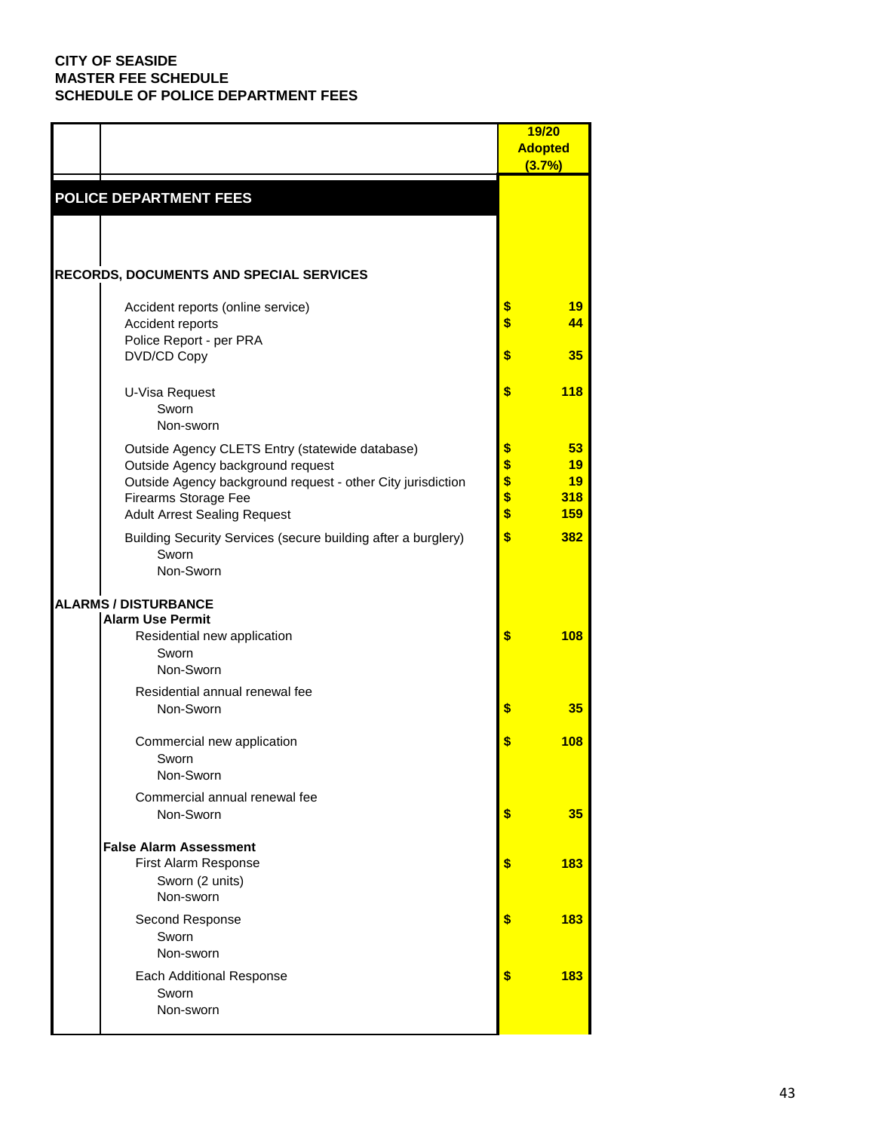|                                        |                                                                                                  | 19/20<br><b>Adopted</b><br>(3.7%) |            |
|----------------------------------------|--------------------------------------------------------------------------------------------------|-----------------------------------|------------|
| <b>POLICE DEPARTMENT FEES</b>          |                                                                                                  |                                   |            |
|                                        |                                                                                                  |                                   |            |
|                                        | <b>RECORDS, DOCUMENTS AND SPECIAL SERVICES</b>                                                   |                                   |            |
|                                        | Accident reports (online service)                                                                | \$                                | 19         |
| Accident reports                       |                                                                                                  | \$                                | 44         |
| Police Report - per PRA<br>DVD/CD Copy |                                                                                                  | \$                                | 35         |
| U-Visa Request                         |                                                                                                  | \$                                | <b>118</b> |
| Sworn<br>Non-sworn                     |                                                                                                  |                                   |            |
|                                        | Outside Agency CLETS Entry (statewide database)                                                  | \$                                | 53         |
|                                        | Outside Agency background request<br>Outside Agency background request - other City jurisdiction | \$<br>\$                          | 19<br>19   |
| Firearms Storage Fee                   |                                                                                                  | \$                                | 318        |
|                                        | <b>Adult Arrest Sealing Request</b>                                                              | \$                                | <b>159</b> |
| Sworn<br>Non-Sworn                     | Building Security Services (secure building after a burglery)                                    | \$                                | 382        |
| <b>ALARMS / DISTURBANCE</b>            |                                                                                                  |                                   |            |
| <b>Alarm Use Permit</b>                | Residential new application                                                                      | \$                                | 108        |
| Sworn<br>Non-Sworn                     |                                                                                                  |                                   |            |
|                                        | Residential annual renewal fee                                                                   |                                   |            |
| Non-Sworn                              |                                                                                                  | \$                                | 35         |
|                                        | Commercial new application                                                                       | \$                                | 108        |
| Sworn<br>Non-Sworn                     |                                                                                                  |                                   |            |
|                                        | Commercial annual renewal fee                                                                    |                                   |            |
| Non-Sworn                              |                                                                                                  | \$                                | 35         |
| <b>False Alarm Assessment</b>          |                                                                                                  |                                   |            |
|                                        | First Alarm Response<br>Sworn (2 units)                                                          | \$                                | 183        |
| Non-sworn                              |                                                                                                  |                                   |            |
| Second Response                        |                                                                                                  | \$                                | 183        |
| Sworn<br>Non-sworn                     |                                                                                                  |                                   |            |
|                                        | Each Additional Response                                                                         | \$                                | 183        |
| Sworn<br>Non-sworn                     |                                                                                                  |                                   |            |
|                                        |                                                                                                  |                                   |            |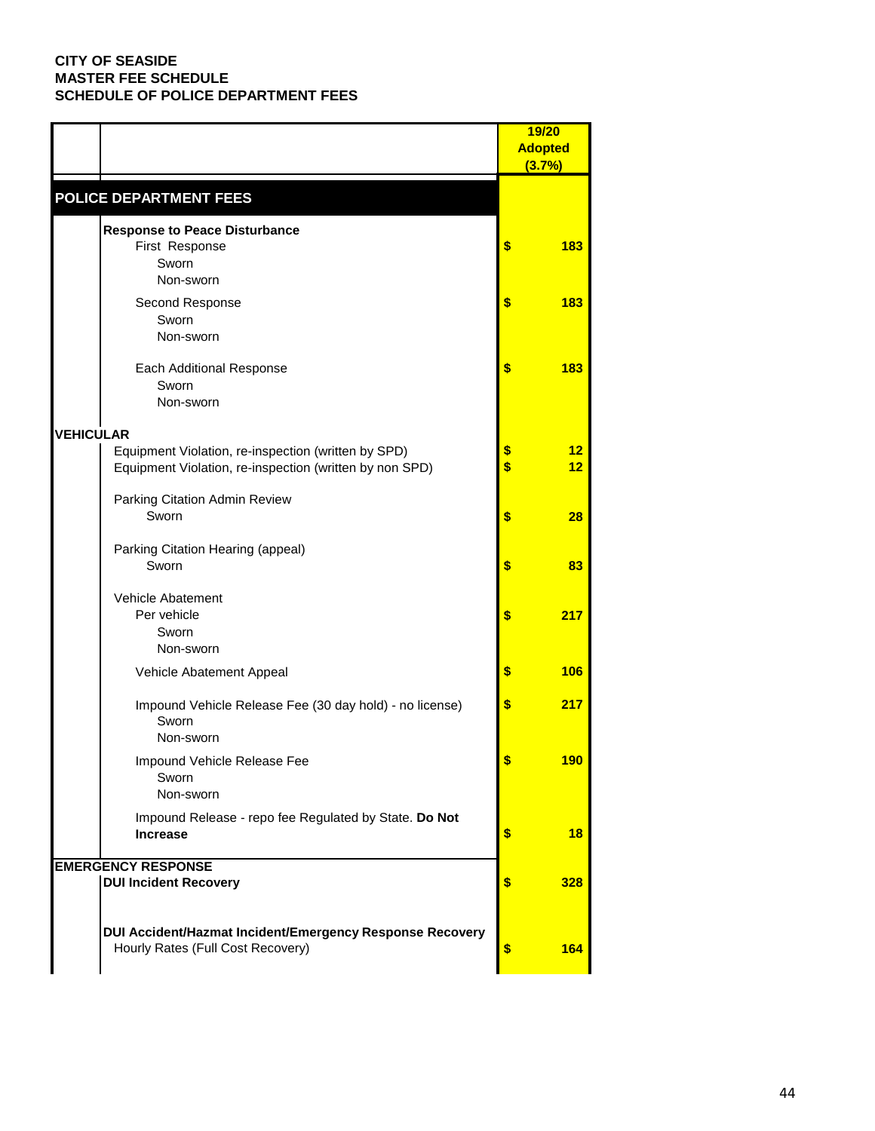|                  |                                                                                                                |          | 19/20          |
|------------------|----------------------------------------------------------------------------------------------------------------|----------|----------------|
|                  |                                                                                                                |          | <b>Adopted</b> |
|                  |                                                                                                                |          | (3.7%)         |
|                  | POLICE DEPARTMENT FEES                                                                                         |          |                |
|                  | <b>Response to Peace Disturbance</b><br>First Response<br>Sworn<br>Non-sworn                                   | \$       | 183            |
|                  | Second Response<br>Sworn<br>Non-sworn                                                                          | \$       | 183            |
|                  | Each Additional Response<br>Sworn<br>Non-sworn                                                                 | \$       | 183            |
| <b>VEHICULAR</b> |                                                                                                                |          |                |
|                  | Equipment Violation, re-inspection (written by SPD)<br>Equipment Violation, re-inspection (written by non SPD) | \$<br>\$ | 12<br>12       |
|                  | Parking Citation Admin Review<br>Sworn                                                                         | \$       | 28             |
|                  | Parking Citation Hearing (appeal)<br>Sworn                                                                     | \$       | 83             |
|                  | Vehicle Abatement<br>Per vehicle<br>Sworn<br>Non-sworn                                                         | \$       | 217            |
|                  | Vehicle Abatement Appeal                                                                                       | \$       | 106            |
|                  | Impound Vehicle Release Fee (30 day hold) - no license)<br>Sworn<br>Non-sworn                                  | \$       | 217            |
|                  | Impound Vehicle Release Fee<br>Sworn<br>Non-sworn                                                              |          | 190            |
|                  | Impound Release - repo fee Regulated by State. Do Not<br><b>Increase</b>                                       | \$       | 18             |
|                  | <b>EMERGENCY RESPONSE</b>                                                                                      |          |                |
|                  | <b>DUI Incident Recovery</b>                                                                                   | \$       | 328            |
|                  | DUI Accident/Hazmat Incident/Emergency Response Recovery<br>Hourly Rates (Full Cost Recovery)                  | \$       | 164            |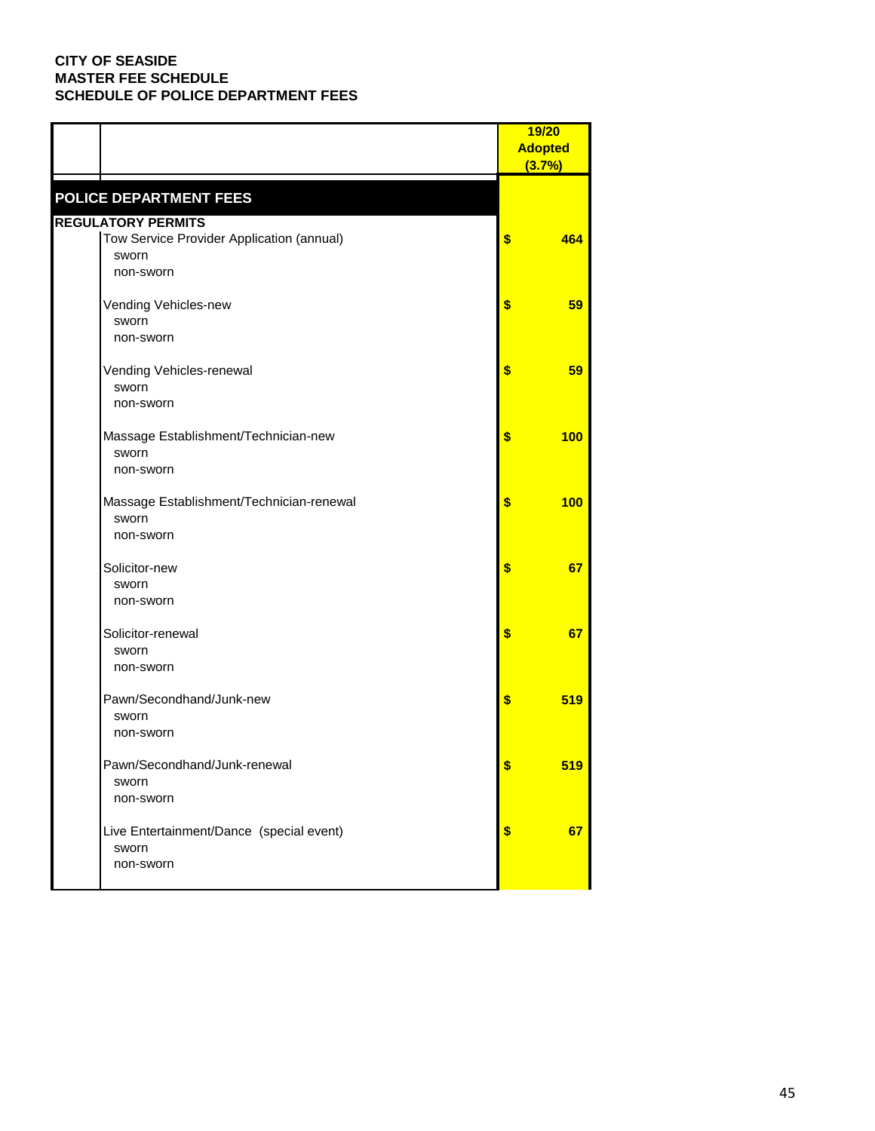|                                                                 | 19/20<br><b>Adopted</b><br>(3.7%) |
|-----------------------------------------------------------------|-----------------------------------|
| <b>POLICE DEPARTMENT FEES</b>                                   |                                   |
| <b>REGULATORY PERMITS</b>                                       |                                   |
| Tow Service Provider Application (annual)<br>sworn<br>non-sworn | \$<br>464                         |
| Vending Vehicles-new<br>sworn<br>non-sworn                      | \$<br>59                          |
| Vending Vehicles-renewal<br>sworn<br>non-sworn                  | \$<br>59                          |
| Massage Establishment/Technician-new<br>sworn<br>non-sworn      | \$<br><b>100</b>                  |
| Massage Establishment/Technician-renewal<br>sworn<br>non-sworn  | \$<br>100                         |
| Solicitor-new<br>sworn<br>non-sworn                             | \$<br>67                          |
| Solicitor-renewal<br>sworn<br>non-sworn                         | \$<br>67                          |
| Pawn/Secondhand/Junk-new<br>sworn<br>non-sworn                  | \$<br>519                         |
| Pawn/Secondhand/Junk-renewal<br>sworn<br>non-sworn              | \$<br><u>519</u>                  |
| Live Entertainment/Dance (special event)<br>sworn<br>non-sworn  | \$<br>67                          |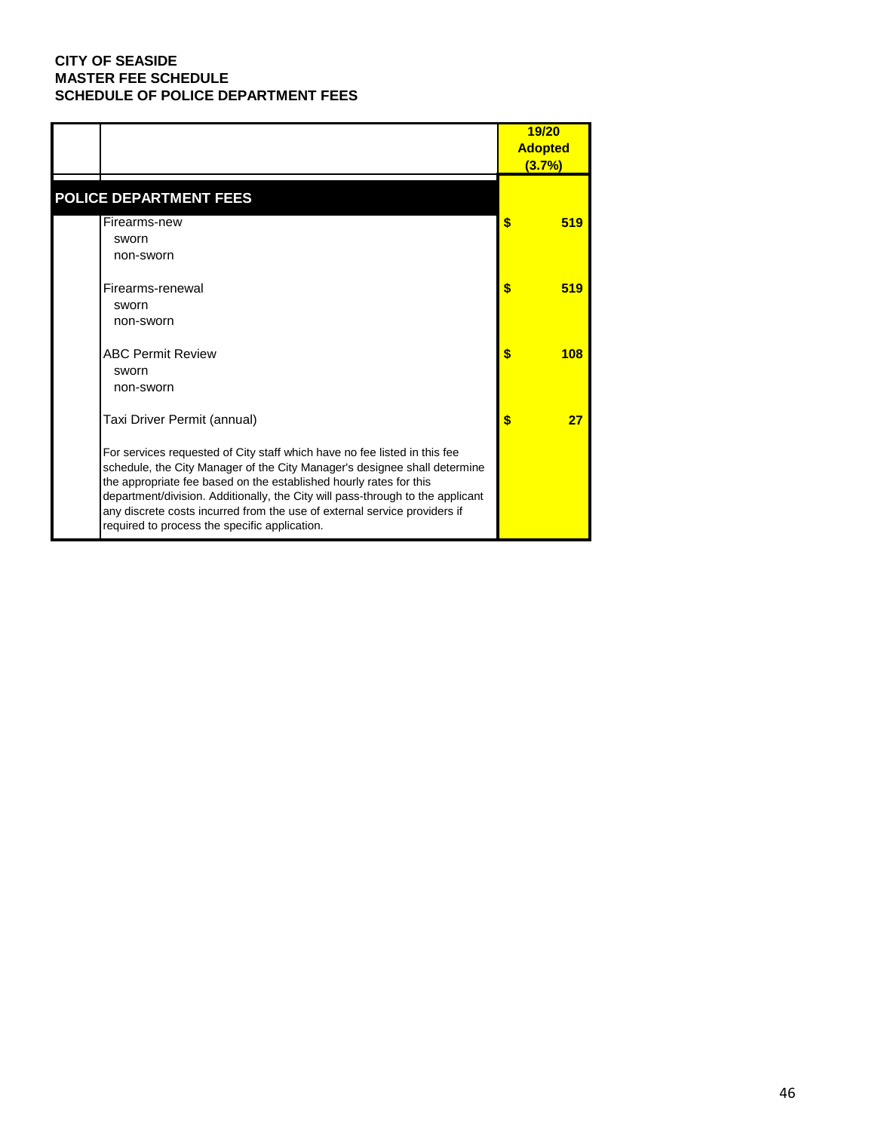|                                                                                                                                                                                                                                                                                                                                                                                                                                              | 19/20<br><b>Adopted</b><br>(3.7%) |
|----------------------------------------------------------------------------------------------------------------------------------------------------------------------------------------------------------------------------------------------------------------------------------------------------------------------------------------------------------------------------------------------------------------------------------------------|-----------------------------------|
| <b>POLICE DEPARTMENT FEES</b>                                                                                                                                                                                                                                                                                                                                                                                                                |                                   |
| Firearms-new<br>sworn<br>non-sworn                                                                                                                                                                                                                                                                                                                                                                                                           | \$<br>519                         |
| Firearms-renewal<br>sworn<br>non-sworn                                                                                                                                                                                                                                                                                                                                                                                                       | \$<br>519                         |
| <b>ABC Permit Review</b><br>sworn<br>non-sworn                                                                                                                                                                                                                                                                                                                                                                                               | \$<br>108                         |
| Taxi Driver Permit (annual)                                                                                                                                                                                                                                                                                                                                                                                                                  | \$<br>27                          |
| For services requested of City staff which have no fee listed in this fee<br>schedule, the City Manager of the City Manager's designee shall determine<br>the appropriate fee based on the established hourly rates for this<br>department/division. Additionally, the City will pass-through to the applicant<br>any discrete costs incurred from the use of external service providers if<br>required to process the specific application. |                                   |